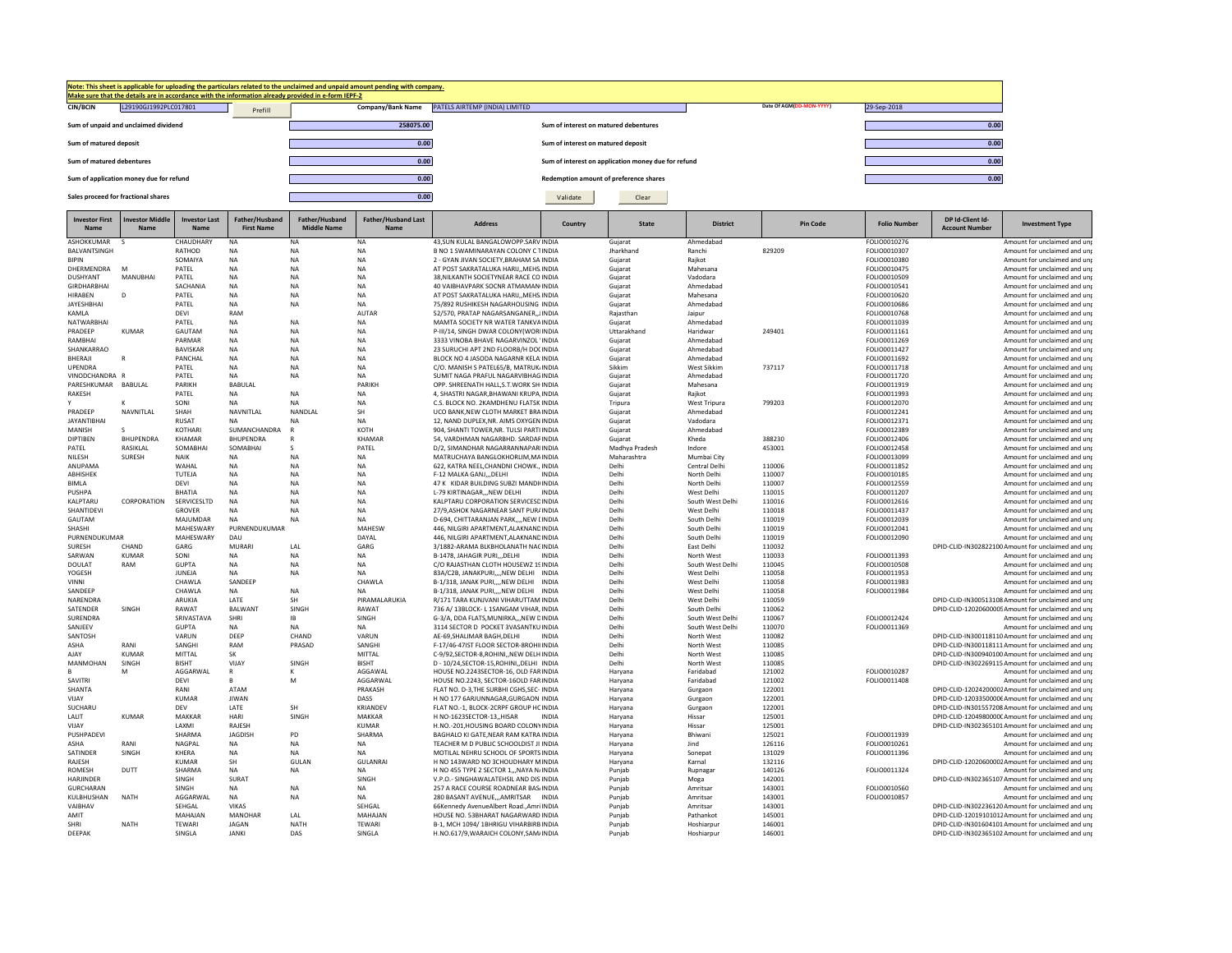

| <b>Investor First</b><br>Name | nvestor Middle<br>Name | <b>Investor Last</b><br>Name | Father/Husband<br><b>First Name</b> | Father/Husband<br><b>Middle Name</b> | <b>Father/Husband Last</b><br>Name | <b>Address</b>                                                                     | Country      | <b>State</b>         | <b>District</b>            | <b>Pin Code</b>  | <b>Folio Number</b>          | DP Id-Client Id-<br><b>Account Number</b> | <b>Investment Type</b>                                                                                |
|-------------------------------|------------------------|------------------------------|-------------------------------------|--------------------------------------|------------------------------------|------------------------------------------------------------------------------------|--------------|----------------------|----------------------------|------------------|------------------------------|-------------------------------------------|-------------------------------------------------------------------------------------------------------|
| ASHOKKUMAR                    |                        | CHAUDHARY                    | NA                                  | NA                                   | <b>NA</b>                          | 43.SUN KULAL BANGALOWOPP.SARV INDIA                                                |              | Gujarat              | Ahmedabad                  |                  | FOLIO0010276                 |                                           | Amount for unclaimed and un                                                                           |
| BALVANTSINGH                  |                        | RATHOD                       | NA                                  | NA                                   | NA                                 | B NO 1 SWAMINARAYAN COLONY C TINDIA                                                |              | Jharkhand            | Ranchi                     | 829209           | FOLIO0010307                 |                                           | Amount for unclaimed and un                                                                           |
| <b>BIPIN</b>                  |                        | SOMAIYA                      | NA                                  | NA                                   | NA                                 | 2 - GYAN JIVAN SOCIETY, BRAHAM SA INDIA                                            |              | Gujarat              | Rajkot                     |                  | FOLIO0010380                 |                                           | Amount for unclaimed and un                                                                           |
| DHERMENDRA                    | $\sim$                 | PATEL                        | <b>NA</b>                           | <b>NA</b>                            | <b>NA</b>                          | AT POST SAKRATALUKA HARIJ,, MEHS INDIA                                             |              | Gujarat              | Mahesana                   |                  | FOLIO0010475                 |                                           | Amount for unclaimed and un                                                                           |
| DUSHYANT                      | MANUBHAI               | PATEL                        | NA                                  | NA                                   | NA                                 | 38, NILKANTH SOCIETYNEAR RACE CO INDIA                                             |              | Gujarat              | Vadodara                   |                  | FOLIO0010509                 |                                           | Amount for unclaimed and un                                                                           |
| <b>GIRDHARBHAI</b>            |                        | SACHANIA                     | NA                                  | NA                                   | NA                                 | 40 VAIBHAVPARK SOCNR ATMAMAN(INDIA                                                 |              | Gujarat              | Ahmedabad                  |                  | FOLIO0010541                 |                                           | Amount for unclaimed and un                                                                           |
| <b>HIRABEN</b><br>JAYESHBHAI  | $\Omega$               | PATEL<br>PATEL               | <b>NA</b><br><b>NA</b>              | <b>NA</b><br>NA                      | <b>NA</b><br><b>NA</b>             | AT POST SAKRATALUKA HARIJMEHS INDIA<br>75/892 RUSHIKESH NAGARHOUSING INDIA         |              | Gujarat              | Mahesana<br>Ahmedabad      |                  | FOLIO0010620<br>FOLIO0010686 |                                           | Amount for unclaimed and un<br>Amount for unclaimed and un                                            |
| KAMLA                         |                        | DEVI                         | RAM                                 |                                      | <b>AUTAR</b>                       | 52/570, PRATAP NAGARSANGANER, JINDIA                                               |              | Gujarat<br>Rajasthan | Jaipur                     |                  | FOLIO0010768                 |                                           | Amount for unclaimed and un                                                                           |
| <b>NATWARBHAI</b>             |                        | PATEL                        | <b>NA</b>                           | <b>NA</b>                            | <b>NA</b>                          | MAMTA SOCIETY NR WATER TANKVAINDIA                                                 |              | Guiarat              | Ahmedabad                  |                  | FOLIO0011039                 |                                           | Amount for unclaimed and un                                                                           |
| PRADEEP                       | <b>KUMAR</b>           | GAUTAM                       | <b>NA</b>                           | <b>NA</b>                            | <b>NA</b>                          | P-III/14, SINGH DWAR COLONY(WORIINDIA                                              |              | Uttarakhand          | Haridwar                   | 249401           | FOLIO0011161                 |                                           | Amount for unclaimed and un                                                                           |
| RAMBHAI                       |                        | PARMAR                       | NA                                  | <b>NA</b>                            | NA                                 | 3333 VINOBA BHAVE NAGARVINZOL 'INDIA                                               |              | Gujarat              | Ahmedabad                  |                  | FOLIO0011269                 |                                           | Amount for unclaimed and un                                                                           |
| SHANKARRAO                    |                        | <b>BAVISKAR</b>              | <b>NA</b>                           | <b>NA</b>                            | <b>NA</b>                          | 23 SURUCHI APT 2ND FLOORB/H DOCINDIA                                               |              | Gujarat              | Ahmedabad                  |                  | FOLIO0011427                 |                                           | Amount for unclaimed and un                                                                           |
| BHERAJI                       | $\mathsf{R}$           | PANCHAL                      | <b>NA</b>                           | <b>NA</b>                            | <b>NA</b>                          | BLOCK NO 4 JASODA NAGARNR KELA INDIA                                               |              | Gujarat              | Ahmedabad                  |                  | FOLIO0011692                 |                                           | Amount for unclaimed and un                                                                           |
| <b>UPENDRA</b>                |                        | PATEL                        | NA                                  | NA                                   | <b>NA</b>                          | C/O. MANISH S PATEL65/B, MATRUK/INDIA                                              |              | Sikkim               | West Sikkim                | 737117           | FOLIO0011718                 |                                           | Amount for unclaimed and un                                                                           |
| VINODCHANDRA R                |                        | PATEL                        | <b>NA</b>                           | <b>NA</b>                            | <b>NA</b>                          | SUMIT NAGA PRAFUL NAGARVIBHAG INDIA                                                |              | Gujarat              | Ahmedabad                  |                  | FOLIO0011720                 |                                           | Amount for unclaimed and un                                                                           |
| PARESHKUMAR BABULAL           |                        | PARIKH                       | BABULAL                             |                                      | PARIKH                             | OPP. SHREENATH HALL, S.T. WORK SHIINDIA                                            |              | Gujarat              | Mahesana                   |                  | FOLIO0011919                 |                                           | Amount for unclaimed and un                                                                           |
| RAKESH                        |                        | PATEL                        | NA                                  | NA                                   | NA                                 | 4, SHASTRI NAGAR, BHAWANI KRUPA, INDIA                                             |              | Gujarat              | Rajkot                     |                  | FOLIO0011993                 |                                           | Amount for unclaimed and un                                                                           |
|                               |                        | SONI                         | NA                                  | NA                                   | NA<br>SH                           | C.S. BLOCK NO. 2KAMDHENU FLATSK INDIA                                              |              | Tripura              | <b>West Tripura</b>        | 799203           | FOLIO0012070                 |                                           | Amount for unclaimed and un                                                                           |
| PRADEEP<br><b>JAYANTIBHAI</b> | NAVNITLAL              | SHAH<br><b>RUSAT</b>         | NAVNITLAL<br>NΔ                     | NANDLAI<br><b>NA</b>                 | <b>NA</b>                          | UCO BANK, NEW CLOTH MARKET BRAINDIA                                                |              | Gujarat              | Ahmedabad                  |                  | FOLIO0012241                 |                                           | Amount for unclaimed and un                                                                           |
| MANISH                        | <b>S</b>               | KOTHARI                      | SUMANCHANDRA                        | $\mathsf{R}$                         | KOTH                               | 12, NAND DUPLEX, NR. AIMS OXYGEN INDIA<br>904, SHANTI TOWER, NR. TULSI PARTI INDIA |              | Gujarat<br>Gujarat   | Vadodara<br>Ahmedahad      |                  | FOLIO0012371<br>FOLIO0012389 |                                           | Amount for unclaimed and un<br>Amount for unclaimed and un                                            |
| DIPTIBEN                      | BHUPENDRA              | KHAMAR                       | BHUPENDRA                           | R                                    | KHAMAF                             | 54, VARDHMAN NAGARBHD. SARDARINDIA                                                 |              | Gujarat              | Kheda                      | 388230           | FOLIO0012406                 |                                           | Amount for unclaimed and un                                                                           |
| PATEL                         | RASIKLAL               | SOMABHAI                     | SOMABHAI                            | -S                                   | PATEL                              | D/2, SIMANDHAR NAGARRANNAPARIINDIA                                                 |              | Madhya Pradesh       | Indore                     | 453001           | FOLIO0012458                 |                                           | Amount for unclaimed and un                                                                           |
| NILESH                        | <b>SURESH</b>          | NAIK                         | <b>NA</b>                           | <b>NA</b>                            | NA                                 | MATRUCHAYA BANGLOKHORLIM, MAINDIA                                                  |              | Maharashtra          | Mumbai City                |                  | FOLIO0013099                 |                                           | Amount for unclaimed and un                                                                           |
| ANUPAMA                       |                        | WAHAL                        | NA                                  | NA                                   | NA                                 | 622, KATRA NEEL, CHANDNI CHOWK., INDIA                                             |              | Delhi                | Central Delhi              | 110006           | FOLIO0011852                 |                                           | Amount for unclaimed and un                                                                           |
| ABHISHEK                      |                        | TUTEJA                       | <b>NA</b>                           | <b>NA</b>                            | <b>NA</b>                          | F-12 MALKA GANJDELHI                                                               | <b>INDIA</b> | Delhi                | North Delhi                | 110007           | FOLIO0010185                 |                                           | Amount for unclaimed and un                                                                           |
| <b>BIMLA</b>                  |                        | DEVI                         | <b>NA</b>                           | <b>NA</b>                            | <b>NA</b>                          | 47 K KIDAR BUILDING SUBZI MANDHINDIA                                               |              | Delhi                | North Delhi                | 110007           | FOLIO0012559                 |                                           | Amount for unclaimed and un                                                                           |
| PUSHPA                        |                        | <b>BHATIA</b>                | <b>NA</b>                           | <b>NA</b>                            | <b>NA</b>                          | L-79 KIRTINAGARNEW DELHI                                                           | <b>INDIA</b> | Delhi                | West Delhi                 | 110015           | FOLIO0011207                 |                                           | Amount for unclaimed and un                                                                           |
| KALPTARU                      | CORPORATION            | SERVICESLTD                  | <b>NA</b>                           | <b>NA</b>                            | NA                                 | KALPTARU CORPORATION SERVICESDINDIA                                                |              | Delhi                | South West Delhi           | 110016           | FOLIO0012616                 |                                           | Amount for unclaimed and un                                                                           |
| SHANTIDEVI                    |                        | GROVER                       | <b>NA</b>                           | <b>NA</b>                            | <b>NA</b>                          | 27/9, ASHOK NAGARNEAR SANT PURAINDIA                                               |              | Delhi                | West Delhi                 | 110018           | FOLIO0011437                 |                                           | Amount for unclaimed and un                                                                           |
| GAUTAM                        |                        | MAJUMDAR                     | NA                                  | NA                                   | NA                                 | D-694, CHITTARANJAN PARK,,,,NEW LINDIA                                             |              | Delhi                | South Delhi                | 110019           | FOLIO0012039                 |                                           | Amount for unclaimed and un                                                                           |
| SHASHI<br>PURNENDUKUMAR       |                        | MAHESWARY<br>MAHESWARY       | PURNENDUKUMAR<br>DAU                |                                      | MAHESW<br>DAYAL                    | 446, NILGIRI APARTMENT, ALAKNANDINDIA<br>446. NILGIRI APARTMENT.ALAKNANDINDIA      |              | Delhi<br>Delhi       | South Delhi<br>South Delhi | 110019<br>110019 | FOLIO0012041<br>FOLIO0012090 |                                           | Amount for unclaimed and un<br>Amount for unclaimed and un                                            |
| <b>SURFSH</b>                 | CHAND                  | GARG                         | MURARI                              | LAL                                  | GARG                               | 3/1882-ARAMA BLKBHOLANATH NACINDIA                                                 |              | Delhi                | East Delhi                 | 110032           |                              |                                           | DPID-CLID-IN302822100 Amount for unclaimed and un                                                     |
| SARWAN                        | <b>KUMAR</b>           | SONI                         | <b>NA</b>                           | <b>NA</b>                            | <b>NA</b>                          | B-1478, JAHAGIR PURI,,,DELHI                                                       | <b>INDIA</b> | Delhi                | North West                 | 110033           | FOLIO0011393                 |                                           | Amount for unclaimed and un                                                                           |
| <b>DOULAT</b>                 | RAM                    | GUPTA                        | <b>NA</b>                           | <b>NA</b>                            | <b>NA</b>                          | C/O RAJASTHAN CLOTH HOUSEWZ 19INDIA                                                |              | Delhi                | South West Delhi           | 110045           | FOLIO0010508                 |                                           | Amount for unclaimed and un                                                                           |
| YOGESH                        |                        | JUNEJA                       | <b>NA</b>                           | NA                                   | <b>NA</b>                          | 83A/C2B, JANAKPURI,,,,NEW DELHI INDIA                                              |              | Delhi                | West Delhi                 | 110058           | FOLIO0011953                 |                                           | Amount for unclaimed and un                                                                           |
| VINNI                         |                        | CHAWLA                       | SANDEEP                             |                                      | CHAWLA                             | B-1/318, JANAK PURI,,,,NEW DELHI                                                   | INDIA        | Delhi                | West Delhi                 | 110058           | FOLIO0011983                 |                                           | Amount for unclaimed and un                                                                           |
| SANDEEP                       |                        | CHAWLA                       | <b>NA</b>                           | <b>NA</b>                            | <b>NA</b>                          | B-1/318, JANAK PURINEW DELHI INDIA                                                 |              | Delhi                | West Delhi                 | 110058           | FOLIO0011984                 |                                           | Amount for unclaimed and un                                                                           |
| NARENDRA                      |                        | ARUKIA                       | LATE                                | SH                                   | PIRAMALARUKIA                      | R/171 TARA KUNJVANI VIHARUTTAM INDIA                                               |              | Delhi                | West Delhi                 | 110059           |                              |                                           | DPID-CLID-IN300513108 Amount for unclaimed and un                                                     |
| SATENDER                      | SINGH                  | RAWAT                        | <b>BALWANT</b>                      | SINGH                                | RAWAT                              | 736 A/ 13BLOCK- L 1SANGAM VIHAR, INDIA                                             |              | Delhi                | South Delhi                | 110062           |                              |                                           | DPID-CLID-12020600005Amount for unclaimed and un                                                      |
| SURENDRA                      |                        | SRIVASTAVA                   | SHRI                                | IB                                   | SINGH                              | G-3/A, DDA FLATS, MUNIRKA NEW DINDIA                                               |              | Delhi                | South West Delhi           | 110067           | FOLIO0012424                 |                                           | Amount for unclaimed and un                                                                           |
| SANJEEV                       |                        | GUPTA                        | <b>NA</b><br>DEEP                   | <b>NA</b><br>CHAND                   | <b>NA</b><br>VARUN                 | 3114 SECTOR D POCKET 3VASANTKU INDIA                                               |              | Delhi<br>Delhi       | South West Delhi           | 110070<br>110082 | FOLIO0011369                 |                                           | Amount for unclaimed and un                                                                           |
| SANTOSH<br>ASHA               | RANI                   | VARUN<br>SANGHI              | RAM                                 | PRASAD                               | SANGHI                             | AE-69, SHALIMAR BAGH, DELHI<br>F-17/46-47IST FLOOR SECTOR-8ROHIIINDIA              | <b>INDIA</b> | Delhi                | North West<br>North West   | 110085           |                              |                                           | DPID-CLID-IN300118110 Amount for unclaimed and un<br>DPID-CLID-IN300118111Amount for unclaimed and un |
| AJAY                          | <b>KUMAR</b>           | MITTAL                       | SK                                  |                                      | MITTAL                             | C-9/92.SECTOR-8.ROHININEW DELH INDIA                                               |              | Delhi                | North West                 | 110085           |                              |                                           | DPID-CLID-IN300940100 Amount for unclaimed and un                                                     |
| <b>MANMOHAN</b>               | SINGH                  | <b>BISHT</b>                 | VIJAY                               | SINGH                                | <b>BISHT</b>                       | D - 10/24, SECTOR-15, ROHINI, , DELHI INDIA                                        |              | Delhi                | North West                 | 110085           |                              |                                           | DPID-CLID-IN302269115 Amount for unclaimed and un                                                     |
|                               | M                      | AGGARWAL                     | R                                   |                                      | AGGAWAL                            | HOUSE NO.2243SECTOR-16, OLD FARINDIA                                               |              | Haryana              | Faridabad                  | 121002           | FOLIO0010287                 |                                           | Amount for unclaimed and un                                                                           |
| SAVITRI                       |                        | DEVI                         | R.                                  | м                                    | AGGARWAL                           | HOUSE NO.2243, SECTOR-16OLD FARINDIA                                               |              | Haryana              | Faridabad                  | 121002           | FOLIO0011408                 |                                           | Amount for unclaimed and un                                                                           |
| SHANTA                        |                        | RANI                         | ATAM                                |                                      | PRAKASH                            | FLAT NO. D-3, THE SURBHI CGHS, SEC- INDIA                                          |              | Haryana              | Gurgaon                    | 122001           |                              |                                           | DPID-CLID-12024200002Amount for unclaimed and un                                                      |
| VIJAY                         |                        | <b>KUMAR</b>                 | <b>JIWAN</b>                        |                                      | DASS                               | H NO 177 6ARJUNNAGAR, GURGAON INDIA                                                |              | Haryana              | Gurgaon                    | 122001           |                              |                                           | DPID-CLID-12033500006Amount for unclaimed and un                                                      |
| SUCHARU                       |                        | DEV                          | LATE                                | <b>SH</b>                            | KRIANDEV                           | FLAT NO.-1, BLOCK-2CRPF GROUP HCINDIA                                              |              | Haryana              | Gurgaon                    | 122001           |                              |                                           | DPID-CLID-IN301557208 Amount for unclaimed and un                                                     |
| LALIT                         | KUMAR                  | MAKKAR                       | <b>HARI</b>                         | SINGH                                | MAKKAR                             | H NO-1623SECTOR-13,, HISAR                                                         | <b>INDIA</b> | Haryana              | Hissar                     | 125001           |                              |                                           | DPID-CLID-1204980000CAmount for unclaimed and un                                                      |
| VIJAY                         |                        | <b>IAXMI</b>                 | RAJESH                              |                                      | <b>KUMAR</b>                       | H.NO.-201, HOUSING BOARD COLONYINDIA                                               |              | Haryana              | Hissar                     | 125001           |                              |                                           | DPID-CLID-IN302365101 Amount for unclaimed and un                                                     |
| PUSHPADEVI                    |                        | SHARMA                       | JAGDISH                             | PD                                   | SHARMA                             | BAGHALO KI GATE, NEAR RAM KATRA INDIA                                              |              | Haryana              | Bhiwani                    | 125021           | FOLIO0011939                 |                                           | Amount for unclaimed and un                                                                           |
| ASHA                          | RANI                   | <b>NAGPAI</b>                | <b>NA</b>                           | <b>NA</b>                            | <b>NA</b>                          | TEACHER M D PUBLIC SCHOOLDIST JI INDIA                                             |              | Haryana              | lind                       | 126116           | FOLIO0010261                 |                                           | Amount for unclaimed and un                                                                           |
| SATINDER<br>RAJESH            | SINGH                  | KHERA<br><b>KUMAR</b>        | NA<br>SH                            | NA<br>GULAN                          | NA<br><b>GULANRAI</b>              | MOTILAL NEHRU SCHOOL OF SPORTS INDIA<br>H NO 143WARD NO 3CHOUDHARY MINDIA          |              | Haryana<br>Haryana   | Sonepat<br>Karnal          | 131029<br>132116 | FOLIO0011396                 |                                           | Amount for unclaimed and un<br>DPID-CLID-12020600002Amount for unclaimed and un                       |
| ROMESH                        | DUTT                   | SHARMA                       | <b>NA</b>                           | <b>NA</b>                            | <b>NA</b>                          | H NO 455 TYPE 2 SECTOR 1,,, NAYA N/INDIA                                           |              | Punjab               | Rupnagar                   | 140126           | FOLIO0011324                 |                                           | Amount for unclaimed and un                                                                           |
| HARJINDER                     |                        | SINGH                        | SURAT                               |                                      | SINGH                              | V.P.O.- SINGHAWALATEHSIL AND DIS'INDIA                                             |              | Punjab               | Moga                       | 142001           |                              |                                           | DPID-CLID-IN302365107 Amount for unclaimed and un                                                     |
| GURCHARAN                     |                        | SINGH                        | <b>NA</b>                           | <b>NA</b>                            | <b>NA</b>                          | 257 A RACE COURSE ROADNEAR BAS/INDIA                                               |              | Punjab               | Amritsar                   | 143001           | FOLIO0010560                 |                                           | Amount for unclaimed and un                                                                           |
| KULBHUSHAN                    | <b>NATH</b>            | AGGARWAL                     | <b>NA</b>                           | <b>NA</b>                            | <b>NA</b>                          | 280 BASANT AVENUEAMRITSAR                                                          | <b>INDIA</b> | Puniab               | Amritsar                   | 143001           | FOLIO0010857                 |                                           | Amount for unclaimed and un                                                                           |
| VAIRHAV                       |                        | SEHGAL                       | <b>VIKAS</b>                        |                                      | SEHGAL                             | 66Kennedy AvenueAlbert Road., Amri INDIA                                           |              | Punjab               | Amritsar                   | 143001           |                              |                                           | DPID-CLID-IN302236120 Amount for unclaimed and un                                                     |
| AMIT                          |                        | MAHAJAN                      | MANOHAR                             | LAL                                  | MAHAJAN                            | HOUSE NO. 53BHARAT NAGARWARD INDIA                                                 |              | Punjab               | Pathankot                  | 145001           |                              |                                           | DPID-CLID-12019101012Amount for unclaimed and un                                                      |
| <b>SHRI</b>                   | <b>NATH</b>            | TEWARI                       | <b>JAGAN</b>                        | <b>NATH</b>                          | <b>TEWARI</b>                      | B-1, MCH 1094/1BHRIGU VIHARBIRB INDIA                                              |              | Punjab               | Hoshiarpur                 | 146001           |                              |                                           | DPID-CLID-IN301604101 Amount for unclaimed and un                                                     |
| DEEPAK                        |                        | SINGLA                       | <b>JANKI</b>                        | DAS                                  | SINGLA                             | H.NO.617/9, WARAICH COLONY, SAM/INDIA                                              |              | Punjah               | Hoshiarpur                 | 146001           |                              |                                           | DPID-CLID-IN302365102 Amount for unclaimed and unr                                                    |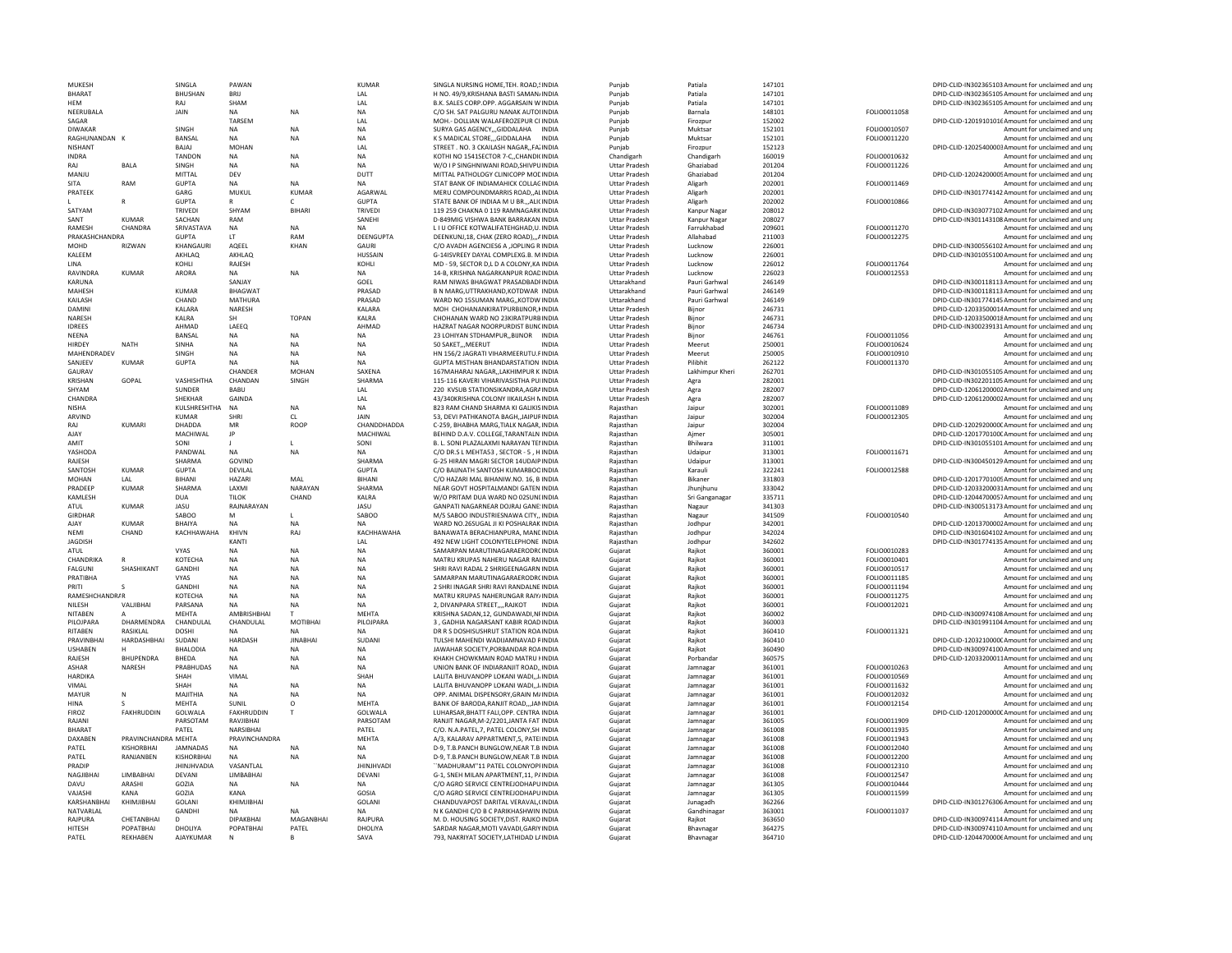| MUKESH                 |                       | SINGLA               | PAWAN              |                 | <b>KUMAR</b>     | SINGLA NURSING HOME, TEH. ROAD, SINDIA                                           | Puniab               | Patiala                | 147101           |                     | DPID-CLID-IN302365103 Amount for unclaimed and unp                                                       |
|------------------------|-----------------------|----------------------|--------------------|-----------------|------------------|----------------------------------------------------------------------------------|----------------------|------------------------|------------------|---------------------|----------------------------------------------------------------------------------------------------------|
| <b>BHARAT</b>          |                       | <b>BHUSHAN</b>       | RRII               |                 | LAL              | H NO. 49/9.KRISHANA BASTI SAMAN/INDIA                                            | Punjab               | Patiala                | 147101           |                     | DPID-CLID-IN302365105 Amount for unclaimed and unp                                                       |
| <b>HEM</b>             |                       | RAJ                  | SHAM               |                 | LAL              | B.K. SALES CORP.OPP. AGGARSAIN WINDIA                                            | Punjab               | Patiala                | 147101           |                     | DPID-CLID-IN302365105 Amount for unclaimed and unp                                                       |
| NEERUBALA              |                       | JAIN                 | <b>NA</b>          | NA              | NA               | C/O SH. SAT PALGURU NANAK AUTONNDIA                                              | Punjab               | Barnala                | 148101           | FOLIO0011058        | Amount for unclaimed and unp                                                                             |
| SAGAR                  |                       |                      | TARSEM             |                 | LAL              | MOH.- DOLLIAN WALAFEROZEPUR CI'INDIA                                             | Puniab               | Firozour               | 152002           |                     | DPID-CLID-12019101016 Amount for unclaimed and unp                                                       |
| DIWAKAR                |                       | SINGH                | NA                 | <b>NA</b>       | <b>NA</b>        | SURYA GAS AGENCY,,,GIDDALAHA INDIA                                               | Punjab               | Muktsa                 | 152101           | FOLIO0010507        | Amount for unclaimed and unp                                                                             |
| RAGHUNANDAN K          |                       | BANSAL               | <b>NA</b>          | <b>NA</b>       | <b>NA</b>        | K S MADICAL STOREGIDDALAHA INDIA                                                 | Puniab               | Muktsar                | 152101           | FOLIO0011220        | Amount for unclaimed and unr                                                                             |
| <b>NISHANT</b>         |                       | <b>BAIAI</b>         | <b>MOHAN</b>       |                 | LAL              | STREET , NO. 3 CKAILASH NAGAR., FA2INDIA                                         |                      |                        | 152123           |                     |                                                                                                          |
|                        |                       |                      |                    |                 |                  |                                                                                  | Punjab               | Firozpur               |                  |                     | DPID-CLID-12025400003Amount for unclaimed and unp                                                        |
| <b>INDRA</b>           |                       | <b>TANDON</b>        | <b>NA</b>          | <b>NA</b>       | <b>NA</b>        | KOTHI NO 1541SECTOR 7-C., CHANDICINDIA                                           | Chandigarh           | Chandigarh             | 160019           | FOLIO0010632        | Amount for unclaimed and unr                                                                             |
| RAI                    | <b>BALA</b>           | SINGH                | NA                 | <b>NA</b>       | <b>NA</b>        | W/O I P SINGHNIWANI ROAD, SHIVPUINDIA                                            | <b>Uttar Pradesh</b> | Ghaziabad              | 201204           | FOLIO0011226        | Amount for unclaimed and unp                                                                             |
| MANJU                  |                       | MITTAL               | DEV                |                 | DUTT             | MITTAL PATHOLOGY CLINICOPP MODINDIA                                              | <b>Uttar Pradesh</b> | Ghaziabad              | 201204           |                     | DPID-CLID-12024200005Amount for unclaimed and unp                                                        |
| SITA                   | RAM                   | <b>GUPTA</b>         | NA                 | <b>NA</b>       | <b>NA</b>        | STAT BANK OF INDIAMAHICK COLLAGINDIA                                             | <b>Uttar Pradesh</b> | Aligarh                | 202001           | FOLIO0011469        | Amount for unclaimed and unp                                                                             |
| PRATEEK                |                       | GARG                 | MUKUL              | <b>KUMAR</b>    | AGARWAL          | MERU COMPOUNDMARRIS ROAD. ALINDIA                                                | <b>Uttar Pradesh</b> | Aligarh                | 202001           |                     | DPID-CLID-IN301774142 Amount for unclaimed and unp                                                       |
|                        | $\mathsf{R}$          | <b>GUPTA</b>         |                    |                 | <b>GUPTA</b>     | STATE BANK OF INDIAA M U BR.,,ALICINDIA                                          | <b>Uttar Pradesh</b> | Aligarh                | 202002           | FOLIO0010866        | Amount for unclaimed and unp                                                                             |
| SATYAM                 |                       | <b>TRIVEDI</b>       | SHYAM              | <b>BIHARI</b>   | <b>TRIVEDI</b>   | 119 259 CHAKNA 0 119 RAMNAGARK INDIA                                             | <b>Uttar Pradesh</b> | Kanpur Nagar           | 208012           |                     | DPID-CLID-IN303077102 Amount for unclaimed and unp                                                       |
| SANT                   | <b>KUMAR</b>          | SACHAN               | RAM                |                 | SANEHI           | D-849MIG VISHWA BANK BARRAKAN INDIA                                              | <b>Uttar Pradesh</b> | Kanpur Nagar           | 208027           |                     | DPID-CLID-IN301143108 Amount for unclaimed and unp                                                       |
| <b>RAMESH</b>          | CHANDRA               | SRIVASTAVA           | <b>NA</b>          | <b>NA</b>       | <b>NA</b>        | <b>I I U OFFICE KOTWALIFATEHGHAD U. INDIA</b>                                    | <b>Uttar Pradesh</b> | Farrukhabad            | 209601           | EQLIO0011270        | Amount for unclaimed and unr                                                                             |
| PRAKASHCHANDRA         |                       | <b>GUPTA</b>         | IT                 | RAM             | DEENGUPTA        | DEENKUNJ.18, CHAK (ZERO ROAD)AINDIA                                              | <b>Uttar Pradesh</b> | Allahabad              | 211003           | FOLIO0012275        | Amount for unclaimed and unr                                                                             |
| MOHD                   | RIZWAN                | KHANGAURI            | AQEEL              | KHAN            | <b>GAURI</b>     | C/O AVADH AGENCIES6 A JOPLING R INDIA                                            | <b>Uttar Pradesh</b> | Lucknow                | 226001           |                     | DPID-CLID-IN300556102 Amount for unclaimed and unt                                                       |
|                        |                       |                      |                    |                 |                  |                                                                                  |                      |                        |                  |                     |                                                                                                          |
| KALEEM                 |                       | AKHLAO               | AKHLAQ             |                 | <b>HUSSAIN</b>   | G-14ISVREEY DAYAL COMPLEXG.B. MINDIA                                             | <b>Uttar Pradesh</b> | Lucknow                | 226001           |                     | DPID-CLID-IN301055100 Amount for unclaimed and unr                                                       |
| <b>IINA</b>            |                       | KOHII                | RAIFSH             |                 | KOHII            | MD - 59. SECTOR D.I. D.A.COLONY.KA INDIA                                         | <b>Uttar Pradesh</b> | Lucknow                | 226012           | FOLIO0011764        | Amount for unclaimed and unt                                                                             |
| RAVINDRA               | <b>KUMAR</b>          | ARORA                | NA                 | NA              | NA               | 14-B, KRISHNA NAGARKANPUR ROADINDIA                                              | <b>Uttar Pradesh</b> | Lucknow                | 226023           | FOLIO0012553        | Amount for unclaimed and unp                                                                             |
| KARLINA                |                       |                      | SANIAY             |                 | GOEL             | RAM NIWAS BHAGWAT PRASADBADEINDIA                                                | Uttarakhand          | Pauri Garhwal          | 246149           |                     | DPID-CLID-IN300118113 Amount for unclaimed and unp                                                       |
| <b>MAHESH</b>          |                       | <b>KUMAR</b>         | BHAGWAT            |                 | PRASAD           | B N MARG.UTTRAKHAND.KOTDWAR INDIA                                                | Uttarakhand          | Pauri Garhwal          | 246149           |                     | DPID-CLID-IN300118113 Amount for unclaimed and unp                                                       |
| <b>KAILASH</b>         |                       | CHAND                | MATHURA            |                 | PRASAD           | WARD NO 15SUMAN MARG. KOTDWINDIA                                                 | Uttarakhand          | Pauri Garhwal          | 246149           |                     | DPID-CLID-IN301774145 Amount for unclaimed and unp                                                       |
| <b>DAMINI</b>          |                       | KALARA               | NARESH             |                 | KALARA           | MOH CHOHANANKIRATPURBIJNOR.KINDIA                                                | <b>Uttar Pradesh</b> | Bijnor                 | 246731           |                     | DPID-CLID-12033500014Amount for unclaimed and unp                                                        |
| <b>NARFSH</b>          |                       | <b>KAIRA</b>         | <b>SH</b>          | <b>TOPAN</b>    | <b>KAIRA</b>     | CHOHANAN WARD NO 23KIRATPURB INDIA                                               | <b>Uttar Pradesh</b> | Biinor                 | 246731           |                     | DPID-CLID-12033500018Amount for unclaimed and unp                                                        |
| <b>IDREES</b>          |                       | AHMAD                | LAEEQ              |                 | AHMAD            | HAZRAT NAGAR NOORPURDIST BIJNCINDIA                                              | <b>Uttar Pradesh</b> | Biinor                 | 246734           |                     | DPID-CLID-IN300239131 Amount for unclaimed and unr                                                       |
| <b>NFFNA</b>           |                       | BANSAL               | <b>NA</b>          | <b>NA</b>       | <b>NA</b>        | 23 LOHIYAN STDHAMPURBUNOR INDIA                                                  | <b>Uttar Pradesh</b> | Biinor                 | 246761           | FOLIO0011056        | Amount for unclaimed and unp                                                                             |
| HIRDEY                 | <b>NATH</b>           | <b>SINHA</b>         | <b>NA</b>          | <b>NA</b>       | <b>NA</b>        | 50 SAKETMEERUT<br><b>INDIA</b>                                                   | <b>Uttar Pradesh</b> | Meerut                 | 250001           | FOLIO0010624        | Amount for unclaimed and unr                                                                             |
|                        |                       |                      |                    |                 |                  |                                                                                  |                      |                        |                  |                     |                                                                                                          |
| MAHENDRADEV            |                       | <b>SINGH</b>         | <b>NA</b>          | <b>NA</b>       | <b>NA</b>        | HN 156/2 JAGRATI VIHARMEERUTU.PINDIA                                             | <b>Uttar Pradesh</b> | Meerut                 | 250005           | FOLIO0010910        | Amount for unclaimed and unr                                                                             |
| SANJEEV                | <b>KUMAR</b>          | <b>GUPTA</b>         | <b>NA</b>          | <b>NA</b>       | <b>NA</b>        | <b>GUPTA MISTHAN BHANDARSTATION INDIA</b>                                        | <b>Uttar Pradesh</b> | Pilibhit               | 262122           | FOLIO0011370        | Amount for unclaimed and unp                                                                             |
| GAURAV                 |                       |                      | CHANDER            | MOHAN           | SAXENA           | 167MAHARAJ NAGAR.,LAKHIMPUR K INDIA                                              | <b>Uttar Pradesh</b> | Lakhimpur Kheri        | 262701           |                     | DPID-CLID-IN301055105 Amount for unclaimed and unp                                                       |
| KRISHAN                | GOPAL                 | VASHISHTHA           | CHANDAN            | SINGH           | SHARMA           | 115-116 KAVERI VIHARIVASISTHA PUIINDIA                                           | <b>Uttar Pradesh</b> | Agra                   | 282001           |                     | DPID-CLID-IN302201105 Amount for unclaimed and unp                                                       |
| SHYAM                  |                       | SUNDER               | BABU               |                 | LAL              | 220 KVSUB STATIONSIKANDRA.AGRAINDIA                                              | <b>Uttar Pradesh</b> | Agra                   | 282007           |                     | DPID-CLID-12061200002Amount for unclaimed and unp                                                        |
| CHANDRA                |                       | SHEKHAR              | GAINDA             |                 | LAL              | 43/340KRISHNA COLONY IIKAILASH NINDIA                                            | <b>Uttar Pradesh</b> | Agra                   | 282007           |                     | DPID-CLID-12061200002Amount for unclaimed and unp                                                        |
| <b>NISHA</b>           |                       | KULSHRESHTHA         | <b>NA</b>          | NA              | <b>NA</b>        | 823 RAM CHAND SHARMA KI GALIKIS INDIA                                            | Raiasthar            | Jaipur                 | 302001           | FOLIO0011089        | Amount for unclaimed and unr                                                                             |
| ARVIND                 |                       | <b>KUMAR</b>         | <b>SHRI</b>        | CL              | JAIN             | 53, DEVI PATHKANOTA BAGH, JAIPURINDIA                                            | Rajasthan            | Jaipur                 | 302004           | FOLIO0012305        | Amount for unclaimed and unp                                                                             |
| RAI                    | KUMARI                | DHADDA               | MR                 | <b>ROOF</b>     | CHANDDHADDA      | C-259, BHABHA MARG, TIALK NAGAR, INDIA                                           | Rajasthan            | Jaipur                 | 302004           |                     | DPID-CLID-1202920000C Amount for unclaimed and unp                                                       |
| AJAY                   |                       | MACHIWAL             | $\mathsf{IP}$      |                 | MACHIWAL         | BEHIND D.A.V. COLLEGE, TARANTALN INDIA                                           | Raiasthan            | Aimer                  | 305001           |                     | DPID-CLID-1201770100CAmount for unclaimed and unr                                                        |
|                        |                       | SONI                 |                    |                 |                  |                                                                                  |                      |                        |                  |                     |                                                                                                          |
| AMIT                   |                       |                      |                    | $\mathbf{I}$    | SONI             | B. L. SONI PLAZAI AXMI NARAYAN TENNDIA                                           | Rajasthan            | <b>Bhilwara</b>        | 311001           |                     | DPID-CLID-IN301055101 Amount for unclaimed and unp                                                       |
| YASHODA                |                       | PANDWAL              | <b>NA</b>          | <b>NA</b>       | <b>NA</b>        | C/O DR.S L MEHTA53 . SECTOR - 5 . H INDIA                                        | Raiasthan            | Udaiour                | 313001           | FOLIO0011671        | Amount for unclaimed and unr                                                                             |
| RAJESH                 |                       | SHARMA               | GOVIND             |                 | SHARMA           | G-25 HIRAN MAGRI SECTOR 14UDAIP INDIA                                            | Rajasthan            | Udaipur                | 313001           |                     | DPID-CLID-IN300450129 Amount for unclaimed and unp                                                       |
| SANTOSH                | KUMAR                 | <b>GUPTA</b>         | <b>DEVILAL</b>     |                 | <b>GUPTA</b>     | C/O BAIJNATH SANTOSH KUMARBOOINDIA                                               | Raiasthan            | Karauli                | 322241           | FOLIO0012588        | Amount for unclaimed and unr                                                                             |
| <b>MOHAN</b>           | LAL                   | <b>BIHANI</b>        | <b>HAZARI</b>      | MAI             | BIHANI           | C/O HAZARI MAL BIHANIW.NO. 16, B INDIA                                           | Rajasthar            | Bikaner                | 331803           |                     | DPID-CLID-12017701005 Amount for unclaimed and unp                                                       |
| PRADEEF                | <b>KUMAR</b>          | SHARMA               | LAXMI              | NARAYAN         | SHARMA           | NEAR GOVT HOSPITALMANDI GATEN INDIA                                              | Raiasthan            | Jhunihunu              | 333042           |                     | DPID-CLID-12033200031Amount for unclaimed and unr                                                        |
| KAMLESH                |                       | <b>DUA</b>           | <b>TILOK</b>       | CHAND           | KALRA            | W/O PRITAM DUA WARD NO 02SUNLINDIA                                               | Rajasthan            | Sri Ganganagar         | 335711           |                     | DPID-CLID-12044700057Amount for unclaimed and unp                                                        |
| ATUL                   | <b>KUMAR</b>          | JASU                 | RAJNARAYAN         |                 | JASU             | GANPATI NAGARNEAR DOJRAJ GANE INDIA                                              | Raiasthan            | Nagaur                 | 341303           |                     | DPID-CLID-IN300513173 Amount for unclaimed and unt                                                       |
| <b>GIRDHAP</b>         |                       | <b>SABOO</b>         | M                  |                 | SABOO            | M/S SABOO INDUSTRIESNAWA CITY,, INDIA                                            | Rajasthan            | Nagaur                 | 341509           | FOLIO0010540        | Amount for unclaimed and unp                                                                             |
| AJAY                   | KUMAR                 | <b>BHAIYA</b>        |                    |                 |                  | WARD NO.26SUGAL JI KI POSHALRAK INDIA                                            | Raiasthan            |                        | 342001           |                     | DPID-CLID-12013700002Amount for unclaimed and unp                                                        |
|                        |                       |                      | <b>NA</b>          | <b>NA</b>       | <b>NA</b>        |                                                                                  |                      | Jodhpur                |                  |                     |                                                                                                          |
| <b>NEMI</b>            | CHAND                 | KACHHAWAHA           | KHIVN              | RAJ             | KACHHAWAHA       | BANAWATA BERACHIANPURA, MANCINDIA                                                | Rajasthar            | Jodhpur                | 342024           |                     | DPID-CLID-IN301604102 Amount for unclaimed and unp                                                       |
| <b>JAGDISH</b>         |                       |                      | KANTI              |                 | LAL              | 492 NEW LIGHT COLONYTELEPHONE INDIA                                              | Raiasthan            | Jodhou                 | 342602           |                     | DPID-CLID-IN301774135 Amount for unclaimed and unt                                                       |
| ATUL                   |                       | <b>VYAS</b>          | NA                 | <b>NA</b>       | <b>NA</b>        | SAMARPAN MARUTINAGARAERODRCINDIA                                                 | Gujarat              | Rajkot                 | 360001           | FOLIO0010283        | Amount for unclaimed and unp                                                                             |
| CHANDRIKA              |                       | KOTECHA              | <b>NA</b>          | <b>NA</b>       | <b>NA</b>        | MATRU KRUPAS NAHERU NAGAR RAIINDIA                                               | Guiarat              | Raikot                 | 360001           | FOLIO0010401        | Amount for unclaimed and unr                                                                             |
| <b>FALGUNI</b>         | SHASHIKANT            | GANDHI               | <b>NA</b>          | <b>NA</b>       | <b>NA</b>        | SHRI RAVI RADAL 2 SHRIGEENAGARN INDIA                                            | Gujarat              | Rajkot                 | 360001           | FOLIO0010517        | Amount for unclaimed and unp                                                                             |
| PRATIBHA               |                       | <b>VYAS</b>          | <b>NA</b>          | <b>NA</b>       | <b>NA</b>        | SAMARPAN MARUTINAGARAFRODRCINDIA                                                 | Guiarat              | Raikot                 | 360001           | FOLIO0011185        | Amount for unclaimed and unr                                                                             |
| PRITI                  |                       | GANDHI               | NA                 | NA              | <b>NA</b>        | 2 SHRI INAGAR SHRI RAVI RANDALNE INDIA                                           | Gujarat              | Rajkot                 | 360001           | FOLIO0011194        | Amount for unclaimed and unp                                                                             |
| <b>RAMESHCHANDRAR</b>  |                       | KOTECHA              | <b>NA</b>          | <b>NA</b>       | <b>NA</b>        | MATRU KRUPAS NAHERUNGAR RAIY/INDIA                                               | Guiarat              | Raikot                 | 360001           | FOLIO0011275        | Amount for unclaimed and unr                                                                             |
| NILESH                 | VALIBHAI              | PARSANA              | <b>NA</b>          | <b>NA</b>       | <b>NA</b>        | 2. DIVANPARA STREETRAJKOT                                                        |                      | Raikot                 | 360001           | FOLIO0012021        | Amount for unclaimed and unr                                                                             |
|                        |                       | <b>MFHTA</b>         | <b>AMBRISHBHAI</b> |                 | <b>MFHTA</b>     | KRISHNA SADAN 12. GUNDAWADI NEINDIA                                              | Gujarat              |                        | 360002           |                     |                                                                                                          |
| <b>NITARFN</b>         |                       |                      |                    |                 |                  |                                                                                  | Guiarat              | Raikot                 |                  |                     | DPID-CLID-IN300974108 Amount for unclaimed and unp                                                       |
| PILOJPARA              | DHARMENDRA            | CHANDULAL            | CHANDULAL          | MOTIBHAI        | PILOJPARA        | 3, GADHIA NAGARSANT KABIR ROAD INDIA                                             | Gujarat              | Rajkot                 | 360003           |                     | DPID-CLID-IN301991104 Amount for unclaimed and unp                                                       |
| <b>RITAREN</b>         | RASIKI AI             | <b>DOSHI</b>         | <b>NA</b>          | <b>NA</b>       | <b>NA</b>        | DR R S DOSHISUSHRUT STATION ROA INDIA                                            | Guiarat              | Rajkot                 | 360410           | FOLIO0011321        | Amount for unclaimed and unr                                                                             |
| PRAVINBHAI             | HARDASHBHAI           | SUDANI               | HARDASH            | <b>JINABHAI</b> | SUDANI           | TULSHI MAHENDI WADIJAMNAVAD RINDIA                                               | Gujarat              | Raikot                 | 360410           |                     | DPID-CLID-1203210000CAmount for unclaimed and unp                                                        |
| <b>USHABEN</b>         |                       | <b>BHALODIA</b>      | <b>NA</b>          | <b>NA</b>       | <b>NA</b>        | JAWAHAR SOCIETY, PORBANDAR ROAINDIA                                              | Gujarat              | Raikot                 | 360490           |                     | DPID-CLID-IN300974100 Amount for unclaimed and unp                                                       |
| RAJESH                 | <b>BHUPENDRA</b>      | <b>BHEDA</b>         | <b>NA</b>          | <b>NA</b>       | <b>NA</b>        | KHAKH CHOWKMAIN ROAD MATRU HNDIA                                                 | Gujarat              | Porbandar              | 360575           |                     | DPID-CLID-12033200011Amount for unclaimed and unr                                                        |
| <b>ASHAR</b>           | NARESH                | PRABHUDAS            | <b>NA</b>          | <b>NA</b>       | <b>NA</b>        | UNION BANK OF INDIARAN IIT ROAD. INDIA                                           | Guiarat              | Jamnagar               | 361001           | <b>EQLIO0010263</b> | Amount for unclaimed and unr                                                                             |
| <b>HARDIKA</b>         |                       | SHAH                 | VIMAL              |                 | SHAH             | LALITA BHUVANOPP LOKANI WADI, JHNDIA                                             | Gujarat              | Jamnagar               | 361001           | FOLIO0010569        | Amount for unclaimed and unp                                                                             |
| VIMAI                  |                       | SHAH                 | <b>NA</b>          | <b>NA</b>       | <b>NA</b>        | LALITA BHUVANOPP LOKANI WADI. J/INDIA                                            | Gujarat              | Jamnagar               | 361001           | FOLIO0011632        | Amount for unclaimed and unr                                                                             |
| MAYUR                  | N                     | MAJITHIA             | <b>NA</b>          | <b>NA</b>       | <b>NA</b>        | OPP, ANIMAL DISPENSORY, GRAIN M/INDIA                                            | Guiarat              | Jamnagar               | 361001           | FOLIO0012032        | Amount for unclaimed and unr                                                                             |
|                        |                       |                      |                    |                 |                  |                                                                                  |                      |                        |                  |                     |                                                                                                          |
| <b>HINA</b>            |                       | <b>MEHTA</b>         | SHNIL              | $\circ$         | <b>MEHTA</b>     | BANK OF BARODA, RANJIT ROAD JANINDIA                                             | Gujarat              | Jamnagar               | 361001           | FOLIO0012154        | Amount for unclaimed and unp                                                                             |
| <b>FIROZ</b>           | <b>FAKHRUDDIN</b>     | GOLWALA              | <b>FAKHRUDDIN</b>  |                 | GOLWALA          | LUHARSAR.BHATT FALI.OPP. CENTRA INDIA                                            | Gujarat              | Jamnagar               | 361001           |                     | DPID-CLID-1201200000C Amount for unclaimed and unp                                                       |
| RAIANI                 |                       | PARSOTAM             | RAVIIRHAI          |                 | PARSOTAM         | RANJIT NAGAR.M-2/2201.JANTA FAT INDIA                                            | Gujarat              | Jamnagar               | 361005           | FOLIO0011909        | Amount for unclaimed and unr                                                                             |
| <b>BHARAT</b>          |                       | PATFI                | NARSIBHAI          |                 | PATFI            | C/O. N.A.PATEL 7. PATEL COLONY SH INDIA                                          | Gujarat              | Jamnagar               | 361008           | FOLIO0011935        | Amount for unclaimed and unp                                                                             |
| DAXABEN                | PRAVINCHANDRA MEHTA   |                      | PRAVINCHANDRA      |                 | <b>MEHTA</b>     | A/3. KALARAV APPARTMENT.5. PATELINDIA                                            | Gujarat              | Jamnagar               | 361008           | FOLIO0011943        | Amount for unclaimed and unr                                                                             |
| PATEL                  | <b>KISHORBHA</b>      | <b>JAMNADAS</b>      | <b>NA</b>          | <b>NA</b>       | <b>NA</b>        | D-9, T.B.PANCH BUNGLOW, NEAR T.B INDIA                                           | Gujarat              | Jamnagar               | 361008           | FOLIO0012040        | Amount for unclaimed and unr                                                                             |
| PATEL                  | RANJANBEN             | <b>KISHORBHAI</b>    | <b>NA</b>          | <b>NA</b>       | <b>NA</b>        | D-9. T.B.PANCH BUNGLOW.NEAR T.B INDIA                                            | Gujarat              | Jamnagar               | 361008           | FOLIO0012200        | Amount for unclaimed and unr                                                                             |
| PRADIP                 |                       | <b>JHINJHVADIA</b>   | VASANTLAL          |                 | <b>JHINJHVAD</b> | "MADHURAM"11 PATEL COLONYOPHNDIA                                                 | Gujarat              | Jamnagar               | 361008           | FOLIO0012310        | Amount for unclaimed and unp                                                                             |
|                        | LIMBABHAI             | <b>DFVANI</b>        | <b>I IMBARHAI</b>  |                 | DEVANI           |                                                                                  |                      |                        |                  |                     |                                                                                                          |
| NAGJIBHAI              |                       |                      |                    |                 |                  | G-1. SNEH MILAN APARTMENT.11. PAINDIA                                            | Gujarat              | Jamnagar               | 361008           | FOLIO0012547        | Amount for unclaimed and unp                                                                             |
| DAVU                   | ARASHI                | GOZIA                | <b>NA</b>          | <b>NA</b>       | <b>NA</b>        | C/O AGRO SERVICE CENTREJODHAPU INDIA                                             | Guiarat              | Jamnagar               | 361305           | FOLIO0010444        | Amount for unclaimed and unr                                                                             |
| VAJASHI                | KANA                  | GOZIA                | KANA               |                 | GOSIA            | C/O AGRO SERVICE CENTREJODHAPU INDIA                                             | Gujarat              | Jamnagar               | 361305           | FOLIO0011599        | Amount for unclaimed and unp                                                                             |
| KARSHANBHA             | KHIMJIBHAI            | GOLANI               | KHIMJIBHAI         |                 | GOLANI           | CHANDUVAPOST DARITAL VERAVAL, (INDIA                                             | Guiarat              | Junagadh               | 362266           |                     | DPID-CLID-IN301276306 Amount for unclaimed and unp                                                       |
| NATVARLAL              |                       | GANDHI               | <b>NA</b>          |                 | <b>NA</b>        | N K GANDHI C/O B C PARIKHASHWIN INDIA                                            | Gujarat              | Gandhinagar            | 363001           | FOLIO0011037        | Amount for unclaimed and unr                                                                             |
| RAJPURA                |                       |                      |                    |                 |                  |                                                                                  |                      |                        |                  |                     |                                                                                                          |
|                        | CHETANBHAI            | D                    | <b>DIPAKBHAI</b>   | MAGANBHAI       | RAJPURA          |                                                                                  | Gujarat              | Rajkot                 | 363650           |                     |                                                                                                          |
|                        |                       |                      |                    |                 |                  | M. D. HOUSING SOCIETY, DIST. RAJKO INDIA                                         |                      |                        |                  |                     | DPID-CLID-IN300974114 Amount for unclaimed and unp                                                       |
| <b>HITESH</b><br>PATEL | POPATBHAI<br>REKHABEN | DHOLIYA<br>AJAYKUMAR | POPATBHAI          | PATEL           | DHOLIYA<br>SAVA  | SARDAR NAGAR, MOTI VAVADI, GARIYINDIA<br>793, NAKRIYAT SOCIETY, LATHIDAD LAINDIA | Gujarat<br>Guiarat   | Bhavnagar<br>Bhavnagar | 364275<br>364710 |                     | DPID-CLID-IN300974110 Amount for unclaimed and unp<br>DPID-CLID-12044700006 Amount for unclaimed and unp |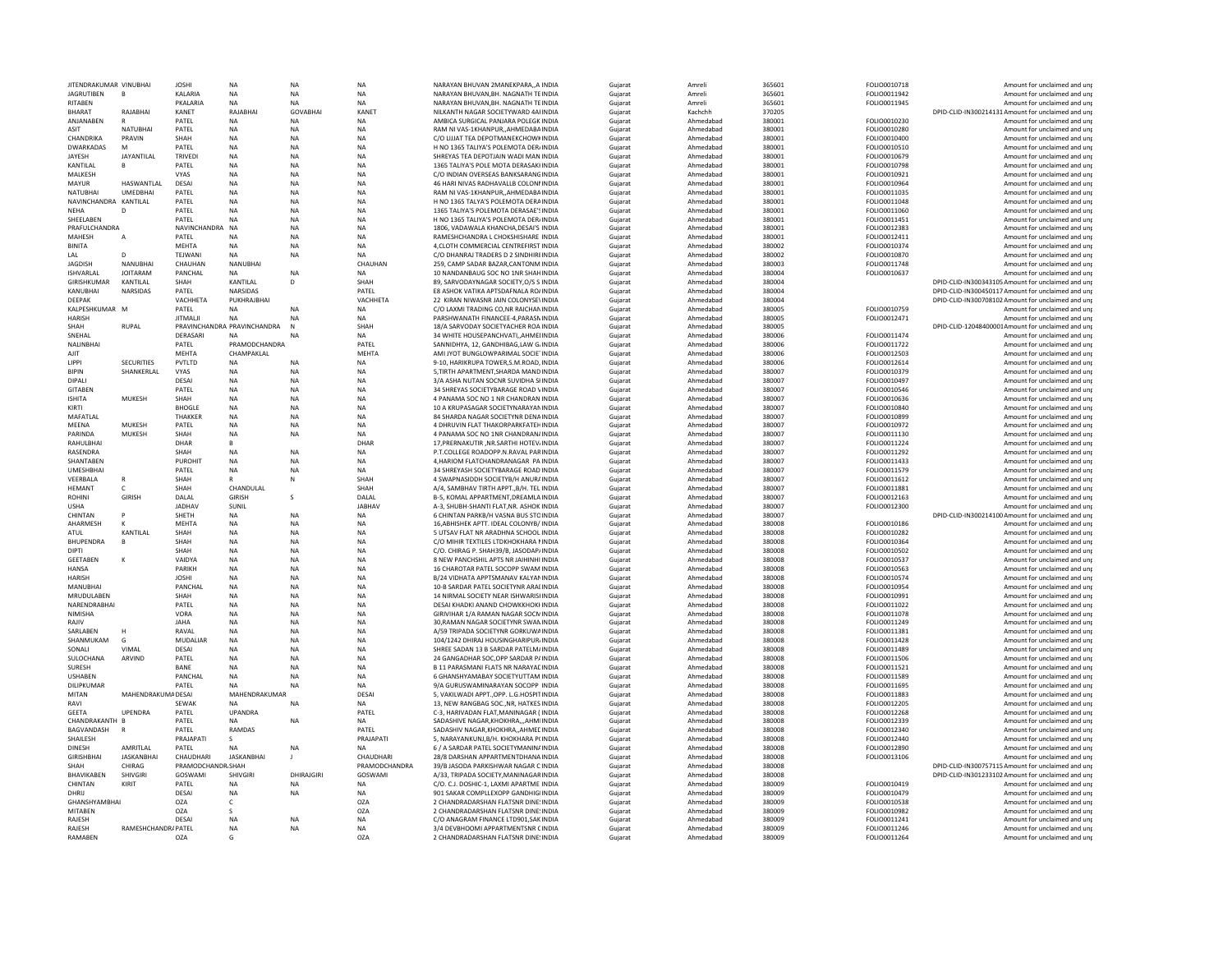| JITENDRAKUMAR VINUBHAI |                    | <b>JOSHI</b>                | <b>NA</b>              | <b>NA</b>        | <b>NA</b>              | NARAYAN BHUVAN 2MANEKPARAA INDIA                                          | Guiarat            | Amreli                 | 365601           | FOLIO0010718                 | Amount for unclaimed and uni                                |
|------------------------|--------------------|-----------------------------|------------------------|------------------|------------------------|---------------------------------------------------------------------------|--------------------|------------------------|------------------|------------------------------|-------------------------------------------------------------|
| <b>JAGRUTIBEN</b>      | B                  | KALARIA                     | <b>NA</b>              | NA               | NA                     | NARAYAN BHUVAN, BH. NAGNATH TEINDIA                                       | Gujarat            | Amreli                 | 365601           | FOLIO0011942                 | Amount for unclaimed and un                                 |
| RITABEN                |                    | PKALARIA                    | <b>NA</b>              | <b>NA</b>        | <b>NA</b>              | NARAYAN BHUVAN.BH, NAGNATH TEINDIA                                        | Guiarat            | Amreli                 | 365601           | FOLIO0011945                 | Amount for unclaimed and uni                                |
| BHARAT                 | RAJABHAI           | KANET                       | RAJABHAI               | GOVABHAI         | KANET                  | NILKANTH NAGAR SOCIETYWARD 4AHNDIA                                        | Gujarat            | Kachchh                | 370205           |                              | DPID-CLID-IN300214131 Amount for unclaimed and unj          |
| ANJANABEN<br>ASIT      | NATUBHAI           | PATEL<br>PATEL              | <b>NA</b><br><b>NA</b> | <b>NA</b><br>NA  | <b>NA</b><br><b>NA</b> | AMBICA SURGICAL PANJARA POLEGK INDIA<br>RAM NI VAS-1KHANPURAHMEDABAINDIA  | Guiarat<br>Guiarat | Ahmedabad<br>Ahmedabad | 380001<br>380001 | FOLIO0010230<br>FOLIO0010280 | Amount for unclaimed and uni<br>Amount for unclaimed and un |
| CHANDRIKA              | PRAVIN             | SHAH                        | <b>NA</b>              | <b>NA</b>        | <b>NA</b>              | C/O I IIIAT TEA DEPOTMANEKCHOWKINDIA                                      | Guiarat            | Ahmedabad              | 380001           | FOI IO0010400                | Amount for unclaimed and un                                 |
| DWARKADAS              | M                  | PATEL                       | <b>NA</b>              | NA               | <b>NA</b>              | H NO 1365 TALIYA'S POLEMOTA DER/INDIA                                     | Gujarat            | Ahmedabad              | 380001           | FOLIO0010510                 | Amount for unclaimed and un                                 |
| <b>IAYESH</b>          | JAYANTILAL         | <b>TRIVEDI</b>              | <b>NA</b>              | <b>NA</b>        | <b>NA</b>              | SHREYAS TEA DEPOTIAIN WADI MAN INDIA                                      | Gujarat            | Ahmedabad              | 380001           | FOLIO0010679                 | Amount for unclaimed and un                                 |
| KANTILAL               |                    | PATEL                       | <b>NA</b>              | NA               | <b>NA</b>              | 1365 TALIYA'S POLE MOTA DERASAKHNDIA                                      | Guiarat            | Ahmedabad              | 380001           | FOLIO0010798                 | Amount for unclaimed and un                                 |
| <b>MAI KESH</b>        |                    | <b>VYAS</b>                 | <b>NA</b>              | <b>NA</b>        | <b>NA</b>              | C/O INDIAN OVERSEAS BANKSARANGINDIA                                       | Guiarat            | Ahmedabad              | 380001           | FOLIO0010921                 | Amount for unclaimed and un                                 |
| MAYUR                  | <b>HASWANTLAI</b>  | DESAI                       | <b>NA</b>              | NA               | <b>NA</b>              | 46 HARI NIVAS RADHAVALLB COLONNINDIA                                      | Gujarat            | Ahmedabad              | 380001           | FOLIO0010964                 | Amount for unclaimed and unp                                |
| NATURHAI               | <b>UMEDBHAI</b>    | PATEL                       | <b>NA</b>              | <b>NA</b>        | <b>NA</b>              | RAM NI VAS-1KHANPURAHMEDABAINDIA                                          | Gujarat            | Ahmedabad              | 380001           | FOLIO0011035                 | Amount for unclaimed and un                                 |
| NAVINCHANDRA KANTILAL  |                    | PATEL                       | <b>NA</b>              | NA               | <b>NA</b>              | H NO 1365 TALYA'S POLEMOTA DERAINDIA                                      | Gujarat            | Ahmedabad              | 380001           | FOLIO0011048                 | Amount for unclaimed and un                                 |
| <b>NFHA</b>            |                    | PATEL                       | <b>NA</b>              | <b>NA</b>        | <b>NA</b>              | 1365 TALIYA'S POLEMOTA DERASAE'SINDIA                                     | Gujarat            | Ahmedabad              | 380001           | FOLIO0011060                 | Amount for unclaimed and un                                 |
| SHEELABEN              |                    | PATEL                       | <b>NA</b>              | NA               | <b>NA</b>              | H NO 1365 TALIYA'S POLEMOTA DER/INDIA                                     | Gujarat            | Ahmedabad              | 380001           | FOLIO0011451                 | Amount for unclaimed and un                                 |
| PRAFULCHANDRA          |                    | NAVINCHANDRA NA             |                        | NA               | <b>NA</b>              | 1806, VADAWALA KHANCHA, DESAI'S INDIA                                     | Gujarat            | Ahmedabad              | 380001           | FOLIO0012383                 | Amount for unclaimed and un                                 |
| MAHESH                 | $\mathbf{A}$       | PATEL                       | <b>NA</b>              | NA               | <b>NA</b>              | RAMESHCHANDRA L CHOKSHISHARE INDIA                                        | Guiarat            | Ahmedabad              | 380001           | FOLIO0012411                 | Amount for unclaimed and un                                 |
| <b>BINITA</b>          |                    | MFHTA                       | <b>NA</b>              | NA               | <b>NA</b>              | 4, CLOTH COMMERCIAL CENTREFIRST INDIA                                     | Gujarat            | Ahmedabad              | 380002           | FOLIO0010374                 | Amount for unclaimed and un                                 |
| LAL                    |                    | TEJWANI                     | <b>NA</b>              | <b>NA</b>        | <b>NA</b>              | C/O DHANRAJ TRADERS D 2 SINDHIREINDIA                                     | Guiarat            | Ahmedabad              | 380002           | FOLIO0010870                 | Amount for unclaimed and uni                                |
| <b>JAGDISH</b>         | NANUBHAI           | CHAUHAN                     | <b>NANUBHAI</b>        |                  | CHAUHAN                | 259, CAMP SADAR BAZAR, CANTONM INDIA                                      | Gujarat            | Ahmedabad              | 380003           | FOLIO0011748                 | Amount for unclaimed and un                                 |
| ISHVARLAL              | <b>IOITARAM</b>    | PANCHAL                     | <b>NA</b>              | NA               | <b>NA</b>              | 10 NANDANBAUG SOC NO 1NR SHAHINDIA                                        | Guiarat            | Ahmedabad              | 380004           | FOLIO0010637                 | Amount for unclaimed and un                                 |
| GIRISHKUMAR            | KANTILAL           | SHAH                        | KANTILAL               | D                | SHAH                   | 89, SARVODAYNAGAR SOCIETY, O/S S INDIA                                    | Gujarat            | Ahmedabad              | 380004           |                              | DPID-CLID-IN300343105 Amount for unclaimed and un           |
| KANUBHAI               | NARSIDAS           | PATEL                       | NARSIDAS               |                  | PATEL                  | E8 ASHOK VATIKA APTSDAFNALA RO/INDIA                                      | Guiarat            | Ahmedabad              | 380004           |                              | DPID-CLID-IN300450117 Amount for unclaimed and un           |
| DEEPAK                 |                    | VACHHETA                    | PUKHRAJBHAI            |                  | VACHHETA               | 22 KIRAN NIWASNR JAIN COLONYSEVINDIA                                      | Gujarat            | Ahmedabad              | 380004           |                              | DPID-CLID-IN300708102 Amount for unclaimed and un           |
| KAI PESHKUMAR M        |                    | PATFI                       | <b>NA</b>              | <b>NA</b>        | <b>NA</b>              | C/O LAXMI TRADING CO.NR RAICHANINDIA                                      | Guiarat            | Ahmedabad              | 380005           | FOLIO0010759                 | Amount for unclaimed and un                                 |
| <b>HARISH</b>          |                    | <b>JITMALJI</b>             | <b>NA</b>              | <b>NA</b>        | <b>NA</b>              | PARSHWANATH FINANCEE-4, PARASNINDIA                                       | Gujarat            | Ahmedabad              | 380005           | FOLIO0012471                 | Amount for unclaimed and un                                 |
| SHAH                   | <b>RUPAL</b>       | PRAVINCHANDRA PRAVINCHANDRA |                        | N                | SHAH                   | 18/A SARVODAY SOCIETYACHER ROA INDIA                                      | Guiarat            | Ahmedabad              | 380005           |                              | DPID-CLID-12048400001Amount for unclaimed and unj           |
| SNEHAL                 |                    | DERASARI                    | <b>NA</b>              |                  | <b>NA</b>              | 34 WHITE HOUSEPANCHVATIAHMEIINDIA                                         | Gujarat            | Ahmedabad              | 380006           | FOLIO0011474                 | Amount for unclaimed and un                                 |
| <b>NAI INBHAI</b>      |                    | PATFI                       | PRAMODCHANDRA          |                  | PATFI                  | SANNIDHYA, 12, GANDHIBAG,LAW G/INDIA                                      | Guiarat            | Ahmedabad              | 380006           | FOLIO0011722                 | Amount for unclaimed and un                                 |
| AIIT                   |                    | MEHTA                       | CHAMPAKLAL             |                  | MEHTA                  | AMI JYOT BUNGLOWPARIMAL SOCIETINDIA                                       | Gujarat            | Ahmedabad              | 380006           | FOLIO0012503                 | Amount for unclaimed and un                                 |
| <b>LIPPI</b>           | <b>SECURITIES</b>  | PVTLTD                      | <b>NA</b>              | <b>NA</b>        | <b>NA</b>              | 9-10. HARIKRUPA TOWER.S.M.ROAD. INDIA                                     | Gujarat            | Ahmedabad              | 380006           | FOLIO0012614                 | Amount for unclaimed and un                                 |
| <b>BIPIN</b>           | SHANKERLAL         | VYAS                        | <b>NA</b>              | <b>NA</b>        | <b>NA</b>              | 5.TIRTH APARTMENT.SHARDA MAND INDIA                                       | Gujarat            | Ahmedabad              | 380007           | FOLIO0010379                 | Amount for unclaimed and un                                 |
| DIPALI                 |                    | DESAI                       | <b>NA</b>              | <b>NA</b>        | <b>NA</b>              | 3/A ASHA NUTAN SOCNR SUVIDHA SHNDIA                                       | Gujarat            | Ahmedabad              | 380007           | FOLIO0010497                 | Amount for unclaimed and un                                 |
| <b>GITABEN</b>         |                    | PATEL                       | <b>NA</b>              | <b>NA</b>        | <b>NA</b>              | 34 SHREYAS SOCIETYBARAGE ROAD VINDIA                                      | Gujarat            | Ahmedabad              | 380007           | FOLIO0010546                 | Amount for unclaimed and un                                 |
| <b>ISHITA</b>          | MUKESH             | SHAH                        | <b>NA</b>              | <b>NA</b>        | <b>NA</b>              | 4 PANAMA SOC NO 1 NR CHANDRAN INDIA                                       | Guiarat            | Ahmedabad              | 380007           | FOLIO0010636                 | Amount for unclaimed and un                                 |
| KIRTI                  |                    | <b>BHOGLE</b>               | <b>NA</b>              | NA               | <b>NA</b>              | 10 A KRUPASAGAR SOCIETYNARAYANINDIA                                       | Guiarat            | Ahmedabad              | 380007           | FOLIO0010840                 | Amount for unclaimed and unp                                |
| MAFATLAL               |                    | <b>THAKKER</b>              | NA                     | <b>NA</b>        | <b>NA</b>              | 84 SHARDA NAGAR SOCIETYNR DENAINDIA                                       | Gujarat            | Ahmedabad              | 380007           | FOLIO0010899                 | Amount for unclaimed and un                                 |
| MEENA                  | <b>MUKESH</b>      | PATEL                       | NA                     | NA               | <b>NA</b>              | 4 DHRUVIN FLAT THAKORPARKFATEHINDIA                                       | Gujarat            | Ahmedabad              | 380007           | FOLIO0010972                 | Amount for unclaimed and un                                 |
| PARINDA                | <b>MUKESH</b>      | SHAH                        | NA                     | <b>NA</b>        | <b>NA</b>              | 4 PANAMA SOC NO 1NR CHANDRAN/INDIA                                        | Gujarat            | Ahmedabad              | 380007           | FOLIO0011130                 | Amount for unclaimed and un                                 |
| RAHULBHAI              |                    | DHAR                        | R.                     |                  | DHAR                   | 17, PRERNAKUTIR , NR. SARTHI HOTEV/INDIA                                  | Guiarat            | Ahmedabad              | 380007           | FOLIO0011224                 | Amount for unclaimed and un                                 |
| RASENDRA               |                    | SHAH                        | <b>NA</b>              | NA               | <b>NA</b>              | P.T.COLLEGE ROADOPP.N.RAVAL PARINDIA                                      | Gujarat            | Ahmedabad              | 380007           | FOLIO0011292                 | Amount for unclaimed and un                                 |
| SHANTABEN              |                    | PUROHIT                     | <b>NA</b>              | <b>NA</b>        | <b>NA</b>              | 4, HARIOM FLATCHANDRANAGAR PAINDIA                                        | Guiarat            | Ahmedabad              | 380007           | FOLIO0011433                 | Amount for unclaimed and un                                 |
| <b>UMESHBHAI</b>       |                    | PATEL                       | <b>NA</b>              | NA               | <b>NA</b>              | 34 SHREYASH SOCIETYBARAGE ROAD INDIA                                      | Gujarat            | Ahmedabad              | 380007           | FOLIO0011579                 | Amount for unclaimed and un                                 |
| <b>VFFRBALA</b>        | R                  | SHAH                        |                        | Ν                | SHAH                   | 4 SWAPNASIDDH SOCIFTYB/H ANURAINDIA                                       | Gujarat            | Ahmedabad              | 380007           | FOLIO0011612                 | Amount for unclaimed and uni                                |
| HEMANT                 |                    | SHAH                        | CHANDULAL              |                  | SHAH                   | A/4, SAMBHAV TIRTH APPT., B/H. TEL INDIA                                  | Gujarat            | Ahmedabad              | 380007           | FOLIO0011881                 | Amount for unclaimed and un                                 |
| <b>ROHIN</b>           | <b>GIRISH</b>      | DALAL                       | <b>GIRISH</b>          | S                | DALAI                  | B-5, KOMAL APPARTMENT, DREAMLA INDIA                                      | Guiarat            | Ahmedabad              | 380007           | FOLIO0012163                 | Amount for unclaimed and un                                 |
| <b>USHA</b>            |                    | <b>JADHAV</b>               | SUNIL                  |                  | JABHAV                 | A-3, SHUBH-SHANTI FLAT, NR. ASHOK INDIA                                   | Guiarat            | Ahmedabad              | 380007           | FOLIO0012300                 | Amount for unclaimed and un                                 |
| CHINTAN                | P                  | SHETH                       | <b>NA</b>              | <b>NA</b>        | <b>NA</b>              | 6 CHINTAN PARKB/H VASNA BUS STOINDIA                                      | Gujarat            | Ahmedabad              | 380007           |                              | DPID-CLID-IN300214100 Amount for unclaimed and un           |
| AHARMESH               |                    | MEHTA                       | <b>NA</b>              | NA               | <b>NA</b>              | 16, ABHISHEK APTT. IDEAL COLONYB/ INDIA                                   | Gujarat            | Ahmedabad              | 380008           | FOLIO0010186                 | Amount for unclaimed and un                                 |
| ATUL                   | KANTILAL           | SHAH                        |                        |                  |                        |                                                                           | Guiarat            | Ahmedahad              |                  |                              |                                                             |
| BHUPENDRA              |                    |                             | <b>NA</b>              | <b>NA</b>        | <b>NA</b>              | 5 UTSAV FLAT NR ARADHNA SCHOOL INDIA                                      |                    |                        | 380008           | FOLIO0010282                 | Amount for unclaimed and un                                 |
| <b>DIPTI</b>           | <b>B</b>           | SHAH                        | <b>NA</b>              | NA               | <b>NA</b>              | C/O MIHIR TEXTILES LTDKHOKHARA NINDIA                                     | Guiarat            | Ahmedabad              | 380008           | FOLIO0010364                 | Amount for unclaimed and un                                 |
|                        |                    | SHAH                        | NA                     | <b>NA</b>        | <b>NA</b>              | C/O. CHIRAG P. SHAH39/B. JASODAP/INDIA                                    | Guiarat            | Ahmedabad              | 380008           | FOLIO0010502                 | Amount for unclaimed and un                                 |
| <b>GEETABEN</b>        |                    | VAIDYA                      | NA                     | NA               | <b>NA</b>              | 8 NEW PANCHSHIL APTS NR JAIHINHI INDIA                                    | Gujarat            | Ahmedabad              | 380008           | FOLIO0010537                 | Amount for unclaimed and un                                 |
| <b>HANSA</b>           |                    | <b>PARIKH</b>               | <b>NA</b>              | <b>NA</b>        | <b>NA</b>              | 16 CHAROTAR PATEL SOCOPP SWAM INDIA                                       | Guiarat            | Ahmedabad              | 380008           | FOLIO0010563                 | Amount for unclaimed and un                                 |
| <b>HARISH</b>          |                    | <b>IOSHI</b>                | NA                     | NA               | NA                     | <b>B/24 VIDHATA APPTSMANAV KAI YANINDIA</b>                               | Gujarat            | Ahmedabad              | 380008           | FOLIO0010574                 | Amount for unclaimed and un                                 |
| <b>MANUBHAI</b>        |                    | PANCHAL                     | NA                     | <b>NA</b>        | <b>NA</b>              | 10-B SARDAR PATEL SOCIETYNR ARALINDIA                                     | Gujarat            | Ahmedabad              | 380008           | FOLIO0010954                 | Amount for unclaimed and un                                 |
| <b>MRUDULABEN</b>      |                    | SHAH                        | <b>NA</b>              | <b>NA</b>        | <b>NA</b>              | 14 NIRMAL SOCIETY NEAR ISHWARISHNDIA                                      | Gujarat            | Ahmedabad              | 380008           | FOLIO0010991                 | Amount for unclaimed and un                                 |
| NARENDRABHAI           |                    | PATEL                       | <b>NA</b>              | <b>NA</b>        | <b>NA</b>              | DESAI KHADKI ANAND CHOWKKHOKHINDIA                                        | Gujarat            | Ahmedabad              | 380008           | FOLIO0011022                 | Amount for unclaimed and un                                 |
| NIMISHA                |                    | VORA                        | NA                     | NA               | <b>NA</b>              | GIRIVIHAR 1/A RAMAN NAGAR SOCMINDIA                                       | Gujarat            | Ahmedabad              | 380008           | FOLIO0011078                 | Amount for unclaimed and un                                 |
| RAIIV                  |                    | <b>JAHA</b>                 | <b>NA</b>              | <b>NA</b>        | <b>NA</b>              | 30.RAMAN NAGAR SOCIETYNR SWANINDIA                                        | Gujarat            | Ahmedabad              | 380008           | FOLIO0011249                 | Amount for unclaimed and un                                 |
| SARLABEN               | н                  | RAVAL                       | <b>NA</b>              | <b>NA</b>        | <b>NA</b>              | A/59 TRIPADA SOCIETYNR GORKUWAINDIA                                       | Guiarat            | Ahmedabad              | 380008           | FOLIO0011381                 | Amount for unclaimed and uni                                |
| SHANMUKAM              | G                  | MUDALIAR                    | <b>NA</b>              | <b>NA</b>        | <b>NA</b>              | 104/1242 DHIRAJ HOUSINGHARIPUR/INDIA                                      | Gujarat            | Ahmedabad              | 380008           | FOLIO0011428                 | Amount for unclaimed and un                                 |
| SONALI                 | VIMAL              | DESAI                       | NA                     | NA               | <b>NA</b>              | SHREE SADAN 13 B SARDAR PATELM/INDIA                                      | Gujarat            | Ahmedabad              | 380008           | FOLIO0011489                 | Amount for unclaimed and un                                 |
| SULOCHANA              | ARVIND             | PATEL                       | NA                     | NA               | NA                     | 24 GANGADHAR SOC, OPP SARDAR PAINDIA                                      | Gujarat            | Ahmedabad              | 380008           | FOLIO0011506                 | Amount for unclaimed and un                                 |
| SURESH                 |                    | BANE                        | <b>NA</b>              | <b>NA</b>        | <b>NA</b>              | <b>B 11 PARASMANI FLATS NR NARAYACINDIA</b>                               | Guiarat            | Ahmedabad              | 380008           | FOLIO0011521                 | Amount for unclaimed and un                                 |
| <b>USHABEN</b>         |                    | PANCHAI                     | <b>NA</b>              | NA               | <b>NA</b>              | 6 GHANSHYAMABAY SOCIETYUTTAM INDIA                                        | Guiarat            | Ahmedabad              | 380008           | FOLIO0011589                 | Amount for unclaimed and un                                 |
| DILIPKUMAR             |                    | PATEL                       | <b>NA</b>              | <b>NA</b>        | <b>NA</b>              | 9/A GURUSWAMINARAYAN SOCOPP INDIA                                         | Guiarat            | Ahmedabad              | 380008           | FOLIO0011695                 | Amount for unclaimed and un                                 |
| MITAN                  | MAHENDRAKUMA DESAI |                             | MAHENDRAKUMAR          |                  | DESAI                  | 5, VAKILWADI APPT., OPP. L.G.HOSPITINDIA                                  | Gujarat            | Ahmedabad              | 380008           | FOLIO0011883                 | Amount for unclaimed and un                                 |
| RAVI                   |                    | <b>SFWAK</b>                | <b>NA</b>              | <b>NA</b>        | <b>NA</b>              | 13. NEW RANGBAG SOC. NR. HATKES INDIA                                     | Guiarat            | Ahmedabad              | 380008           | FOLIO0012205                 | Amount for unclaimed and un                                 |
| GEETA                  | UPENDRA            | PATEL                       | UPANDRA                |                  | PATEL                  | C-3, HARIVADAN FLAT, MANINAGAR (INDIA                                     | Gujarat            | Ahmedabad              | 380008           | FOLIO0012268                 | Amount for unclaimed and un                                 |
| CHANDRAKANTH B         |                    | PATEL                       | <b>NA</b>              | <b>NA</b>        | <b>NA</b>              | SADASHIVE NAGAR.KHOKHRAAHMIINDIA                                          | Guiarat            | Ahmedabad              | 380008           | FOLIO0012339                 | Amount for unclaimed and un                                 |
| BAGVANDASH             |                    | PATEL                       | <b>RAMDAS</b>          |                  | PATEI                  | SADASHIV NAGAR.KHOKHRA., AHMECINDIA                                       | Gujarat            | Ahmedabad              | 380008           | FOLIO0012340                 | Amount for unclaimed and un                                 |
| <b>SHAILESH</b>        |                    | PRAIAPATI                   | s.                     |                  | PRAIAPATI              | 5. NARAYANKUNLB/H. KHOKHARA P(INDIA                                       | Guiarat            | Ahmedabad              | 380008           | <b>FOLIO0012440</b>          | Amount for unclaimed and un                                 |
| <b>DINESH</b>          | AMRITLAL           | PATEL                       | <b>NA</b>              | <b>NA</b>        | <b>NA</b>              | 6 / A SARDAR PATEL SOCIETYMANINAINDIA                                     | Gujarat            | Ahmedabad              | 380008           | FOLIO0012890                 | Amount for unclaimed and un                                 |
| <b>GIRISHBHA</b>       | <b>IASKANRHAI</b>  | CHAUDHAR                    | <b>JASKANBHAI</b>      | т.               | CHAUDHARI              | 28/8 DARSHAN APPARTMENTDHANA INDIA                                        | Gujarat            | Ahmedabad              | 380008           | FOLIO0013106                 | Amount for unclaimed and un                                 |
| SHAH                   | CHIRAG             | PRAMODCHANDR SHAH           |                        |                  | PRAMODCHANDRA          | 39/B JASODA PARKISHWAR NAGAR C INDIA                                      | Guiarat            | Ahmedabad              | 380008           |                              | DPID-CLID-IN300757115 Amount for unclaimed and un           |
| <b>BHAVIKABEN</b>      | <b>SHIVGIRI</b>    | GOSWAMI                     | <b>SHIVGIRI</b>        | <b>DHIRAIGIR</b> | GOSWAMI                | A/33. TRIPADA SOCIETY MANINAGARINDIA                                      | Guiarat            | Ahmedabad              | 380008           |                              | DPID-CLID-IN301233102 Amount for unclaimed and un           |
| CHINTAN                | KIRIT              | PATEL                       | <b>NA</b>              | NA               | <b>NA</b>              | C/O. C.J. DOSHIC-1, LAXMI APARTME INDIA                                   | Gujarat            | Ahmedabad              | 380009           | FOLIO0010419                 | Amount for unclaimed and unp                                |
| DHRII                  |                    | DESAI                       | <b>NA</b>              | <b>NA</b>        | <b>NA</b>              | 901 SAKAR COMPLLEXOPP GANDHIGHNDIA                                        | Gujarat            | Ahmedabad              | 380009           | FOLIO0010479                 | Amount for unclaimed and uni                                |
| GHANSHYAMBHAI          |                    | OZA                         | $\mathsf{C}$           |                  | OZA                    | 2 CHANDRADARSHAN FLATSNR DINE(INDIA                                       | Guiarat            | Ahmedabad              | 380009           | FOLIO0010538                 | Amount for unclaimed and uni                                |
| <b>MITAREN</b>         |                    | OZA                         | s                      |                  | <b>OZA</b>             | 2 CHANDRADARSHAN FLATSNR DINF INDIA                                       | Gujarat            | Ahmedabad              | 380009           | FOLIO0010982                 | Amount for unclaimed and un                                 |
| RAJESH                 |                    | <b>DESA</b>                 | <b>NA</b>              | <b>NA</b>        | <b>NA</b>              | C/O ANAGRAM FINANCE LTD901.SAK INDIA                                      | Gujarat            | Ahmedabad              | 380009           | FOLIO0011241                 | Amount for unclaimed and unp                                |
| RAJESH<br>RAMABEN      | RAMESHCHANDRAPATEL | <b>OZA</b>                  | <b>NA</b><br>G         | <b>NA</b>        | <b>NA</b><br>OZA       | 3/4 DEVBHOOMI APPARTMENTSNR CINDIA<br>2 CHANDRADARSHAN FLATSNR DINE(INDIA | Gujarat<br>Guiarat | Ahmedabad<br>Ahmedabad | 380009<br>380009 | FOLIO0011246<br>FOLIO0011264 | Amount for unclaimed and un<br>Amount for unclaimed and uni |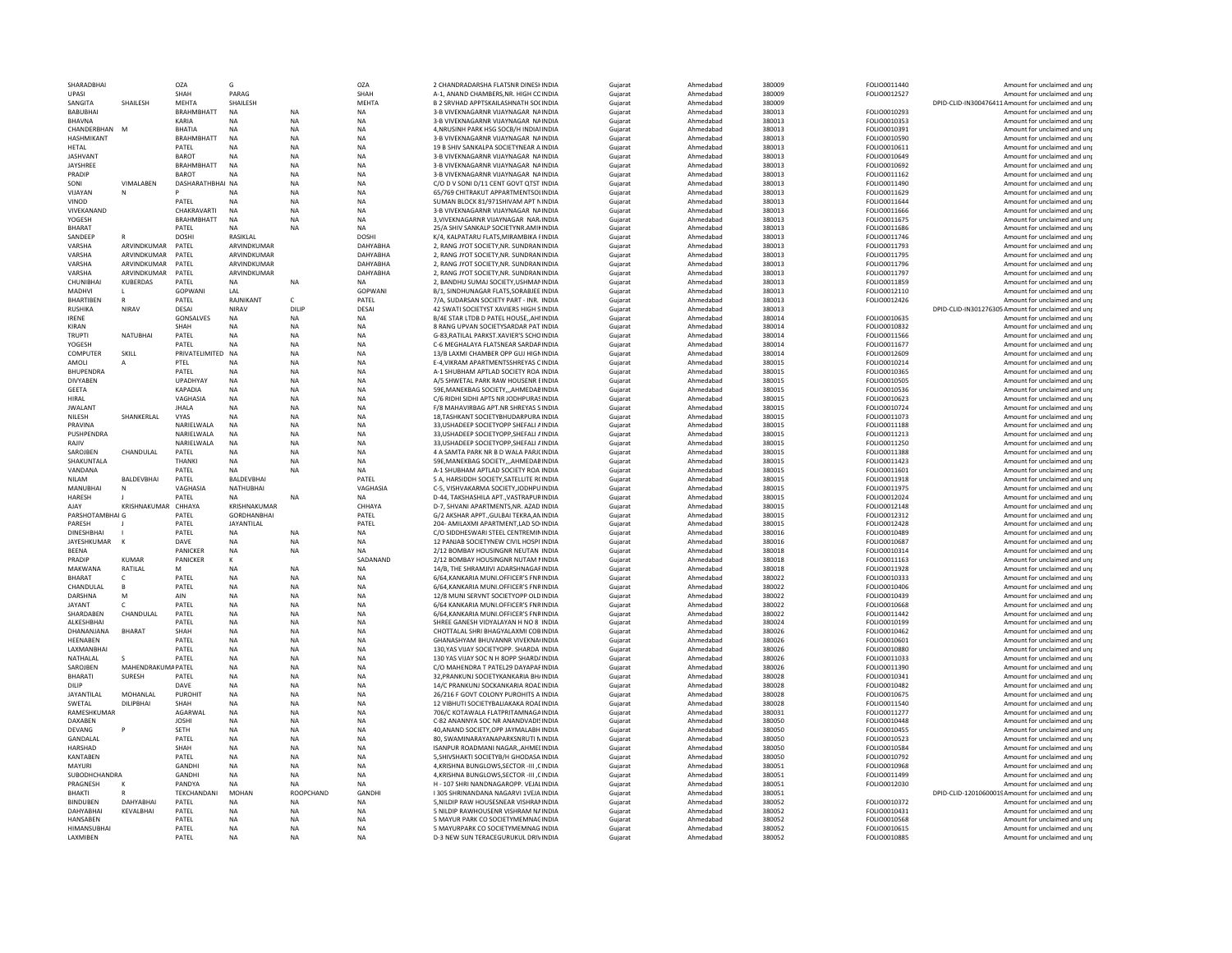| SHARADBHAI                        |                                    | OZA                        | G                                  |                        | OZA                    | 2 CHANDRADARSHA FLATSNR DINESHINDIA                                                | Gujarat            | Ahmedabad              | 380009           | FOLIO0011440                 | Amount for unclaimed and uni                                |
|-----------------------------------|------------------------------------|----------------------------|------------------------------------|------------------------|------------------------|------------------------------------------------------------------------------------|--------------------|------------------------|------------------|------------------------------|-------------------------------------------------------------|
| UPASI                             |                                    | SHAH                       | PARAG                              |                        | SHAH                   | A-1, ANAND CHAMBERS, NR, HIGH COINDIA                                              | Gujarat            | Ahmedabad              | 380009           | FOLIO0012527                 | Amount for unclaimed and un                                 |
| SANGITA                           | SHAILESH                           | <b>MFHTA</b>               | <b>SHAILESH</b>                    |                        | MFHTA                  | B 2 SRVHAD APPTSKAILASHNATH SOCINDIA                                               | Guiarat            | Ahmedabad              | 380009           |                              | DPID-CLID-IN300476411 Amount for unclaimed and uni          |
| <b>BABUBHAI</b><br><b>BHAVNA</b>  |                                    | <b>BRAHMBHATT</b><br>KARIA | <b>NA</b><br><b>NA</b>             | <b>NA</b><br><b>NA</b> | <b>NA</b><br><b>NA</b> | 3-B VIVEKNAGARNR VIJAYNAGAR NAINDIA<br>3-B VIVEKNAGARNR VIJAYNAGAR NAINDIA         | Gujarat<br>Gujarat | Ahmedabad<br>Ahmedabad | 380013<br>380013 | FOLIO0010293<br>FOLIO0010353 | Amount for unclaimed and unp<br>Amount for unclaimed and un |
| CHANDERBHAN M                     |                                    | <b>BHATIA</b>              | <b>NA</b>                          | NA                     | <b>NA</b>              | 4, NRUSINH PARK HSG SOCB/H INDIANNDIA                                              | Guiarat            | Ahmedabad              | 380013           | FOLIO0010391                 | Amount for unclaimed and uni                                |
| HASHMIKANT                        |                                    | <b>BRAHMBHATT</b>          | NA                                 | <b>NA</b>              | <b>NA</b>              | 3-B VIVEKNAGARNR VIIAYNAGAR NAINDIA                                                | Gujarat            | Ahmedabad              | 380013           | FOLIO0010590                 | Amount for unclaimed and un                                 |
| <b>HETAL</b>                      |                                    | PATEL                      | <b>NA</b>                          | NA                     | <b>NA</b>              | 19 B SHIV SANKALPA SOCIETYNEAR A INDIA                                             | Gujarat            | Ahmedabad              | 380013           | FOLIO0010611                 | Amount for unclaimed and un                                 |
| <b>JASHVANT</b>                   |                                    | <b>BAROT</b>               | <b>NA</b>                          | NA                     | NA                     | 3-B VIVEKNAGARNR VIJAYNAGAR NAINDIA                                                | Gujarat            | Ahmedabad              | 380013           | FOLIO0010649                 | Amount for unclaimed and un                                 |
| JAYSHREE                          |                                    | <b>BRAHMBHATT</b>          | <b>NA</b>                          | NA                     | <b>NA</b>              | 3-B VIVEKNAGARNR VIJAYNAGAR NAINDIA                                                | Guiarat            | Ahmedabad              | 380013           | FOLIO0010692                 | Amount for unclaimed and un                                 |
| PRADIP                            |                                    | <b>BAROT</b>               | <b>NA</b>                          | <b>NA</b>              | <b>NA</b>              | 3-B VIVEKNAGARNR VIIAYNAGAR NAINDIA                                                | Gujarat            | Ahmedabad              | 380013           | FOLIO0011162                 | Amount for unclaimed and un                                 |
| SONI                              | VIMALABEN                          | DASHARATHBHAI NA           |                                    | <b>NA</b>              | <b>NA</b>              | C/O D V SONI D/11 CENT GOVT QTST INDIA                                             | Guiarat            | Ahmedabad              | 380013           | FOLIO0011490                 | Amount for unclaimed and uni                                |
| VIJAYAN<br>VINOD                  |                                    | PATFI                      | <b>NA</b><br><b>NA</b>             | <b>NA</b><br>NA        | <b>NA</b><br><b>NA</b> | 65/769 CHITRAKUT APPARTMENTSOLINDIA<br>SUMAN BLOCK 81/971SHIVAM APT NINDIA         | Gujarat<br>Guiarat | Ahmedabad<br>Ahmedabad | 380013<br>380013 | FOLIO0011629<br>FOLIO0011644 | Amount for unclaimed and un<br>Amount for unclaimed and un  |
| VIVEKANAND                        |                                    | CHAKRAVARTI                | NA                                 | NA                     | NA                     | 3-B VIVEKNAGARNR VIJAYNAGAR NAINDIA                                                | Gujarat            | Ahmedabad              | 380013           | FOLIO0011666                 | Amount for unclaimed and un                                 |
| YOGESH                            |                                    | <b>BRAHMBHATT</b>          | <b>NA</b>                          | <b>NA</b>              | <b>NA</b>              | 3. VIVEKNAGARNR VIJAYNAGAR NARJINDIA                                               | Guiarat            | Ahmedabad              | 380013           | FOLIO0011675                 | Amount for unclaimed and un                                 |
| BHARAT                            |                                    | PATEL                      |                                    | <b>NA</b>              | <b>NA</b>              | 25/A SHIV SANKALP SOCIETYNR.AMIKINDIA                                              | Gujarat            | Ahmedabad              | 380013           | FOLIO0011686                 | Amount for unclaimed and un                                 |
| SANDEFF                           |                                    | <b>DOSHI</b>               | <b>RASIKI AI</b>                   |                        | <b>DOSH</b>            | K/4. KAI PATARU FI ATS MIRAMBIKA FINDIA                                            | Guiarat            | Ahmedabad              | 380013           | FOLIO0011746                 | Amount for unclaimed and un                                 |
| VARSHA                            | ARVINDKUMAR                        | PATEL                      | ARVINDKUMAR                        |                        | DAHYABHA               | 2, RANG JYOT SOCIETY, NR. SUNDRANINDIA                                             | Gujarat            | Ahmedabad              | 380013           | FOLIO0011793                 | Amount for unclaimed and un                                 |
| VARSHA                            | ARVINDKUMAR                        | PATFI                      | ARVINDKUMAR                        |                        | DAHYARHA               | 2. RANG IYOT SOCIETY NR. SUNDRANINDIA                                              | Guiarat            | Ahmedabad              | 380013           | FOLIO0011795                 | Amount for unclaimed and un                                 |
| VARSHA<br>VARSHA                  | ARVINDKUMAR<br>ARVINDKUMAR         | PATEL<br>PATEL             | ARVINDKUMAR<br>ARVINDKUMAR         |                        | DAHYABHA<br>DAHYABHA   | 2. RANG JYOT SOCIETY.NR. SUNDRANINDIA<br>2. RANG JYOT SOCIETY.NR. SUNDRANINDIA     | Gujarat            | Ahmedabad              | 380013<br>380013 | FOLIO0011796<br>FOLIO0011797 | Amount for unclaimed and un                                 |
| CHUNIBHAI                         | <b>KUBERDAS</b>                    | PATEL                      | <b>NA</b>                          | <b>NA</b>              | <b>NA</b>              | 2. BANDHU SUMAJ SOCIETY.USHMANINDIA                                                | Gujarat<br>Gujarat | Ahmedabad<br>Ahmedabad | 380013           | FOLIO0011859                 | Amount for unclaimed and un<br>Amount for unclaimed and un  |
| MADHVI                            |                                    | GOPWANI                    | <b>I</b> AI                        |                        | GOPWANI                | <b>B/1. SINDHUNAGAR FLATS SORABIEE INDIA</b>                                       | Guiarat            | Ahmedabad              | 380013           | FOLIO0012110                 | Amount for unclaimed and un                                 |
| BHARTIBEN                         |                                    | PATEL                      | RAJNIKANT                          | Ċ.                     | PATEI                  | 7/A. SUDARSAN SOCIETY PART - INR. INDIA                                            | Gujarat            | Ahmedabad              | 380013           | FOLIO0012426                 | Amount for unclaimed and un                                 |
| <b>RUSHIKA</b>                    | <b>NIRAV</b>                       | DESAI                      | <b>NIRAV</b>                       | <b>DILIP</b>           | DESA                   | 42 SWATI SOCIETYST XAVIERS HIGH SINDIA                                             | Gujarat            | Ahmedabad              | 380013           |                              | DPID-CLID-IN301276305 Amount for unclaimed and un           |
| <b>IRENE</b>                      |                                    | GONSALVES                  | <b>NA</b>                          | <b>NA</b>              | <b>NA</b>              | B/4E STAR LTDB D PATEL HOUSEAH!INDIA                                               | Gujarat            | Ahmedabad              | 380014           | FOLIO0010635                 | Amount for unclaimed and un                                 |
| KIRAN                             |                                    | SHAH                       | <b>NA</b>                          | <b>NA</b>              | <b>NA</b>              | 8 RANG UPVAN SOCIETYSARDAR PAT INDIA                                               | Guiarat            | Ahmedabad              | 380014           | FOLIO0010832                 | Amount for unclaimed and un                                 |
| <b>TRUPTI</b>                     | NATUBHAI                           | PATEL                      | <b>NA</b>                          | NA                     | <b>NA</b>              | G-83, RATILAL PARKST.XAVIER'S SCHOINDIA                                            | Gujarat            | Ahmedabad              | 380014           | FOLIO0011566                 | Amount for unclaimed and unp                                |
| YOGESH                            |                                    | PATEL                      | <b>NA</b>                          | <b>NA</b>              | <b>NA</b>              | C-6 MEGHALAYA FLATSNEAR SARDARINDIA                                                | Gujarat            | Ahmedabad              | 380014           | FOLIO0011677                 | Amount for unclaimed and un                                 |
| COMPUTER<br>AMOLI                 | SKILL                              | PRIVATELIMITED NA<br>PTEL  | <b>NA</b>                          | NA<br><b>NA</b>        | <b>NA</b><br><b>NA</b> | 13/B LAXMI CHAMBER OPP GUJ HIGNINDIA<br><b>F-4 VIKRAM APARTMENTSSHREYAS CINDIA</b> | Guiarat            | Ahmedabad<br>Ahmedabad | 380014<br>380015 | FOLIO0012609<br>FOLIO0010214 | Amount for unclaimed and un<br>Amount for unclaimed and un  |
| BHUPENDRA                         |                                    | PATEL                      | <b>NA</b>                          | NA                     | <b>NA</b>              | A-1 SHUBHAM APTLAD SOCIETY ROA INDIA                                               | Gujarat<br>Gujarat | Ahmedabad              | 380015           | FOLIO0010365                 | Amount for unclaimed and unj                                |
| DIVYABEN                          |                                    | UPADHYAY                   | <b>NA</b>                          | NA                     | NA                     | A/5 SHWETAL PARK RAW HOUSENR EINDIA                                                | Gujarat            | Ahmedabad              | 380015           | FOLIO0010505                 | Amount for unclaimed and un                                 |
| <b>GEETA</b>                      |                                    | KAPADIA                    | <b>NA</b>                          | NA                     | <b>NA</b>              | 59E, MANEKBAG SOCIETY, ,, AHMEDABINDIA                                             | Guiarat            | Ahmedabad              | 380015           | FOLIO0010536                 | Amount for unclaimed and un                                 |
| <b>HIRAI</b>                      |                                    | VAGHASIA                   | NA                                 | NA                     | <b>NA</b>              | C/6 RIDHI SIDHI APTS NR JODHPURASINDIA                                             | Gujarat            | Ahmedabad              | 380015           | FOLIO0010623                 | Amount for unclaimed and un                                 |
| <b>JWALANT</b>                    |                                    | <b>JHALA</b>               | <b>NA</b>                          | <b>NA</b>              | <b>NA</b>              | F/8 MAHAVIRBAG APT.NR SHREYAS SINDIA                                               | Guiarat            | Ahmedabad              | 380015           | FOLIO0010724                 | Amount for unclaimed and uni                                |
| NILESH                            | SHANKERLAL                         | VYAS                       | <b>NA</b>                          | NA                     | <b>NA</b>              | 18, TASHKANT SOCIETYBHUDARPURA INDIA                                               | Gujarat            | Ahmedabad              | 380015           | FOLIO0011073                 | Amount for unclaimed and un                                 |
| PRAVINA                           |                                    | NARIELWALA                 | NA                                 | NA                     | <b>NA</b>              | 33, USHADEEP SOCIETYOPP SHEFALI AINDIA                                             | Guiarat            | Ahmedabad              | 380015           | FOLIO0011188                 | Amount for unclaimed and un                                 |
| PUSHPENDRA<br>RAJIV               |                                    | NARIELWALA<br>NARIELWALA   | NA<br><b>NA</b>                    | NA<br><b>NA</b>        | NA<br><b>NA</b>        | 33, USHADEEP SOCIETYOPP, SHEFALI AINDIA<br>33. USHADEEP SOCIETYOPP. SHEFALI AINDIA | Gujarat<br>Guiarat | Ahmedabad<br>Ahmedabad | 380015<br>380015 | FOLIO0011213<br>FOLIO0011250 | Amount for unclaimed and un<br>Amount for unclaimed and un  |
| SAROJBEN                          | CHANDULAL                          | PATEL                      | <b>NA</b>                          | <b>NA</b>              | <b>NA</b>              | 4 A SAMTA PARK NR B D WALA PARJCINDIA                                              | Gujarat            | Ahmedabad              | 380015           | FOLIO0011388                 | Amount for unclaimed and un                                 |
| <b>SHAKUNTALA</b>                 |                                    | <b>THANKI</b>              | <b>NA</b>                          | <b>NA</b>              | <b>NA</b>              | 59F. MANEKBAG SOCIETY AHMEDABINDIA                                                 | Guiarat            | Ahmedabad              | 380015           | FOLIO0011423                 | Amount for unclaimed and un                                 |
| VANDANA                           |                                    | PATEL                      | <b>NA</b>                          | NA                     | <b>NA</b>              | A-1 SHUBHAM APTLAD SOCIETY ROA INDIA                                               | Gujarat            | Ahmedabad              | 380015           | FOLIO0011601                 | Amount for unclaimed and un                                 |
| <b>NII AM</b>                     | BALDEVBHAI                         | PATFI                      | <b>BAI DEVBHAI</b>                 |                        | PATFI                  | 5 A. HARSIDDH SOCIETY SATELLITE RONDIA                                             | Guiarat            | Ahmedabad              | 380015           | FOLIO0011918                 | Amount for unclaimed and un                                 |
| MANUBHAI                          |                                    | VAGHASIA                   | <b>NATHUBHAI</b>                   |                        | VAGHASIA               | C-5. VISHVAKARMA SOCIETY.JODHPUINDIA                                               | Gujarat            | Ahmedabad              | 380015           | FOLIO0011975                 | Amount for unclaimed and un                                 |
| <b>HARESH</b>                     |                                    | PATEL                      | <b>NA</b>                          | <b>NA</b>              | <b>NA</b>              | D-44, TAKSHASHILA APT., VASTRAPURINDIA                                             | Gujarat            | Ahmedabad              | 380015           | FOLIO0012024                 | Amount for unclaimed and un                                 |
| AJAY<br>PARSHOTAMBHAI G           | KRISHNAKUMAR                       | CHHAYA                     | KRISHNAKUMAR<br><b>GORDHANBHAI</b> |                        | CHHAYA<br>PATFI        | D-7. SHVANI APARTMENTS.NR, AZAD INDIA                                              | Gujarat            | Ahmedabad<br>Ahmedabad | 380015<br>380015 | FOLIO0012148                 | Amount for unclaimed and un<br>Amount for unclaimed and un  |
| PARESH                            |                                    | PATEL<br>PATEL             | JAYANTILAL                         |                        | PATEL                  | G/2 AKSHAR APPTGULBAI TEKRA.ANINDIA<br>204- AMILAXMI APARTMENT.LAD SOIINDIA        | Guiarat<br>Gujarat | Ahmedabad              | 380015           | FOLIO0012312<br>FOLIO0012428 | Amount for unclaimed and un                                 |
| <b>DINESHBHAI</b>                 |                                    | PATEL                      | <b>NA</b>                          | <b>NA</b>              | <b>NA</b>              | C/O SIDDHESWARI STEEL CENTREMININDIA                                               | Gujarat            | Ahmedabad              | 380016           | FOLIO0010489                 | Amount for unclaimed and un                                 |
| JAYESHKUMAR                       |                                    | DAVE                       | <b>NA</b>                          | <b>NA</b>              | <b>NA</b>              | 12 PANJAB SOCIETYNEW CIVIL HOSPITINDIA                                             | Guiarat            | Ahmedabad              | 380016           | FOLIO0010687                 | Amount for unclaimed and un                                 |
| <b>RFFNA</b>                      |                                    | PANICKER                   | NA                                 | <b>NA</b>              | <b>NA</b>              | 2/12 BOMBAY HOUSINGNR NEUTAN INDIA                                                 | Guiarat            | Ahmedabad              | 380018           | <b>FOLIO0010314</b>          | Amount for unclaimed and un                                 |
| PRADIP                            | <b>KUMAR</b>                       | PANICKER                   | К                                  |                        | SADANAND               | 2/12 BOMBAY HOUSINGNR NUTAM NINDIA                                                 | Gujarat            | Ahmedabad              | 380018           | FOLIO0011163                 | Amount for unclaimed and unp                                |
| MAKWANA                           | RATILAL                            | M                          | <b>NA</b>                          | <b>NA</b>              | <b>NA</b>              | 14/B. THE SHRAMJIVI ADARSHNAGAFINDIA                                               | Gujarat            | Ahmedabad              | 380018           | FOLIO0011928                 | Amount for unclaimed and un                                 |
| BHARAT                            |                                    | PATEL                      | NA                                 | NA                     | <b>NA</b>              | 6/64, KANKARIA MUNI.OFFICER'S FNRINDIA                                             | Guiarat            | Ahmedabad              | 380022           | FOLIO0010333                 | Amount for unclaimed and un                                 |
| CHANDULAL<br>DARSHNA              | $\overline{B}$<br>M                | PATEL<br>AIN               | <b>NA</b><br><b>NA</b>             | <b>NA</b><br>NA        | <b>NA</b><br><b>NA</b> | 6/64 KANKARIA MUNI OFFICER'S ENRINDIA<br>12/8 MUNI SERVNT SOCIETYOPP OLD INDIA     | Gujarat<br>Gujarat | Ahmedabad<br>Ahmedabad | 380022<br>380022 | FOLIO0010406<br>FOLIO0010439 | Amount for unclaimed and un<br>Amount for unclaimed and unj |
| <b>JAYANT</b>                     |                                    | PATEL                      | NA                                 | NA                     | NA                     | 6/64 KANKARIA MUNI.OFFICER'S FNRINDIA                                              | Gujarat            | Ahmedabad              | 380022           | FOLIO0010668                 | Amount for unclaimed and un                                 |
| SHARDABEN                         | CHANDULAL                          | PATEL                      | <b>NA</b>                          | NA                     | <b>NA</b>              | 6/64, KANKARIA MUNI.OFFICER'S FNRINDIA                                             | Guiarat            | Ahmedabad              | 380022           | FOLIO0011442                 | Amount for unclaimed and un                                 |
| <b>AI KESHBHAI</b>                |                                    | PATEL                      | NA                                 | <b>NA</b>              | <b>NA</b>              | SHREE GANESH VIDYALAYAN H NO 8 'INDIA                                              | Gujarat            | Ahmedabad              | 380024           | FOLIO0010199                 | Amount for unclaimed and un                                 |
| DHANANJANA                        | <b>BHARAT</b>                      | SHAH                       | <b>NA</b>                          | <b>NA</b>              | <b>NA</b>              | CHOTTALAL SHRI BHAGYALAXMI COBINDIA                                                | Guiarat            | Ahmedabad              | 380026           | FOLIO0010462                 | Amount for unclaimed and uni                                |
| HEENABEN                          |                                    | PATEL                      | <b>NA</b>                          | NA                     | <b>NA</b>              | GHANASHYAM BHUVANNR VIVEKNA(INDIA                                                  | Gujarat            | Ahmedabad              | 380026           | FOLIO0010601                 | Amount for unclaimed and un                                 |
| LAXMANBHAI                        |                                    | PATEL                      | NA                                 | NA                     | <b>NA</b>              | 130.YAS VIJAY SOCIETYOPP, SHARDA INDIA                                             | Guiarat            | Ahmedabad              | 380026           | FOLIO0010880                 | Amount for unclaimed and un                                 |
| NATHALAL                          |                                    | PATEL                      | NA                                 | NA                     | NA                     | 130 YAS VIJAY SOC N H 8OPP SHARD/INDIA                                             | Gujarat            | Ahmedabad              | 380026           | FOLIO0011033                 | Amount for unclaimed and un                                 |
| SAROJBEN<br><b>BHARATI</b>        | <b>MAHENDRAKUMAPATEL</b><br>SURESH | PATEL                      | <b>NA</b><br><b>NA</b>             | <b>NA</b><br>NA        | <b>NA</b><br><b>NA</b> | C/O MAHENDRA T PATEL29 DAYAPAFINDIA<br>32. PRANKUNJ SOCIETYKANKARIA BH/INDIA       | Guiarat            | Ahmedabad<br>Ahmedabad | 380026<br>380028 | FOLIO0011390<br>FOLIO0010341 | Amount for unclaimed and un<br>Amount for unclaimed and un  |
| <b>DILIP</b>                      |                                    | <b>DAVE</b>                | <b>NA</b>                          | <b>NA</b>              | <b>NA</b>              | 14/C PRANKUNI SOCKANKARIA ROACINDIA                                                | Gujarat<br>Guiarat | Ahmedabad              | 380028           | FOLIO0010482                 | Amount for unclaimed and un                                 |
| JAYANTILAL                        | MOHANLAL                           | PUROHIT                    | NA                                 | NA                     | NA                     | 26/216 F GOVT COLONY PUROHITS A INDIA                                              | Gujarat            | Ahmedabad              | 380028           | FOLIO0010675                 | Amount for unclaimed and un                                 |
| <b>SWFTAI</b>                     | DILIPBHAI                          | SHAH                       | <b>NA</b>                          | <b>NA</b>              | <b>NA</b>              | 12 VIBHUTI SOCIFTYBALIAKAKA ROAFINDIA                                              | Guiarat            | Ahmedabad              | 380028           | FOLIO0011540                 | Amount for unclaimed and un                                 |
| RAMESHKUMAR                       |                                    | AGARWAI                    | <b>NA</b>                          | NA                     | <b>NA</b>              | 706/C KOTAWALA FLATPRITAMNAGAINDIA                                                 | Gujarat            | Ahmedabad              | 380031           | FOLIO0011277                 | Amount for unclaimed and un                                 |
| DAXABEN                           |                                    | <b>JOSHI</b>               | <b>NA</b>                          | <b>NA</b>              | <b>NA</b>              | C-82 ANANNYA SOC NR ANANDVADISINDIA                                                | Gujarat            | Ahmedabad              | 380050           | FOLIO0010448                 | Amount for unclaimed and un                                 |
| DEVANG                            |                                    | SETH                       | NA                                 | NA                     | <b>NA</b>              | 40.ANAND SOCIETY.OPP JAYMALABH INDIA                                               | Gujarat            | Ahmedabad              | 380050           | FOLIO0010455                 | Amount for unclaimed and un                                 |
| <b>GANDALAI</b>                   |                                    | PATFI                      | <b>NA</b>                          | <b>NA</b>              | <b>NA</b>              | 80. SWAMINARAYANAPARKSNRUTI NINDIA                                                 | Guiarat            | Ahmedabad              | 380050           | <b>FOLIO0010523</b>          | Amount for unclaimed and un                                 |
| <b>HARSHAD</b><br><b>KANTABEN</b> |                                    | SHAH<br>PATEL              | <b>NA</b><br><b>NA</b>             | NA<br><b>NA</b>        | <b>NA</b><br><b>NA</b> | ISANPUR ROADMANI NAGARAHMELINDIA<br>5. SHIVSHAKTI SOCIETYB/H GHODASA INDIA         | Gujarat<br>Gujarat | Ahmedabad<br>Ahmedabad | 380050<br>380050 | FOLIO0010584<br>FOLIO0010792 | Amount for unclaimed and un<br>Amount for unclaimed and un  |
| MAYURI                            |                                    | GANDHI                     | <b>NA</b>                          | <b>NA</b>              | <b>NA</b>              | 4.KRISHNA BUNGLOWS.SECTOR -III .CINDIA                                             | Guiarat            | Ahmedabad              | 380051           | FOLIO0010968                 | Amount for unclaimed and un                                 |
| <b>SUBODHCHANDRA</b>              |                                    | GANDHI                     | <b>NA</b>                          | <b>NA</b>              | <b>NA</b>              | 4.KRISHNA BUNGLOWS.SECTOR -III .CINDIA                                             | Guiarat            | Ahmedabad              | 380051           | FOLIO0011499                 | Amount for unclaimed and un                                 |
| PRAGNESH                          |                                    | PANDYA                     | <b>NA</b>                          | <b>NA</b>              | <b>NA</b>              | H - 107 SHRI NANDNAGAROPP. VEJALINDIA                                              | Gujarat            | Ahmedabad              | 380051           | FOLIO0012030                 | Amount for unclaimed and unp                                |
| <b>BHAKTI</b>                     |                                    | TEKCHANDANI                | MOHAN                              | <b>ROOPCHAND</b>       | GANDH                  | I 305 SHRINANDANA NAGARVI 1VEJA INDIA                                              | Gujarat            | Ahmedabad              | 380051           |                              | DPID-CLID-12010600019Amount for unclaimed and un            |
| <b>BINDUBEN</b>                   | <b>DAHYABHAI</b>                   | PATEL                      | <b>NA</b>                          | <b>NA</b>              | <b>NA</b>              | 5, NILDIP RAW HOUSESNEAR VISHRANINDIA                                              | Guiarat            | Ahmedabad              | 380052           | FOLIO0010372                 | Amount for unclaimed and uni                                |
| DAHYARHAI                         | KEVALBHAI                          | PATEL<br>PATEL             | <b>NA</b>                          | <b>NA</b>              | <b>NA</b>              | 5 NILDIP RAWHOUSENR VISHRAM NAINDIA                                                | Gujarat            | Ahmedabad              | 380052           | FOLIO0010431                 | Amount for unclaimed and un<br>Amount for unclaimed and unp |
| <b>HANSABEN</b>                   |                                    |                            | <b>NA</b>                          | <b>NA</b>              | <b>NA</b>              | 5 MAYUR PARK CO SOCIETYMEMNAGINDIA                                                 | Gujarat            | Ahmedabad              | 380052           | FOLIO0010568                 |                                                             |
|                                   |                                    |                            |                                    |                        |                        |                                                                                    |                    |                        |                  |                              |                                                             |
| <b>HIMANSUBHAI</b><br>LAXMIBEN    |                                    | PATEL<br>PATEL             | <b>NA</b><br><b>NA</b>             | <b>NA</b><br><b>NA</b> | <b>NA</b><br><b>NA</b> | 5 MAYURPARK CO SOCIETYMEMNAG INDIA<br>D-3 NEW SUN TERACEGURUKUL DRIVINDIA          | Gujarat<br>Guiarat | Ahmedabad<br>Ahmedabad | 380052<br>380052 | FOLIO0010615<br>FOLIO0010885 | Amount for unclaimed and un<br>Amount for unclaimed and uni |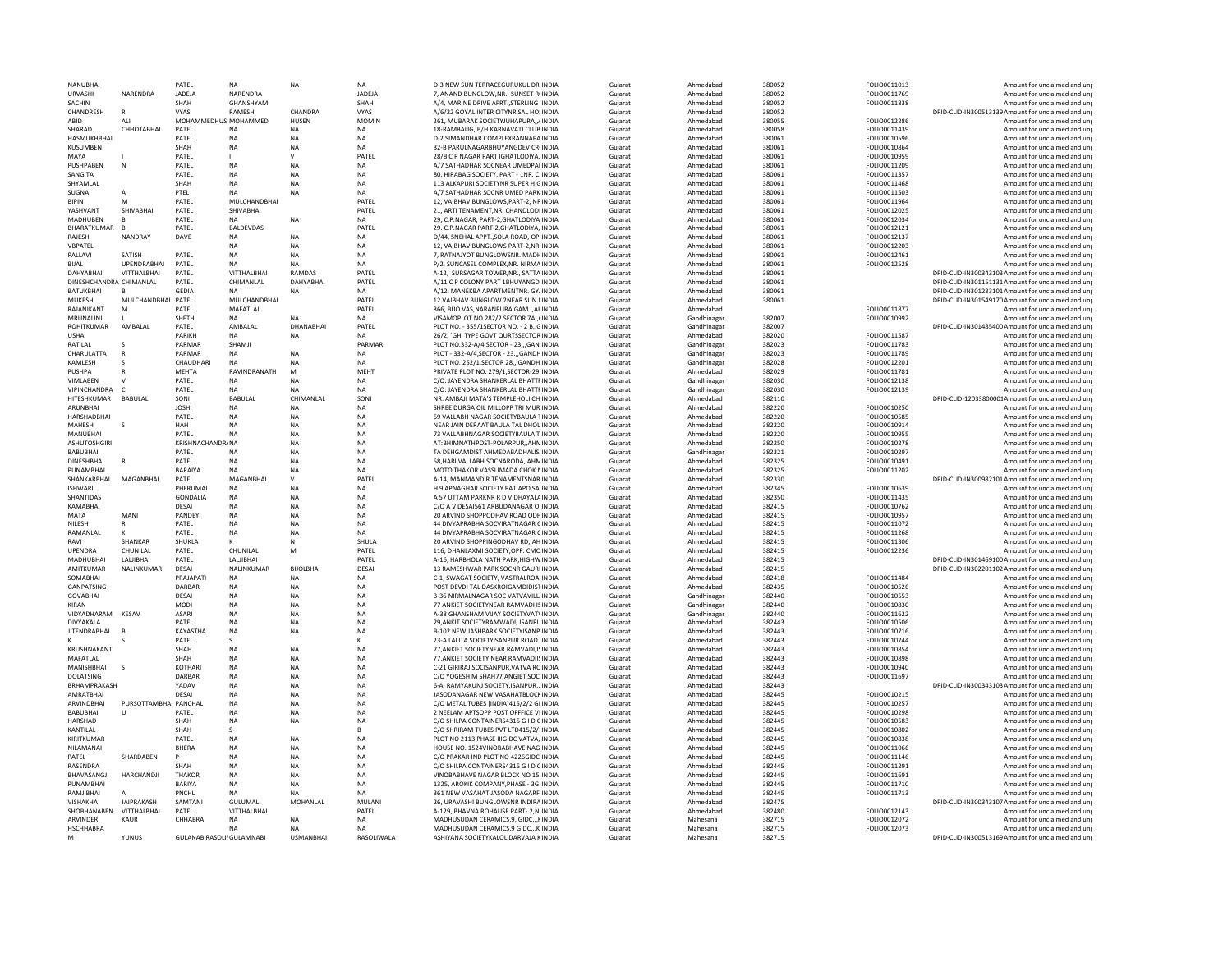| <b>NANUBHAI</b>         |                       | PATFI                    | <b>NA</b>        | <b>NA</b>        | <b>NA</b>     | <b>D-3 NEW SUN TERRACEGURUKUL DRIINDIA</b>                                     | Gujarat | Ahmedabad              | 380052           | FOLIO0011013        | Amount for unclaimed and uni                       |
|-------------------------|-----------------------|--------------------------|------------------|------------------|---------------|--------------------------------------------------------------------------------|---------|------------------------|------------------|---------------------|----------------------------------------------------|
| URVASHI                 | NARENDRA              | JADEJA                   | NARENDRA         |                  | <b>JADEJA</b> | 7. ANAND BUNGLOW.NR.- SUNSET R(INDIA                                           | Gujarat | Ahmedabad              | 380052           | FOLIO0011769        | Amount for unclaimed and un                        |
| <b>SACHIN</b>           |                       | <b>SHAH</b>              | <b>GHANSHYAM</b> |                  | SHAH          | A/4. MARINE DRIVE APRT. STERLING INDIA                                         | Guiarat | Ahmedabad              | 380052           | FOLIO0011838        | Amount for unclaimed and uni                       |
| CHANDRESH               |                       | <b>VYAS</b>              | RAMESH           | CHANDRA          | VYAS          | A/6/22 GOYAL INTER CITYNR SAL HOSINDIA                                         | Gujarat | Ahmedabad              | 380052           |                     | DPID-CLID-IN300513139 Amount for unclaimed and unp |
| ABID                    | AII                   | MOHAMMEDHUSIMOHAMMED     |                  | <b>HUSEN</b>     | <b>MOMIN</b>  | 261, MUBARAK SOCIETYJUHAPURA,, / INDIA                                         | Gujarat | Ahmedabad              | 380055           | FOLIO0012286        | Amount for unclaimed and un                        |
| SHARAD                  | СННОТАВНАІ            | PATEL                    | <b>NA</b>        | <b>NA</b>        | <b>NA</b>     | 18-RAMBAUG, B/H.KARNAVATI CLUB INDIA                                           | Guiarat | Ahmedabad              | 380058           | FOLIO0011439        | Amount for unclaimed and uni                       |
| <b>HASMUKHBHAI</b>      |                       | PATEL                    | <b>NA</b>        | <b>NA</b>        | <b>NA</b>     | D-2.SIMANDHAR COMPLEXRANNAPAINDIA                                              | Gujarat | Ahmedabad              | 380061           | FOLIO0010596        | Amount for unclaimed and un                        |
| KUSUMBEN                |                       | SHAH                     | NA               | NA               | NA            | 32-B PARULNAGARBHUYANGDEV CR(INDIA                                             | Gujarat | Ahmedabad              | 380061           | FOLIO0010864        | Amount for unclaimed and unj                       |
| MAYA                    |                       | PATEL                    |                  | v                | PATEL         | 28/B C P NAGAR PART IGHATLODIYA, INDIA                                         | Gujarat | Ahmedabad              | 380061           | FOLIO0010959        | Amount for unclaimed and un                        |
| PUSHPABEN               | N                     | PATFI                    | <b>NA</b>        | <b>NA</b>        | <b>NA</b>     | A/7 SATHADHAR SOCNEAR UMEDPAFINDIA                                             | Guiarat | Ahmedabad              | 380061           | FOLIO0011209        | Amount for unclaimed and un                        |
| SANGITA                 |                       | PATEL                    | <b>NA</b>        | <b>NA</b>        | <b>NA</b>     | 80. HIRABAG SOCIETY, PART - 1NR, C. INDIA                                      | Gujarat | Ahmedabad              | 380061           | FOLIO0011357        | Amount for unclaimed and un                        |
| SHYAMLAL                |                       | SHAH                     | <b>NA</b>        | <b>NA</b>        | <b>NA</b>     | 113 ALKAPURI SOCIETYNR SUPER HIGINDIA                                          | Guiarat | Ahmedabad              | 380061           | FOLIO0011468        | Amount for unclaimed and uni                       |
| SUGNA                   |                       | PTEL                     | <b>NA</b>        | NA               | <b>NA</b>     | A/7 SATHADHAR SOCNR UMED PARK INDIA                                            | Gujarat | Ahmedabad              | 380061           | FOLIO0011503        | Amount for unclaimed and un                        |
| <b>BIPIN</b>            | M                     | PATEL                    | MULCHANDBHAI     |                  | PATEL         | 12. VAIBHAV BUNGLOWS, PART-2, NRINDIA                                          | Guiarat | Ahmedabad              | 380061           | FOLIO0011964        | Amount for unclaimed and un                        |
| <b>YASHVANT</b>         | SHIVABHAI             | PATEL                    | SHIVABHAI        |                  | PATEL         | 21. ARTI TENAMENT.NR. CHANDLODI INDIA                                          | Guiarat | Ahmedabad              | 380061           | FOLIO0012025        | Amount for unclaimed and un                        |
| <b>MADHUBEN</b>         | $\overline{R}$        | PATEL                    | <b>NA</b>        | <b>NA</b>        | <b>NA</b>     | 29. C.P.NAGAR, PART-2.GHATLODIYA INDIA                                         | Guiarat | Ahmedabad              | 380061           | FOLIO0012034        | Amount for unclaimed and un                        |
| BHARATKUMAR             |                       | PATEL                    | <b>BALDEVDAS</b> |                  | PATEI         | 29. C.P.NAGAR PART-2, GHATLODIYA, INDIA                                        | Gujarat | Ahmedabad              | 380061           | FOLIO0012121        | Amount for unclaimed and un                        |
| RAIFSH                  | NANDRAY               | DAVE                     | <b>NA</b>        | <b>NA</b>        | <b>NA</b>     | D/44, SNEHAL APPT, SOLA ROAD, OPHNDIA                                          | Guiarat | Ahmedabad              | 380061           | FOLIO0012137        | Amount for unclaimed and un                        |
| VBPATEI                 |                       |                          | <b>NA</b>        | <b>NA</b>        | <b>NA</b>     | 12. VAIBHAV BUNGLOWS PART-2.NR. INDIA                                          | Guiarat | Ahmedabad              | 380061           | FOLIO0012203        | Amount for unclaimed and un                        |
| PALLAVI                 | SATISH                | PATEL                    | <b>NA</b>        | <b>NA</b>        | <b>NA</b>     | 7. RATNAJYOT BUNGLOWSNR, MADHINDIA                                             | Gujarat | Ahmedabad              | 380061           | FOLIO0012461        | Amount for unclaimed and un                        |
| <b>BIJAL</b>            | <b>UPENDRABHAI</b>    | PATEL                    | <b>NA</b>        | <b>NA</b>        | <b>NA</b>     | P/2, SUNCASEL COMPLEX, NR, NIRMA INDIA                                         |         |                        | 380061           |                     | Amount for unclaimed and uni                       |
| <b>DAHYARHA</b>         |                       | PATFI                    | VITTHALBHAI      | <b>RAMDAS</b>    | PATFI         |                                                                                | Gujarat | Ahmedabad<br>Ahmedahad | 380061           | FOLIO0012528        |                                                    |
|                         | VITTHALBHAI           |                          |                  |                  |               | A-12. SURSAGAR TOWER, NR., SATTA INDIA                                         | Guiarat |                        |                  |                     | DPID-CLID-IN300343103 Amount for unclaimed and unj |
| DINESHCHANDRA CHIMANLAL |                       | PATEL                    | CHIMANLAL        | DAHYARHAI        | PATEL         | A/11 C P COLONY PART 1 BHUYANG DIINDIA                                         | Guiarat | Ahmedabad              | 380061           |                     | DPID-CLID-IN301151131 Amount for unclaimed and un  |
| <b>BATUKBHAI</b>        |                       | <b>GEDIA</b>             | <b>NA</b>        | <b>NA</b>        | <b>NA</b>     | A/12, MANEKBA APARTMENTNR, GY/INDIA                                            | Gujarat | Ahmedabad              | 380061           |                     | DPID-CLID-IN301233101 Amount for unclaimed and un  |
| <b>MUKESH</b>           | MULCHANDBHAI PATEL    |                          | MULCHANDBHAI     |                  | PATEL         | 12 VAIBHAV BUNGLOW 2NEAR SUN NINDIA                                            | Gujarat | Ahmedabad              | 380061           |                     | DPID-CLID-IN301549170 Amount for unclaimed and uni |
| RAJANIKANT              | M                     | PATEL                    | MAFATLAL         |                  | PATEL         | 866, BIJO VAS, NARANPURA GAM AFINDIA                                           | Gujarat | Ahmedabad              |                  | FOLIO0011877        | Amount for unclaimed and un                        |
| <b>MRUNALIN</b>         |                       | SHFTH                    | <b>NA</b>        | <b>NA</b>        | <b>NA</b>     | VISAMOPLOT NO 282/2 SECTOR 7A,, (INDIA                                         | Guiarat | Gandhinagar            | 382007           | FOLIO0010992        | Amount for unclaimed and un                        |
| <b>ROHITKUMAR</b>       | AMBALAL               | PATEL                    | AMBALAL          | DHANABHAI        | PATEL         | PLOT NO. - 355/1SECTOR NO. - 2 B, GINDIA                                       | Gujarat | Gandhinagar            | 382007           |                     | DPID-CLID-IN301485400 Amount for unclaimed and un  |
| <b>USHA</b>             |                       | PARIKH                   | <b>NA</b>        | <b>NA</b>        | <b>NA</b>     | 26/2, 'GH' TYPE GOVT QURTSSECTOR INDIA                                         | Guiarat | Ahmedabad              | 382020           | FOLIO0011587        | Amount for unclaimed and uni                       |
| RATILAL                 |                       | PARMAR                   | SHAMJI           |                  | PARMAR        | PLOT NO.332-A/4,SECTOR - 23,,,GAN INDIA                                        | Gujarat | Gandhinagar            | 382023           | FOLIO0011783        | Amount for unclaimed and un                        |
| CHARUI ATTA             | $\overline{R}$        | PARMAR                   | <b>NA</b>        | <b>NA</b>        | <b>NA</b>     | PLOT - 332-A/4 SECTOR - 23. GANDHINDIA                                         | Guiarat | Gandhinagar            | 382023           | FOLIO0011789        | Amount for unclaimed and uni                       |
| KAMLESH                 |                       | CHAUDHARI                | NA               | <b>NA</b>        | NA            | PLOT NO. 252/1, SECTOR 28, ., GANDH INDIA                                      | Gujarat | Gandhinagar            | 382028           | FOLIO0012201        | Amount for unclaimed and un                        |
| <b>PUSHPA</b>           |                       | MEHTA                    | RAVINDRANATH     | M                | MEHT          | PRIVATE PLOT NO. 279/1.SECTOR-29.INDIA                                         | Guiarat | Ahmedabad              | 382029           | FOLIO0011781        | Amount for unclaimed and uni                       |
| <b>VIMLABEN</b>         |                       | PATEL                    | <b>NA</b>        | <b>NA</b>        | <b>NA</b>     | C/O. JAYENDRA SHANKERLAL BHATTFINDIA                                           | Gujarat | Gandhinagar            | 382030           | FOLIO0012138        | Amount for unclaimed and un                        |
| VIPINCHANDRA            | $\mathsf{C}$          | PATFI                    | <b>NA</b>        | <b>NA</b>        | <b>NA</b>     | C/O. JAYENDRA SHANKERI AI BHATTEINDIA                                          | Guiarat | Gandhinagar            | 382030           | FOLIO0012139        | Amount for unclaimed and un                        |
| HITESHKUMAR             | BABULAL               | SONI                     | BABULAL          | CHIMANLAL        | SONI          | NR. AMBAJI MATA'S TEMPLEHOLI CH.INDIA                                          | Gujarat | Ahmedabad              | 382110           |                     | DPID-CLID-12033800001Amount for unclaimed and un   |
| ARUNBHAI                |                       | <b>IOSHI</b>             | <b>NA</b>        | <b>NA</b>        | <b>NA</b>     | SHREE DURGA OIL MILLOPP TRI MUR'INDIA                                          | Guiarat | Ahmedahad              | 382220           | FOLIO0010250        | Amount for unclaimed and un                        |
| HARSHADBHAI             |                       | PATEL                    | N <sub>A</sub>   | <b>NA</b>        | <b>NA</b>     | 59 VALLABH NAGAR SOCIETYBAULA TINDIA                                           | Gujarat | Ahmedabad              | 382220           | FOLIO0010585        | Amount for unclaimed and un                        |
| <b>MAHFSH</b>           | -S                    | HAH                      | <b>NA</b>        | <b>NA</b>        | <b>NA</b>     | NEAR JAIN DERAAT BAULA TAL DHOL INDIA                                          | Guiarat | Ahmedahad              | 382220           | FOI IO0010914       | Amount for unclaimed and un                        |
| MANUBHAI                |                       | PATEL                    | <b>NA</b>        | <b>NA</b>        | <b>NA</b>     | 73 VALLABHNAGAR SOCIETYBAULA T.INDIA                                           | Gujarat | Ahmedabad              | 382220           | FOLIO0010955        | Amount for unclaimed and un                        |
| <b>ASHUTOSHGIRI</b>     |                       | KRISHNACHANDR/NA         |                  | <b>NA</b>        | <b>NA</b>     | AT: BHIMNATHPOST-POLARPUR AHMINDIA                                             | Guiarat | Ahmedahad              | 382250           | FOLIO0010278        | Amount for unclaimed and un                        |
| <b>BABUBHAI</b>         |                       | PATFI                    | <b>NA</b>        | <b>NA</b>        | <b>NA</b>     | TA DEHGAMDIST AHMEDABADHALIS/INDIA                                             | Guiarat | Gandhinagar            | 382321           | FOLIO0010297        | Amount for unclaimed and uni                       |
| <b>DINESHBHAI</b>       |                       | PATEL                    | NΔ               | <b>NA</b>        | <b>NA</b>     | 68.HARI VALLABH SOCNARODAAHMINDIA                                              | Gujarat | Ahmedabad              | 382325           | FOLIO0010491        | Amount for unclaimed and un                        |
| PUNAMBHAI               |                       | <b>BARAIYA</b>           | <b>NA</b>        | <b>NA</b>        | <b>NA</b>     | MOTO THAKOR VASSLIMADA CHOK NINDIA                                             | Gujarat | Ahmedabad              | 382325           | FOLIO0011202        | Amount for unclaimed and un                        |
| SHANKARBHAI             | MAGANBHAI             | PATEL                    | MAGANBHAI        | $\vee$           | PATEI         | A-14. MANMANDIR TENAMENTSNAR INDIA                                             |         | Ahmedabad              | 382330           |                     | DPID-CLID-IN300982101 Amount for unclaimed and un  |
| <b>ISHWARI</b>          |                       | PHERUMAL                 | <b>NA</b>        | <b>NA</b>        | <b>NA</b>     | H 9 APNAGHAR SOCIETY PATIAPO SAIINDIA                                          | Gujarat | Ahmedabad              | 382345           | FOLIO0010639        | Amount for unclaimed and uni                       |
|                         |                       |                          |                  |                  |               |                                                                                | Guiarat |                        |                  |                     |                                                    |
| SHANTIDAS               |                       | <b>GONDALIA</b>          | <b>NA</b>        | <b>NA</b>        | <b>NA</b>     | A 57 UTTAM PARKNR R D VIDHAYALAINDIA                                           | Gujarat | Ahmedabad              | 382350           | FOLIO0011435        | Amount for unclaimed and un                        |
| KAMABHAI                |                       | DESAI                    | <b>NA</b>        | NA               | <b>NA</b>     | C/O A V DESAI561 ARBUDANAGAR OIINDIA                                           | Guiarat | Ahmedabad              | 382415           | FOLIO0010762        | Amount for unclaimed and uni                       |
| MATA                    | MANI                  | PANDEY                   | NA               | NA               | NA            | 20 ARVIND SHOPPODHAV ROAD ODHINDIA                                             | Gujarat | Ahmedabad              | 382415           | FOLIO0010957        | Amount for unclaimed and un                        |
| NILESH                  | R                     | PATEL                    | <b>NA</b>        | NA               | <b>NA</b>     | 44 DIVYAPRABHA SOCVIRATNAGAR CINDIA                                            | Guiarat | Ahmedabad              | 382415           | FOLIO0011072        | Amount for unclaimed and uni                       |
| RAMANLAI                |                       | PATEL                    | NA               | NA               | NA            | 44 DIVYAPRABHA SOCVIRATNAGAR CINDIA                                            | Gujarat | Ahmedabad              | 382415           | FOLIO0011268        | Amount for unclaimed and un                        |
| RAVI                    | SHANKAR               | SHUKLA                   |                  | N                | SHULA         | 20 ARVIND SHOPPINGODHAV RD., AH INDIA                                          | Guiarat | Ahmedabad              | 382415           | FOLIO0011306        | Amount for unclaimed and un                        |
| UPENDRA                 | CHUNILAL              | PATEL                    | CHUNILAI         | M                | PATEL         | 116. DHANLAXMI SOCIETY.OPP. CMC INDIA                                          | Gujarat | Ahmedabad              | 382415           | FOLIO0012236        | Amount for unclaimed and un                        |
| MADHURHAI               | <b>LALIIBHAI</b>      | PATFI                    | <b>LALIIBHAI</b> |                  | PATFI         | A-16. HARBHOLA NATH PARK HIGHWINDIA                                            | Guiarat | Ahmedahad              | 382415           |                     | DPID-CLID-IN301469100 Amount for unclaimed and uni |
| AMITKUMAR               | NALINKUMAR            | DESAI                    | NALINKUMAR       | <b>BIJOLBHAI</b> | DESAI         | 13 RAMESHWAR PARK SOCNR GAURI INDIA                                            | Gujarat | Ahmedabad              | 382415           |                     | DPID-CLID-IN302201102 Amount for unclaimed and un  |
| SOMARHAI                |                       | PRAIAPATI                | <b>NA</b>        | <b>NA</b>        | <b>NA</b>     | C-1. SWAGAT SOCIETY, VASTRALROALINDIA                                          | Gujarat | Ahmedahad              | 382418           | FOLIO0011484        | Amount for unclaimed and un                        |
| GANPATSING              |                       | DARBAR                   | <b>NA</b>        | NA               | <b>NA</b>     | POST DEVDI TAL DASKROIGAMDIDISTINDIA                                           | Guiarat | Ahmedabad              | 382435           | FOLIO0010526        | Amount for unclaimed and un                        |
| <b>GOVABHAI</b>         |                       | DESAL                    | <b>NA</b>        | <b>NA</b>        | <b>NA</b>     | B-36 NIRMALNAGAR SOC VATVAVILLUNDIA                                            | Guiarat | Gandhinagar            | 382440           | <b>FOLIO0010553</b> | Amount for unclaimed and un                        |
| KIRAN                   |                       | <b>MODI</b>              | NA               | NA               | NA            | 77 ANKIET SOCIETYNEAR RAMVADI ISINDIA                                          | Gujarat | Gandhinagar            | 382440           | FOLIO0010830        | Amount for unclaimed and un                        |
| VIDYADHARAM KFSAV       |                       | <b>ASARI</b>             | <b>NA</b>        | <b>NA</b>        | <b>NA</b>     | A-38 GHANSHAM VIIAY SOCIETYVAT\INDIA                                           | Guiarat | Gandhinagar            | 382440           | FOLIO0011622        | Amount for unclaimed and un                        |
| <b>DIVYAKALA</b>        |                       | PATEL                    | <b>NA</b>        | NA               | <b>NA</b>     | 29.ANKIT SOCIETYRAMWADI, ISANPUINDIA                                           | Guiarat | Ahmedabad              | 382443           | FOLIO0010506        | Amount for unclaimed and un                        |
| <b>JITENDRABHAI</b>     |                       | KAYASTHA                 | NA               | <b>NA</b>        | <b>NA</b>     | B-102 NEW JASHPARK SOCIETYISANP INDIA                                          | Gujarat | Ahmedahad              | 382443           | FOLIO0010716        | Amount for unclaimed and un                        |
|                         |                       | PATEL                    | S                |                  |               | 23-A LALITA SOCIETYISANPUR ROAD (INDIA                                         | Gujarat | Ahmedabad              | 382443           | FOLIO0010744        | Amount for unclaimed and unp                       |
| KRUSHNAKANT             |                       | SHAH                     | <b>NA</b>        | <b>NA</b>        | <b>NA</b>     | 77, ANKIET SOCIETYNEAR RAMVADI, ISINDIA                                        | Gujarat | Ahmedabad              | 382443           | FOLIO0010854        | Amount for unclaimed and un                        |
| MAFATLAL                |                       | SHAH                     | <b>NA</b>        | NA               | <b>NA</b>     | 77, ANKIET SOCIETY, NEAR RAMVADIISINDIA                                        | Guiarat | Ahmedabad              | 382443           | FOLIO0010898        | Amount for unclaimed and un                        |
| MANISHRHAI              |                       | KOTHARI                  | NA               | <b>NA</b>        | <b>NA</b>     | C-21 GIRIRAJ SOCISANPUR, VATVA ROINDIA                                         | Gujarat | Ahmedabad              | 382443           | FOLIO0010940        | Amount for unclaimed and un                        |
| <b>DOLATSING</b>        |                       | DARBAR                   | <b>NA</b>        | <b>NA</b>        | <b>NA</b>     | C/O YOGESH M SHAH77 ANGIET SOCIINDIA                                           | Guiarat | Ahmedabad              | 382443           | FOLIO0011697        | Amount for unclaimed and un                        |
| <b>BRHAMPRAKASH</b>     |                       | YADAV                    | NA               | NA               | NA            | 6-A, RAMYAKUNJ SOCIETY, ISANPUR,,, INDIA                                       | Gujarat | Ahmedabad              | 382443           |                     | DPID-CLID-IN300343103 Amount for unclaimed and un  |
| AMRATRHAI               |                       | DESAL                    | <b>NA</b>        | NA               | <b>NA</b>     | JASODANAGAR NEW VASAHATBLOCKINDIA                                              | Guiarat | Ahmedabad              | 382445           | FOLIO0010215        | Amount for unclaimed and un                        |
| ARVINDBHAI              | PURSOTTAMBHAI PANCHAL |                          | NA               | NA               | NA            | C/O METAL TUBES [INDIA]415/2/2 GI INDIA                                        | Gujarat | Ahmedabad              | 382445           | FOLIO0010257        | Amount for unclaimed and un                        |
| <b>BABUBHAI</b>         | U                     | PATEL                    | <b>NA</b>        | <b>NA</b>        | <b>NA</b>     | 2 NEELAM APTSOPP POST OFFFICE VIINDIA                                          | Guiarat | Ahmedabad              | 382445           | FOLIO0010298        | Amount for unclaimed and uni                       |
| <b>HARSHAD</b>          |                       | SHAH                     | <b>NA</b>        | NA               | NA            | C/O SHILPA CONTAINERS4315 G I D CINDIA                                         | Gujarat | Ahmedabad              | 382445           | FOLIO0010583        | Amount for unclaimed and un                        |
| <b>KANTILAI</b>         |                       | SHAH                     | s.               |                  | R.            | C/O SHRIRAM TURES PVT ITD415/2/1INDIA                                          | Guiarat | Ahmedabad              | 382445           | FOLIO0010802        | Amount for unclaimed and un                        |
|                         |                       |                          |                  |                  |               |                                                                                |         |                        |                  |                     |                                                    |
| KIRITKUMAR              |                       | PATEL                    | NA               | NA<br><b>NA</b>  | NA            | PLOT NO 2113 PHASE IIIGIDC VATVA, INDIA<br>HOUSE NO. 1524VINOBABHAVE NAG INDIA | Gujarat | Ahmedabad              | 382445<br>382445 | FOLIO0010838        | Amount for unclaimed and un                        |
| NILAMANAI               |                       | BHERA                    | <b>NA</b>        |                  | <b>NA</b>     |                                                                                | Guiarat | Ahmedabad              |                  | FOLIO0011066        | Amount for unclaimed and un                        |
| PATEL                   | SHARDABEN             |                          | <b>NA</b>        | <b>NA</b>        | <b>NA</b>     | C/O PRAKAR IND PLOT NO 4226GIDC INDIA                                          | Gujarat | Ahmedabad              | 382445<br>382445 | FOLIO0011146        | Amount for unclaimed and un                        |
| <b>RASENDRA</b>         |                       | <b>SHAH</b>              | <b>NA</b>        | <b>NA</b>        | <b>NA</b>     | C/O SHILPA CONTAINERS4315 G LD CINDIA                                          | Guiarat | Ahmedahad              |                  | FOLIO0011291        | Amount for unclaimed and un                        |
| BHAVASANGJI             | HARCHANDJI            | <b>THAKOF</b>            | NA               | NA               | NA            | VINOBABHAVE NAGAR BLOCK NO 15: INDIA                                           | Gujarat | Ahmedabad              | 382445           | FOLIO0011691        | Amount for unclaimed and un                        |
| PUNAMBHAI               |                       | <b>BARIYA</b>            | <b>NA</b>        | <b>NA</b>        | <b>NA</b>     | 1325, AROKIK COMPANY, PHASE - 3G, INDIA                                        | Gujarat | Ahmedabad              | 382445           | FOLIO0011710        | Amount for unclaimed and un                        |
| RAMJIBHAI               |                       | PNCHL                    | <b>NA</b>        | <b>NA</b>        | <b>NA</b>     | 361 NEW VASAHAT JASODA NAGARF INDIA                                            | Gujarat | Ahmedabad              | 382445           | FOLIO0011713        | Amount for unclaimed and uni                       |
| VISHAKHA                | <b>JAIPRAKASH</b>     | SAMTANI                  | GULUMAL          | MOHANI AI        | <b>MULAN</b>  | 26. URAVASHI BUNGLOWSNR INDIRA INDIA                                           | Gujarat | Ahmedabad              | 382475           |                     | DPID-CLID-IN300343107 Amount for unclaimed and un  |
| SHOBHANABEN             | VITTHALBHAI           | PATEL                    | VITTHALBHA       |                  | PATEL         | A-129, BHAVNA ROHAUSE PART- 2, NIINDIA                                         | Gujarat | Ahmedabad              | 382480           | FOLIO0012143        | Amount for unclaimed and unj                       |
| <b>ARVINDER</b>         | KAUR                  | CHHABRA                  | <b>NA</b>        | <b>NA</b>        | <b>NA</b>     | MADHUSUDAN CERAMICS.9, GIDCKINDIA                                              | Gujarat | Mahesana               | 382715           | FOLIO0012072        | Amount for unclaimed and un                        |
| <b>HSCHHABRA</b>        |                       |                          | <b>NA</b>        | <b>NA</b>        | <b>NA</b>     | MADHUSUDAN CERAMICS, 9 GIDC,,, K.INDIA                                         | Guiarat | Mahesana               | 382715           | FOLIO0012073        | Amount for unclaimed and uni                       |
|                         | <b>YUNUS</b>          | GULANABIRASOLI\GULAMNABI |                  | <b>USMANBHAI</b> | RASOLIWALA    | ASHIYANA SOCIETYKALOL DARVAJA KINDIA                                           | Guiarat | Mahesana               | 382715           |                     | DPID-CLID-IN300513169 Amount for unclaimed and uni |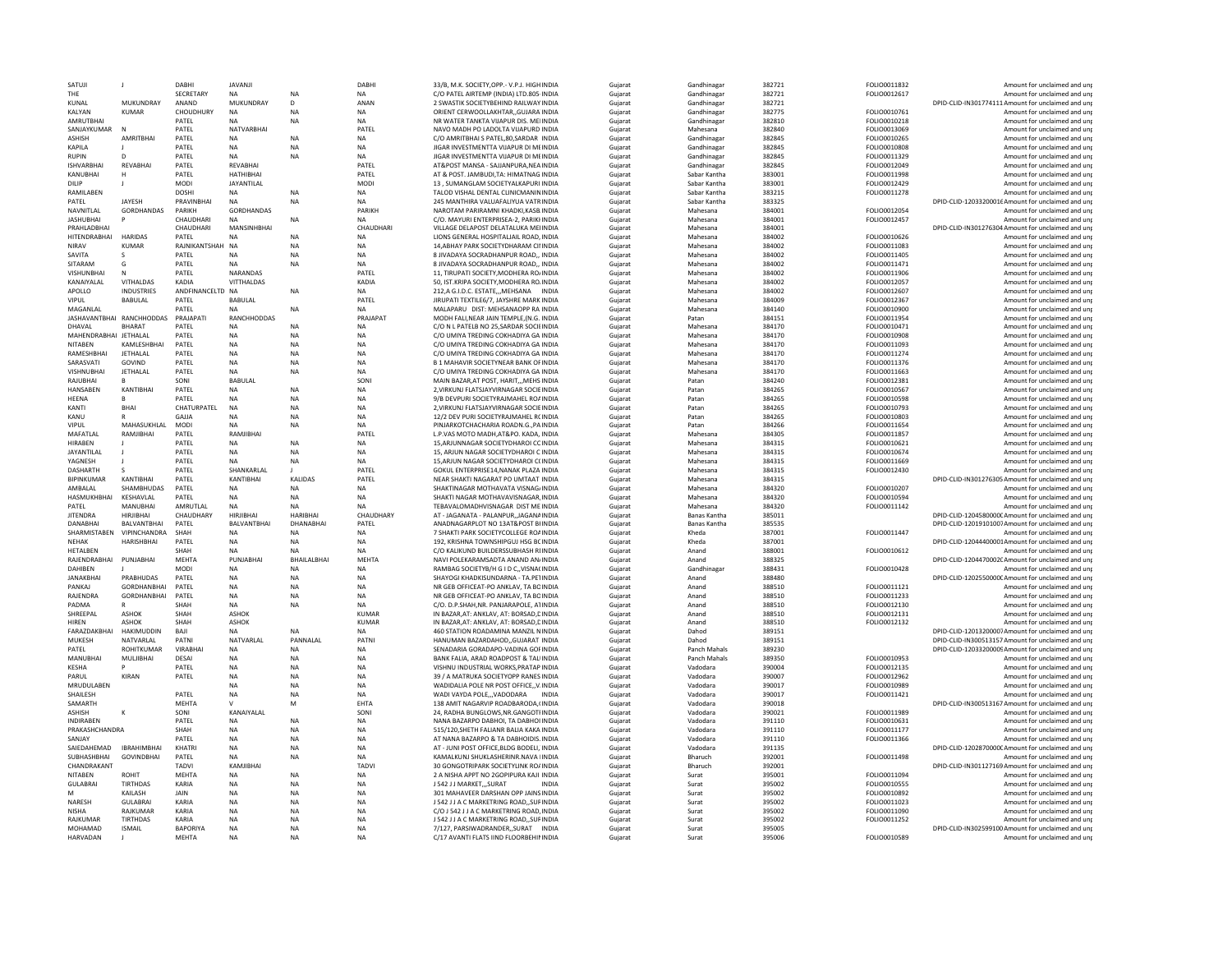| SATUJI                          | $\mathbf{J}$                    | DABHI                    | JAVANJI                     |                        | DABH                   | 33/B. M.K. SOCIETY.OPP.- V.P.J. HIGH INDIA                                      | Guiarat            | Gandhinagar             | 382721           | FOLIO0011832                 | Amount for unclaimed and uni                                                       |
|---------------------------------|---------------------------------|--------------------------|-----------------------------|------------------------|------------------------|---------------------------------------------------------------------------------|--------------------|-------------------------|------------------|------------------------------|------------------------------------------------------------------------------------|
| THE                             |                                 | SECRETARY                | <b>NA</b>                   | NΑ                     | <b>NA</b>              | C/O PATEL AIRTEMP (INDIA) LTD.805-INDIA                                         | Gujarat            | Gandhinaga              | 382721           | FOLIO0012617                 | Amount for unclaimed and un                                                        |
| KUNAL                           | MUKUNDRAY                       | ANAND                    | MUKUNDRAY                   | D.                     | ANAN                   | 2 SWASTIK SOCIETYBEHIND RAILWAY INDIA                                           | Guiarat            | Gandhinagar             | 382721           |                              | DPID-CLID-IN301774111Amount for unclaimed and unp                                  |
| KALYAN                          | <b>KUMAR</b>                    | CHOUDHURY                | <b>NA</b>                   | NΑ                     | <b>NA</b>              | ORIENT CERWOOLLAKHTAR,, GUJARA'INDIA                                            | Gujarat            | Gandhinagar             | 382775           | FOLIO0010761                 | Amount for unclaimed and unp                                                       |
| <b>AMRUTBHAI</b><br>SANJAYKUMAR |                                 | PATEL<br>PATEL           | <b>NA</b><br>NATVARBHAI     | <b>NA</b>              | <b>NA</b><br>PATEL     | NR WATER TANKTA VIJAPUR DIS. MEHNDIA<br>NAVO MADH PO LADOLTA VIJAPURD INDIA     | Guiarat<br>Guiarat | Gandhinagar<br>Mahesana | 382810<br>382840 | FOLIO0010218<br>FOLIO0013069 | Amount for unclaimed and uni<br>Amount for unclaimed and uni                       |
| <b>ASHISH</b>                   | <b>AMRITRHAI</b>                | PATFI                    | <b>NA</b>                   | <b>NA</b>              | <b>NA</b>              | C/O AMRITRHAI S PATFL 80 SARDAR INDIA                                           | Guiarat            | Gandhinagar             | 382845           | <b>FOLIO0010265</b>          | Amount for unclaimed and uni                                                       |
| KAPILA                          |                                 | PATEL                    | <b>NA</b>                   | NΑ                     | <b>NA</b>              | JIGAR INVESTMENTTA VIJAPUR DI MEINDIA                                           | Gujarat            | Gandhinagar             | 382845           | FOLIO0010808                 | Amount for unclaimed and unj                                                       |
| RUPIN                           | D.                              | PATFI                    | <b>NA</b>                   | <b>NA</b>              | <b>NA</b>              | <b>IIGAR INVESTMENTTA VIIAPUR DI MEINDIA</b>                                    | Guiarat            | Gandhinagar             | 382845           | FOLIO0011329                 | Amount for unclaimed and unj                                                       |
| <b>ISHVARBHAI</b>               | REVABHAI                        | PATEL                    | REVABHAI                    |                        | PATEL                  | AT&POST MANSA - SAJJANPURA.NEA INDIA                                            | Guiarat            | Gandhinagar             | 382845           | FOLIO0012049                 | Amount for unclaimed and uni                                                       |
| KANURHAI                        |                                 | PATFI                    | <b>HATHIBHAI</b>            |                        | PATFI                  | AT & POST. IAMBUDLTA: HIMATNAG INDIA                                            | Guiarat            | Sabar Kantha            | 383001           | <b>EOLIO0011998</b>          | Amount for unclaimed and uni                                                       |
| DILIP                           |                                 | <b>MODI</b>              | JAYANTILAL                  |                        | MODI                   | 13, SUMANGLAM SOCIETYALKAPURI INDIA                                             | Gujarat            | Sabar Kantha            | 383001           | FOLIO0012429                 | Amount for unclaimed and unp                                                       |
| <b>RAMILAREN</b>                |                                 | <b>DOSHI</b>             | <b>NA</b>                   | NA                     | <b>NA</b>              | TALOD VISHAL DENTAL CLINICMANININDIA                                            | Guiarat            | Sabar Kantha            | 383215           | FOLIO0011278                 | Amount for unclaimed and unj                                                       |
| PATEL                           | <b>JAYESH</b>                   | PRAVINBHAI               | <b>NA</b>                   | <b>NA</b>              | <b>NA</b>              | 245 MANTHIRA VALUAFALIYUA VATRINDIA                                             | Guiarat            | Sabar Kantha            | 383325           |                              | DPID-CLID-12033200016Amount for unclaimed and unp                                  |
| NAVNITLAL                       | <b>GORDHANDAS</b>               | PARIKH                   | GORDHANDAS                  |                        | <b>PARIKH</b>          | NAROTAM PARIRAMNI KHADKI KASB INDIA                                             | Guiarat            | Mahesana                | 384001           | FOLIO0012054                 | Amount for unclaimed and un                                                        |
| <b>JASHUBHAI</b>                |                                 | CHAUDHARI                | <b>NA</b>                   | <b>NA</b>              | <b>NA</b>              | C/O. MAYURI ENTERPRISEA-2. PARIKHNDIA                                           | Gujarat            | Mahesana                | 384001           | FOLIO0012457                 | Amount for unclaimed and unp                                                       |
| PRAHLADBHAI<br>HITENDRABHAI     | <b>HARIDAS</b>                  | CHAUDHARI<br>PATEL       | MANSINHBHAI                 | <b>NA</b>              | CHAUDHARI              | VILLAGE DELAPOST DELATALUKA MEHNDIA<br>LIONS GENERAL HOSPITALIAIL ROAD, INDIA   | Gujarat<br>Guiarat | Mahesana<br>Mahesana    | 384001<br>384002 | FOLIO0010626                 | DPID-CLID-IN301276304 Amount for unclaimed and unj<br>Amount for unclaimed and uni |
| <b>NIRAV</b>                    | KUMAR                           | RAINIKANTSHAH NA         | <b>NA</b>                   | NA                     | <b>NA</b><br><b>NA</b> | 14, ABHAY PARK SOCIETYDHARAM CINNDIA                                            | Gujarat            | Mahesana                | 384002           | FOLIO0011083                 | Amount for unclaimed and un                                                        |
| SAVITA                          | s.                              | PATEL                    | <b>NA</b>                   | <b>NA</b>              | <b>NA</b>              | 8 JIVADAYA SOCRADHANPUR ROAD,, INDIA                                            | Guiarat            | Mahesana                | 384002           | FOLIO0011405                 | Amount for unclaimed and uni                                                       |
| SITARAM                         | G                               | PATEL                    | <b>NA</b>                   | NΑ                     | <b>NA</b>              | 8 JIVADAYA SOCRADHANPUR ROAD,, INDIA                                            | Gujarat            | Mahesana                | 384002           | FOLIO0011471                 | Amount for unclaimed and unp                                                       |
| <b>VISHUNBHAI</b>               | $\mathsf{N}$                    | PATEL                    | NARANDAS                    |                        | PATEL                  | 11, TIRUPATI SOCIETY, MODHERA ROJINDIA                                          | Guiarat            | Mahesana                | 384002           | FOLIO0011906                 | Amount for unclaimed and uni                                                       |
| KANAIYALAL                      | VITHALDAS                       | KADIA                    | VITTHALDAS                  |                        | KADIA                  | 50, IST.KRIPA SOCIETY, MODHERA ROJINDIA                                         | Gujarat            | Mahesana                | 384002           | FOLIO0012057                 | Amount for unclaimed and un                                                        |
| APOLLO                          | <b>INDUSTRIES</b>               | ANDFINANCELTD NA         |                             | <b>NA</b>              | <b>NA</b>              | 212.A G.I.D.C. ESTATEMEHSANA INDIA                                              | Guiarat            | Mahesana                | 384002           | FOLIO0012607                 | Amount for unclaimed and uni                                                       |
| VIPUL                           | BABULAL                         | PATEL                    | <b>BABULAL</b>              |                        | PATEL                  | JIRUPATI TEXTILE6/7, JAYSHRE MARK INDIA                                         | Gujarat            | Mahesana                | 384009           | FOLIO0012367                 | Amount for unclaimed and unp                                                       |
| <b>MAGANI AI</b>                |                                 | PATFI                    | <b>NA</b>                   | <b>NA</b>              | <b>NA</b>              | MALAPARU DIST: MEHSANAOPP RA INDIA                                              | Guiarat            | Mahesana                | 384140           | <b>FOLIO0010900</b>          | Amount for unclaimed and uni                                                       |
| JASHAVANTBHAI RANCHHODDAS       |                                 | PRAJAPATI                | RANCHHODDAS                 |                        | PRAJAPAT               | MODH FALI, NEAR JAIN TEMPLE, (N.G. INDIA                                        | Gujarat            | Patan                   | 384151           | FOLIO0011954                 | Amount for unclaimed and un                                                        |
| DHAVAL                          | <b>BHARAT</b>                   | PATEL                    | <b>NA</b>                   | <b>NA</b>              | <b>NA</b>              | C/O N L PATELB NO 25.SARDAR SOCIEINDIA                                          | Guiarat            | Mahesana                | 384170           | FOLIO0010471                 | Amount for unclaimed and uni                                                       |
| MAHENDRABHAI JETHALAL           |                                 | PATEL                    | <b>NA</b>                   | <b>NA</b>              | <b>NA</b>              | C/O UMIYA TREDING COKHADIYA GA INDIA                                            | Gujarat            | Mahesana                | 384170           | FOLIO0010908                 | Amount for unclaimed and uni                                                       |
| <b>NITAREN</b>                  | <b>KAMI FSHRHA</b>              | PATFI                    | <b>NA</b>                   | NA                     | <b>NA</b>              | C/O UMIYA TREDING COKHADIYA GA INDIA                                            | Guiarat            | Mahesana                | 384170           | <b>FOLIO0011093</b>          | Amount for unclaimed and uni                                                       |
| RAMESHBHAI                      | JETHALAL                        | PATEL                    | <b>NA</b>                   | <b>NA</b>              | <b>NA</b>              | C/O UMIYA TREDING COKHADIYA GA INDIA                                            | Gujarat            | Mahesana                | 384170           | FOLIO0011274                 | Amount for unclaimed and uni                                                       |
| SARASVATI                       | GOVIND                          | PATFI                    | <b>NA</b>                   | <b>NA</b>              | <b>NA</b>              | <b>B 1 MAHAVIR SOCIETYNEAR BANK OFINDIA</b>                                     | Guiarat            | Mahesana                | 384170           | FOLIO0011376                 | Amount for unclaimed and un                                                        |
| VISHNUBHAI                      | JETHALAL                        | PATEL<br>SONI            | <b>NA</b>                   | <b>NA</b>              | <b>NA</b>              | C/O UMIYA TREDING COKHADIYA GA INDIA                                            | Gujarat            | Mahesana                | 384170           | FOLIO0011663                 | Amount for unclaimed and uni                                                       |
| RAJUBHAI<br>HANSABEN            | KANTIBHAI                       | PATEL                    | <b>BABULAL</b><br><b>NA</b> | <b>NA</b>              | SON<br><b>NA</b>       | MAIN BAZAR.AT POST, HARITMEHS INDIA<br>2. VIRKUNJ FLATSJAYVIRNAGAR SOCIETNDIA   | Gujarat            | Patan<br>Patan          | 384240<br>384265 | FOLIO0012381<br>FOLIO0010567 | Amount for unclaimed and unj                                                       |
| <b>HFFNA</b>                    |                                 | PATEL                    | <b>NA</b>                   | <b>NA</b>              | <b>NA</b>              | 9/B DEVPURI SOCIETYRAJMAHEL ROAINDIA                                            | Gujarat<br>Guiarat | Patan                   | 384265           | FOLIO0010598                 | Amount for unclaimed and unp<br>Amount for unclaimed and un                        |
| KANTI                           | BHAI                            | CHATURPATEL              | <b>NA</b>                   | <b>NA</b>              | <b>NA</b>              | 2, VIRKUNJ FLATSJAYVIRNAGAR SOCIEINDIA                                          | Guiarat            | Patan                   | 384265           | FOLIO0010793                 | Amount for unclaimed and unp                                                       |
| KANU                            |                                 | GAJJA                    | NΔ                          | <b>NA</b>              | <b>NA</b>              | 12/2 DEV PURI SOCIETYRAJMAHEL RCINDIA                                           | Gujarat            | Patan                   | 384265           | FOLIO0010803                 | Amount for unclaimed and unj                                                       |
| VIPUL                           | MAHASUKHLAL                     | <b>MODI</b>              | <b>NA</b>                   | NA                     | <b>NA</b>              | PINJARKOTCHACHARIA ROADN.G., PAINDIA                                            | Gujarat            | Patan                   | 384266           | FOLIO0011654                 | Amount for unclaimed and unp                                                       |
| MAFATLAI                        | RAMIIRHAI                       | PATEL                    | RAMJIBHAI                   |                        | PATEI                  | L.P.VAS MOTO MADH.AT&PO, KADA, INDIA                                            | Gujarat            | Mahesana                | 384305           | FOLIO0011857                 | Amount for unclaimed and un                                                        |
| HIRABEN                         |                                 | PATEL                    | <b>NA</b>                   | NΑ                     | <b>NA</b>              | 15, ARJUNNAGAR SOCIETYDHAROI COINDIA                                            | Guiarat            | Mahesana                | 384315           | FOLIO0010621                 | Amount for unclaimed and uni                                                       |
| <b>JAYANTILAL</b>               |                                 | PATEL                    | <b>NA</b>                   | NA                     | NA                     | 15, ARJUN NAGAR SOCIETYDHAROI C INDIA                                           | Gujarat            | Mahesana                | 384315           | FOLIO0010674                 | Amount for unclaimed and unp                                                       |
| YAGNESH                         |                                 | PATEL                    | <b>NA</b>                   | <b>NA</b>              | <b>NA</b>              | 15.ARJUN NAGAR SOCIETYDHAROI C(INDIA                                            | Guiarat            | Mahesana                | 384315           | FOLIO0011669                 | Amount for unclaimed and uni                                                       |
| <b>DASHARTH</b>                 |                                 | PATEL                    | SHANKARLAL                  |                        | PATEL                  | GOKUL ENTERPRISE14, NANAK PLAZA INDIA                                           | Gujarat            |                         | 384315           | FOLIO0012430                 | Amount for unclaimed and un                                                        |
|                                 |                                 |                          |                             |                        |                        |                                                                                 |                    | Mahesana                |                  |                              |                                                                                    |
| <b>BIPINKUMAR</b>               | KANTIRHA                        | PATFI                    | KANTIBHAI                   | KALIDAS                | PATFI                  | NEAR SHAKTI NAGARAT PO UMTAAT INDIA                                             | Guiarat            | Mahesana                | 384315           |                              | DPID-CLID-IN301276305 Amount for unclaimed and unp                                 |
| AMBALAL                         | SHAMBHUDAS                      | PATEL                    | <b>NA</b>                   | NA                     | <b>NA</b>              | SHAKTINAGAR MOTHAVATA VISNAG/INDIA                                              | Gujarat            | Mahesana                | 384320           | FOLIO0010207                 | Amount for unclaimed and unp                                                       |
| <b>HASMUKHBHAI</b>              | KESHAVLAL                       | PATEL                    | <b>NA</b>                   | <b>NA</b>              | <b>NA</b>              | SHAKTI NAGAR MOTHAVAVISNAGAR.INDIA                                              | Guiarat            | Mahesana                | 384320           | FOLIO0010594                 | Amount for unclaimed and uni                                                       |
| PATEL                           | <b>MANUBHA</b>                  | AMRUTLAL                 | <b>NA</b>                   | <b>NA</b>              | <b>NA</b>              | TEBAVALOMADHVISNAGAR DIST ME INDIA                                              | Guiarat            | Mahesana                | 384320           | FOLIO0011142                 | Amount for unclaimed and un                                                        |
| <b>JITENDRA</b>                 | <b>HIRJIBHAI</b>                | CHAUDHARY                | <b>HIRJIBHAI</b>            | <b>HARIBHAI</b>        | CHAUDHARY              | AT - JAGANATA - PALANPURJAGANAINDIA                                             | Guiarat            | Banas Kantha            | 385011           |                              | DPID-CLID-1204580000CAmount for unclaimed and un                                   |
| DANABHAI                        | BALVANTBHAI                     | PATEL                    | BALVANTBHAI                 | DHANABHAI              | PATEL                  | ANADNAGARPLOT NO 13AT&POST BHNDIA                                               | Gujarat            | <b>Banas Kantha</b>     | 385535           |                              | DPID-CLID-12019101007Amount for unclaimed and unp                                  |
| SHARMISTABEN                    | VIPINCHANDRA                    | SHAH                     | <b>NA</b>                   | <b>NA</b>              | <b>NA</b>              | <b>7 SHAKTI PARK SOCIETYCOLLEGE ROAINDIA</b>                                    | Guiarat            | Kheda                   | 387001           | FOLIO0011447                 | Amount for unclaimed and uni                                                       |
| NEHAK                           | <b>HARISHBHAI</b>               | PATEL                    | <b>NA</b>                   | <b>NA</b>              | <b>NA</b>              | 192. KRISHNA TOWNSHIPGUJ HSG BCINDIA                                            | Guiarat            | Kheda                   | 387001           |                              | DPID-CLID-12044400001Amount for unclaimed and unp                                  |
| <b>HETALBEN</b>                 |                                 | SHAH                     | <b>NA</b>                   | <b>NA</b>              | <b>NA</b>              | C/O KALIKUND BUILDERSSUBHASH RIINDIA                                            | Guiarat            | Anand                   | 388001           | FOLIO0010612                 | Amount for unclaimed and uni                                                       |
| RAJENDRABHAI                    | PUNJABHAI                       | MEHTA                    | PUNJABHAI                   | BHAILALBHAI            | <b>MEHTA</b>           | NAVI POLEKARAMSADTA ANAND AN/INDIA                                              | Gujarat            | Anand                   | 388325           |                              | DPID-CLID-1204470002CAmount for unclaimed and unp                                  |
| <b>DAHIBEN</b>                  |                                 | <b>MODI</b>              | <b>NA</b>                   | <b>NA</b>              | <b>NA</b>              | RAMBAG SOCIETYB/H G I D C., VISNACINDIA                                         | Guiarat            | Gandhinagar             | 388431           | FOLIO0010428                 | Amount for unclaimed and uni                                                       |
| <b>JANAKRHA</b><br>PANKAI       | PRABHUDAS<br><b>GORDHANBHAI</b> | PATEL                    | NA                          | NA                     | NA                     | SHAYOGI KHADKISUNDARNA - TA PETINDIA                                            | Gujarat            | Anand                   | 388480           |                              | DPID-CLID-1202550000CAmount for unclaimed and unp                                  |
| RAJENDRA                        | <b>GORDHANBHAI</b>              | PATEL<br>PATEL           | <b>NA</b><br><b>NA</b>      | NA<br><b>NA</b>        | <b>NA</b><br><b>NA</b> | NR GEB OFFICEAT-PO ANKLAV. TA BOINDIA<br>NR GEB OFFICEAT-PO ANKLAV. TA BOINDIA  | Gujarat            | Anand<br>Anand          | 388510<br>388510 | FOLIO0011121<br>FOLIO0011233 | Amount for unclaimed and un<br>Amount for unclaimed and uni                        |
| PADMA                           |                                 | SHAH                     | <b>NA</b>                   | <b>NA</b>              | <b>NA</b>              | C/O. D.P.SHAH.NR. PANJARAPOLE, ATINDIA                                          | Gujarat            | Anand                   | 388510           | FOLIO0012130                 | Amount for unclaimed and uni                                                       |
| SHREEPAL                        | ASHOK                           | SHAH                     | ASHOK                       |                        | KUMAR                  | IN BAZAR, AT: ANKLAV, AT: BORSAD, DINDIA                                        | Gujarat<br>Gujarat | Anand                   | 388510           | FOLIO0012131                 | Amount for unclaimed and unj                                                       |
| <b>HIREN</b>                    | <b>ASHOK</b>                    | SHAH                     | ASHOK                       |                        | <b>KUMAR</b>           | IN BAZAR, AT: ANKLAV, AT: BORSAD, DINDIA                                        | Guiarat            | Anand                   | 388510           | FOLIO0012132                 | Amount for unclaimed and un                                                        |
| FARAZDAKBHAI                    | <b>HAKIMUDDIN</b>               | BAIL                     | <b>NA</b>                   | <b>NA</b>              | <b>NA</b>              | 460 STATION ROADAMINA MANZIL NINDIA                                             | Guiarat            | Dahod                   | 389151           |                              | DPID-CLID-12013200007Amount for unclaimed and unp                                  |
| MUKESH                          | NATVARLAL                       | PATNI                    | NATVARLAL                   | PANNAI AI              | PATN                   | HANUMAN BAZARDAHODGUJARAT INDIA                                                 | Gujarat            | Dahod                   | 389151           |                              | DPID-CLID-IN300513157 Amount for unclaimed and uni                                 |
| PATEL                           | ROHITKUMAR                      | VIRABHAI                 | <b>NA</b>                   | <b>NA</b>              | <b>NA</b>              | SENADARIA GORADAPO-VADINA GOFINDIA                                              | Gujarat            | Panch Mahals            | 389230           |                              | DPID-CLID-12033200009 Amount for unclaimed and unp                                 |
| MANUBHAI                        | MULJIBHAI                       | DESAI                    | NA                          | <b>NA</b>              | NA                     | BANK FALIA, ARAD ROADPOST & TALIINDIA                                           | Gujarat            | Panch Mahals            | 389350           | FOLIO0010953                 | Amount for unclaimed and un                                                        |
| KESHA                           |                                 | PATEL                    | <b>NA</b>                   | <b>NA</b>              | <b>NA</b>              | VISHNU INDUSTRIAL WORKS.PRATAP INDIA                                            | Guiarat            | Vadodara                | 390004           | FOLIO0012135                 | Amount for unclaimed and uni                                                       |
| PARUL                           | KIRAN                           | PATEL                    | <b>NA</b>                   | NA                     | <b>NA</b>              | 39 / A MATRUKA SOCIETYOPP RANES INDIA                                           | Guiarat            | Vadodara                | 390007           | FOLIO0012962                 | Amount for unclaimed and uni                                                       |
| MRUDULABEN                      |                                 |                          | <b>NA</b>                   | <b>NA</b>              | <b>NA</b>              | WADIDALIA POLE NR POST OFFICE., V. INDIA                                        | Guiarat            | Vadodara                | 390017           | FOLIO0010989                 | Amount for unclaimed and uni                                                       |
| SHAILESH                        |                                 | PATEL                    | NA                          | <b>NA</b>              | NA                     | WADI VAYDA POLE,,,VADODARA                                                      | Gujarat            | Vadodara                | 390017           | FOLIO0011421                 | Amount for unclaimed and un                                                        |
| SAMARTH                         |                                 | MFHTA                    | $\mathsf{v}$                | M                      | FHTA                   | 138 AMIT NAGARVIP ROADBARODA (INDIA                                             | Guiarat            | Vadodara                | 390018           |                              | DPID-CLID-IN300513167 Amount for unclaimed and unp                                 |
| ASHISH                          |                                 | SONI                     | KANAIYALAL                  |                        | SONI                   | 24, RADHA BUNGLOWS, NR. GANGOTHNDIA                                             | Gujarat            | Vadodara                | 390021           | FOLIO0011989                 | Amount for unclaimed and unj                                                       |
| <b>INDIRABEN</b>                |                                 | PATEL                    | <b>NA</b>                   | <b>NA</b>              | <b>NA</b>              | NANA BAZARPO DABHOI, TA DABHOI INDIA                                            | Guiarat            | Vadodara                | 391110           | FOLIO0010631                 | Amount for unclaimed and uni                                                       |
| PRAKASHCHANDRA<br>SANJAY        |                                 | SHAH<br>PATFI            | <b>NA</b><br><b>NA</b>      | <b>NA</b><br><b>NA</b> | <b>NA</b><br><b>NA</b> | 515/120.SHETH FALIANR BALIA KAKA INDIA<br>AT NANA BAZARPO & TA DABHOIDIS. INDIA | Guiarat<br>Guiarat | Vadodara<br>Vadodara    | 391110<br>391110 | FOLIO0011177<br>FOLIO0011366 | Amount for unclaimed and uni<br>Amount for unclaimed and uni                       |
| SAIEDAHEMAD                     | <b>IBRAHIMBHAI</b>              | KHATR                    | <b>NA</b>                   | NA                     | <b>NA</b>              | AT - JUNI POST OFFICE, BLDG BODELI, INDIA                                       | Gujarat            | Vadodara                | 391135           |                              | DPID-CLID-1202870000CAmount for unclaimed and unp                                  |
| SURHASHRHAL                     | <b>GOVINDBHAI</b>               | PATFI                    | <b>NA</b>                   | <b>NA</b>              | <b>NA</b>              | KAMAI KUNI SHUKI ASHERINR NAVA IINDIA                                           | Guiarat            | Bharuch                 | 392001           | FOLIO0011498                 | Amount for unclaimed and unj                                                       |
| CHANDRAKANT                     |                                 | TADVI                    | KAMJIBHAI                   |                        | TADV                   | 30 GONGOTRIPARK SOCIETYLINK ROAINDIA                                            | Guiarat            | Bharuch                 | 392001           |                              | DPID-CLID-IN301127169 Amount for unclaimed and uni                                 |
| <b>NITAREN</b>                  | ROHIT                           | MFHTA                    | <b>NA</b>                   | NA                     | <b>NA</b>              | 2 A NISHA APPT NO 2GOPIPURA KAJI INDIA                                          | Guiarat            | Surat                   | 395001           | FOLIO0011094                 | Amount for unclaimed and uni                                                       |
| <b>GULABRAI</b>                 | <b>TIRTHDAS</b>                 | KARIA                    | <b>NA</b>                   | NΑ                     | <b>NA</b>              | J 542 J J MARKET SURAT<br><b>INDIA</b>                                          | Gujarat            | Surat                   | 395002           | FOLIO0010555                 | Amount for unclaimed and unp                                                       |
| M                               | KAILASH                         | <b>JAIN</b>              | <b>NA</b>                   | NA                     | <b>NA</b>              | 301 MAHAVEER DARSHAN OPP JAINS INDIA                                            | Gujarat            | Surat                   | 395002           | FOLIO0010892                 | Amount for unclaimed and unj                                                       |
| NARESH                          | <b>GUI ABRAI</b>                | KARIA                    | <b>NA</b>                   | NA                     | <b>NA</b>              | J 542 J J A C MARKETRING ROAD, SURINDIA                                         | Guiarat            | Surat                   | 395002           | FOLIO0011023                 | Amount for unclaimed and uni                                                       |
| <b>NISHA</b>                    | RAIKUMAR                        | KARIA                    | <b>NA</b>                   | <b>NA</b>              | <b>NA</b>              | C/O 1542 LLA C MARKETRING ROAD INDIA                                            | Guiarat            | Surat                   | 395002           | FOLIO0011090                 | Amount for unclaimed and un                                                        |
| RAJKUMAR                        | <b>TIRTHDAS</b>                 | KARIA                    | <b>NA</b>                   | <b>NA</b>              | <b>NA</b>              | J 542 J J A C MARKETRING ROAD. SURINDIA                                         | Gujarat            | Surat                   | 395002           | FOLIO0011252                 | Amount for unclaimed and unp                                                       |
| MOHAMAD<br>HARVADAN             | <b>ISMAIL</b>                   | <b>BAPORIYA</b><br>MFHTA | <b>NA</b><br><b>NA</b>      | <b>NA</b><br><b>NA</b> | NA<br><b>NA</b>        | 7/127. PARSIWADRANDERSURAT INDIA<br>C/17 AVANTI FLATS IIND FLOORBEHININDIA      | Gujarat<br>Guiarat | Surat<br>Surat          | 395005<br>395006 | FOLIO0010589                 | DPID-CLID-IN302599100 Amount for unclaimed and unp<br>Amount for unclaimed and unr |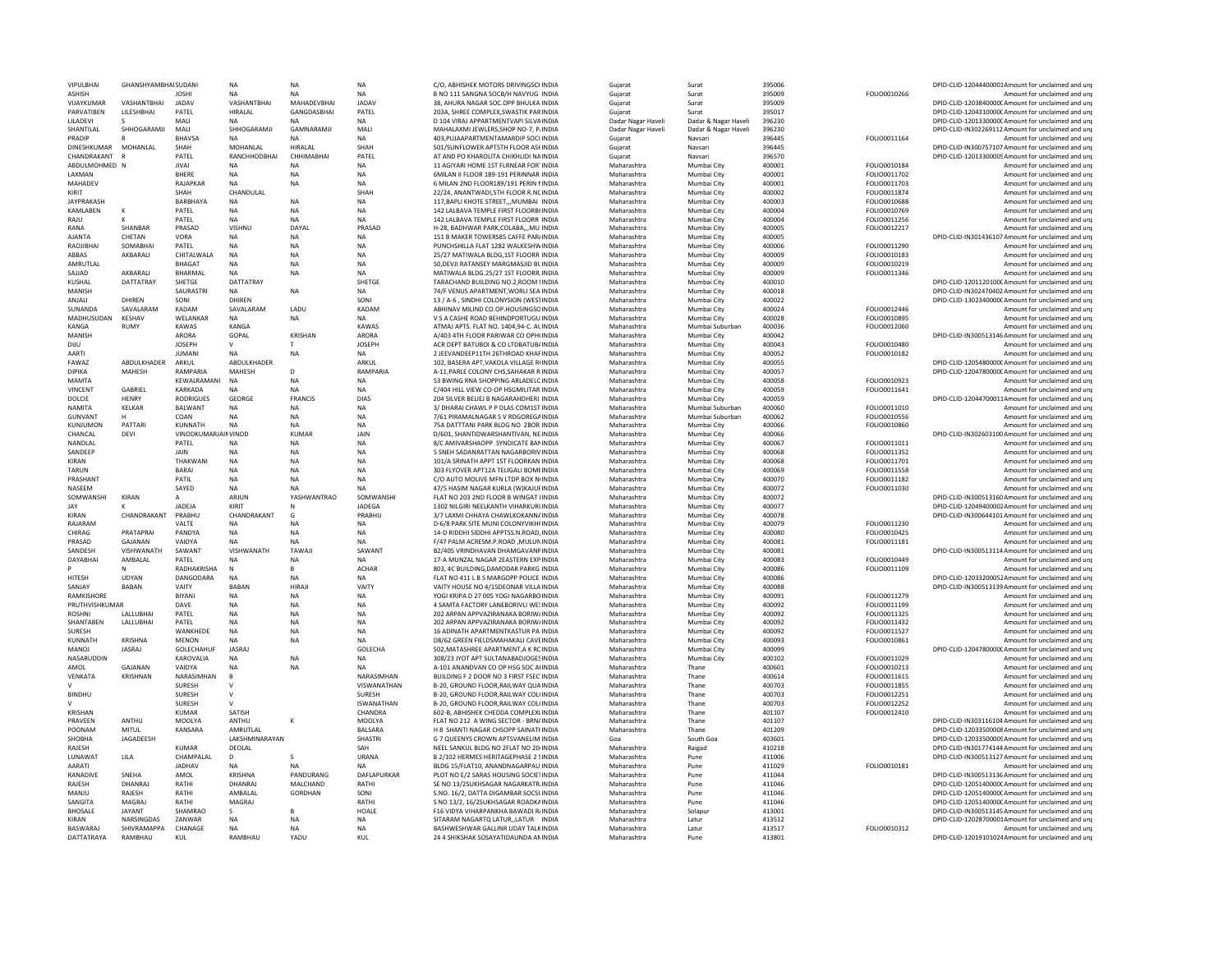| VIPULBHAI              | GHANSHYAMBHAI SUDANI   |                      | <b>NA</b>                | <b>NA</b>         | <b>NA</b>           | C/O. ABHISHEK MOTORS DRIVINGSCHINDIA                                          | Gujarat                    | Surat                | 395006           |               | DPID-CLID-12044400001Amount for unclaimed and unp                                                       |
|------------------------|------------------------|----------------------|--------------------------|-------------------|---------------------|-------------------------------------------------------------------------------|----------------------------|----------------------|------------------|---------------|---------------------------------------------------------------------------------------------------------|
| <b>ASHISH</b>          |                        | <b>JOSHI</b>         | <b>NA</b>                | <b>NA</b>         | <b>NA</b>           | B NO 111 SANGNA SOCB/H NAVYUG INDIA                                           | Guiarat                    | Surat                | 395009           | FOLIO0010266  | Amount for unclaimed and uni                                                                            |
| VIJAYKUMAR             | VASHANTBHAI            | <b>JADAV</b>         | VASHANTBHAI              | MAHADEVBHAI       | JADAV               | 38. AHURA NAGAR SOC.OPP BHULKA INDIA                                          | Gujarat                    | Surat                | 395009           |               | DPID-CLID-1203840000CAmount for unclaimed and unp                                                       |
| PARVATIBEN             | <b>I II FSHBHAI</b>    | PATFI                | HIRALAL                  | GANGDASBHAI       | PATFI               | 203A, SHREE COMPLEX, SWASTIK PARINDIA                                         | Gujarat                    | Surat                | 395017           |               | DPID-CLID-1204310000CAmount for unclaimed and uni                                                       |
| LILADEVI               |                        | MALI                 | <b>NA</b>                | <b>NA</b>         | <b>NA</b>           | D 104 VIRAJ APPARTMENTVAPI SILVAINDIA                                         | Dadar Nagar Haveli         | Dadar & Nagar Haveli | 396230           |               | DPID-CLID-1201330000CAmount for unclaimed and unp                                                       |
| SHANTILAL              | SHHOGARAMJ             | MALI                 | SHHOGARAMJI              | GAMNARAMJI        | MALI                | MAHALAXMI JEWLERS.SHOP NO-7, P/INDIA                                          | Dadar Nagar Haveli         | Dadar & Nagar Haveli | 396230           |               | DPID-CLID-IN302269112 Amount for unclaimed and un                                                       |
| PRADIP                 |                        | <b>BHAVSA</b>        | NA.                      | <b>NA</b>         | <b>NA</b>           | 403, PUJAAPARTMENTAMARDIP SOCI INDIA                                          | Guiarat                    | Navsari              | 396445           | FOLIO0011164  | Amount for unclaimed and uni                                                                            |
| DINESHKUMAR            | MOHANLAL               | SHAH                 | MOHANLAL                 | <b>HIRALAL</b>    | SHAH                | 501/SUNFLOWER APT5TH FLOOR ASHINDIA                                           | Gujarat                    | Navsari              | 396445           |               | DPID-CLID-IN300757107 Amount for unclaimed and uni                                                      |
| CHANDRAKANT            |                        | PATEL                | RANCHHODBHAI             | CHHIMABHAI        | PATEL               | AT AND PO KHAROLITA CHIKHLIDI NAINDIA                                         | Guiarat                    | Navsari              | 396570           |               | DPID-CLID-12013300005Amount for unclaimed and uni                                                       |
| ABDULMOHMED N          |                        | <b>JIVAI</b>         | <b>NA</b>                | NA                | NA                  | 11 AGIYARI HOME 1ST FLRNEAR FORTINDIA                                         | Maharashtra                | Mumbai City          | 400001           | FOLIO0010184  | Amount for unclaimed and un                                                                             |
| LAXMAN                 |                        | <b>BHERE</b>         | <b>NA</b>                | <b>NA</b>         | <b>NA</b>           | 6MILAN II FLOOR 189-191 PERINNAR INDIA                                        | Maharashtra                | Mumbai City          | 400001           | FOLIO0011702  | Amount for unclaimed and uni                                                                            |
| MAHADEV                |                        | RAJAPKAR             | <b>NA</b>                | <b>NA</b>         | NA                  | 6 MILAN 2ND FLOOR189/191 PERIN NINDIA                                         | Maharashtra                | Mumbai City          | 400001           | FOLIO0011703  | Amount for unclaimed and uni                                                                            |
| KIRIT                  |                        | SHAH                 | CHANDULAL                |                   | SHAH                | 22/24. ANANTWADI.5TH FLOOR R.NCINDIA                                          | Maharashtra                | Mumbai City          | 400002           | FOLIO0011874  | Amount for unclaimed and uni                                                                            |
| <b>JAYPRAKASH</b>      |                        | BARBHAYA             | NA                       | NA                | NA                  | 117, BAPLI KHOTE STREET,,, MUMBAI INDIA                                       | Maharashtra                | Mumbai City          | 400003           | FOLIO0010688  | Amount for unclaimed and un                                                                             |
| <b>KAMI ARFN</b>       | к                      | PATFI                | <b>NA</b>                | <b>NA</b>         | <b>NA</b>           | 142   ALBAVA TEMPLE FIRST FLOORBHNDIA                                         | Maharashtra                | Mumbai City          | 400004           | EQLIO0010769  | Amount for unclaimed and uni                                                                            |
| RAJU                   |                        | PATEL                | <b>NA</b>                | NA                | <b>NA</b>           | 142 LALBAVA TEMPLE FIRST FLOORR INDIA                                         | Maharashtra                | Mumbai City          | 400004           | FOLIO0011256  | Amount for unclaimed and uni                                                                            |
| RANA                   | SHANBAR                | PRASAD               | <b>VISHNU</b>            | DAYAL             | PRASAD              | H-28, BADHWAR PARK, COLABA MU INDIA                                           | Maharashtra                | Mumbai City          | 400005           | FOLIO0012217  | Amount for unclaimed and uni                                                                            |
| <b>AJANTA</b>          | CHETAN                 | <b>VORA</b>          | <b>NA</b>                | <b>NA</b>         | <b>NA</b>           | 151 B MAKER TOWERS85 CAFFE PAR/INDIA                                          | Maharashtra                | Mumbai City          | 400005           |               | DPID-CLID-IN301436107 Amount for unclaimed and uni                                                      |
| RAOIIBHAI              | SOMABHAI               | PATFI                | <b>NA</b>                | <b>NA</b>         | <b>NA</b>           | PUNCHSHILLA FLAT 1282 WALKESHWINDIA                                           | Maharashtra                | Mumbai City          | 400006           | FOI IO0011290 | Amount for unclaimed and uni                                                                            |
|                        |                        |                      |                          |                   |                     |                                                                               |                            |                      |                  |               |                                                                                                         |
| ABBAS                  | AKBARALI               | CHITALWALA           | NA                       | NA                | <b>NA</b>           | 25/27 MATIWALA BLDG, 1ST FLOORR INDIA                                         | Maharashtra                | Mumbai City          | 400009           | FOLIO0010183  | Amount for unclaimed and unp                                                                            |
| AMRUTLAL               |                        | <b>BHAGAT</b>        | <b>NA</b>                | <b>NA</b>         | <b>NA</b>           | 50, DEVJI RATANSEY MARGMASJID BLINDIA                                         | Maharashtra                | Mumbai City          | 400009           | FOLIO0010219  | Amount for unclaimed and unj                                                                            |
| SAJJAD                 | AKBARALI               | <b>BHARMAL</b>       | <b>NA</b>                | <b>NA</b>         | <b>NA</b>           | MATIWALA BLDG.25/27 1ST FLOORR.INDIA                                          | Maharashtra                | Mumbai City          | 400009           | FOLIO0011346  | Amount for unclaimed and uni                                                                            |
| <b>KUSHAL</b>          | DATTATRAY              | SHETGE               | DATTATRAY                |                   | SHETGE              | TARACHAND BUILDING NO.2 ROOM UNDIA                                            | Maharashtra                | Mumbai City          | 400010           |               | DPID-CLID-1201120100CAmount for unclaimed and uni                                                       |
| MANISH                 |                        | SAURASTRI            | <b>NA</b>                | NA                | NA                  | 74/F VENUS APARTMENT, WORLI SEA INDIA                                         | Maharashtra                | Mumbai City          | 400018           |               | DPID-CLID-IN302470402 Amount for unclaimed and unp                                                      |
| ANJALI                 | <b>DHIRFN</b>          | SONI                 | DHIRFN                   |                   | SONI                | 13 / A-6 . SINDHI COLONYSION (WESTINDIA                                       | Maharashtra                | Mumbai City          | 400022           |               | DPID-CLID-1302340000CAmount for unclaimed and unj                                                       |
| SUNANDA                | SAVALARAM              | KADAM                | SAVALARAM                | LADU              | KADAM               | ABHINAV MILIND CO.OP.HOUSINGSOINDIA                                           | Maharashtra                | Mumbai City          | 400024           | FOLIO0012446  | Amount for unclaimed and uni                                                                            |
| MADHUSUDAN             | KESHAV                 | WELANKAR             | <b>NA</b>                | <b>NA</b>         | <b>NA</b>           | V S A CASHE ROAD BEHINDPORTUGU INDIA                                          | Maharashtra                | Mumbai City          | 400028           | FOLIO0010895  | Amount for unclaimed and un                                                                             |
| KANGA                  | RUMY                   | KAWAS                | KANGA                    |                   | KAWAS               | ATMAJ APTS. FLAT NO. 1404,94-C. ALINDIA                                       | Maharashtra                | Mumbai Suburban      | 400036           | FOLIO0012060  | Amount for unclaimed and unp                                                                            |
| MANISH                 |                        | ARORA                | GOPAL                    | <b>KRISHAN</b>    | ARORA               | A/403 4TH FLOOR PARIWAR CO OPH(INDIA                                          | Maharashtra                | Mumbai City          | 400042           |               | DPID-CLID-IN300513146 Amount for unclaimed and unp                                                      |
| DIJU                   |                        | <b>JOSEPH</b>        | $\vee$                   |                   | <b>JOSEPH</b>       | ACR DEPT BATUBOI & CO LTDBATUB/INDIA                                          | Maharashtra                | Mumbai City          | 400043           | FOLIO0010480  | Amount for unclaimed and uni                                                                            |
| AARTI                  |                        | <b>JUMANI</b>        | <b>NA</b>                | <b>NA</b>         | <b>NA</b>           | 2 JEEVANDEEP11TH 26THROAD KHAFINDIA                                           | Maharashtra                | Mumbai City          | 400052           | FOLIO0010182  | Amount for unclaimed and un                                                                             |
| FAWAZ                  | ABDULKHADER            | ARKUL                | ABDULKHADER              |                   | ARKUL               | 102. BASERA APT.VAKOLA VILLAGE R(INDIA                                        | Maharashtra                | Mumbai City          | 400055           |               | DPID-CLID-1205480000CAmount for unclaimed and unp                                                       |
| DIPIKA                 | MAHESH                 | RAMPARIA             | MAHESH                   | D                 | RAMPARIA            | A-11, PARLE COLONY CHS, SAHAKAR R INDIA                                       | Maharashtra                | Mumbai City          | 400057           |               | DPID-CLID-1204780000CAmount for unclaimed and un                                                        |
| MAMTA                  |                        | <b>KFWAI RAMANI</b>  | <b>NA</b>                | <b>NA</b>         | <b>NA</b>           | 53 BWING RNA SHOPPING ARLADELOINDIA                                           | Maharashtra                | Mumbai City          | 400058           | FOLIO0010923  | Amount for unclaimed and uni                                                                            |
| <b>VINCENT</b>         | GABRIEL                | <b>KARKADA</b>       | <b>NA</b>                | <b>NA</b>         | <b>NA</b>           | C/404 HILL VIEW CO-OP HSGMILITAR INDIA                                        | Maharashtra                | Mumbai City          | 400059           | FOLIO0011641  | Amount for unclaimed and uni                                                                            |
| DOLCIE                 | <b>HENRY</b>           | <b>RODRIGUES</b>     | GEORGE                   | <b>FRANCIS</b>    | DIAS                | 204 SILVER BELIEJ B NAGARAHDHERI INDIA                                        | Maharashtra                |                      | 400059           |               | DPID-CLID-12044700011Amount for unclaimed and uni                                                       |
| NAMITA                 | KELKAR                 | <b>BALWANT</b>       |                          |                   | <b>NA</b>           | 3/ DHARAI CHAWL P P DLAS COM1ST INDIA                                         | Maharashtra                | Mumbai City          | 400060           |               | Amount for unclaimed and uni                                                                            |
|                        |                        |                      | <b>NA</b>                | NA<br><b>NA</b>   | <b>NA</b>           |                                                                               |                            | Mumbai Suburban      | 400062           | FOLIO0011010  |                                                                                                         |
| GUNVANT                |                        | COAN                 | <b>NA</b>                |                   |                     | 7/61 PIRAMAI NAGAR S V RDGORFGAINDIA                                          | Maharashtra                | Mumbai Suburban      |                  | FOLIO0010556  | Amount for unclaimed and uni                                                                            |
| KUNJUMON               | PATTARI                | KUNNATH              | <b>NA</b>                | <b>NA</b>         | NA                  | 75A DATTTANI PARK BLDG NO 2BOR INDIA                                          | Maharashtra                | Mumbai City          | 400066           | FOLIO0010860  | Amount for unclaimed and uni                                                                            |
| CHANCAL                | DEVI                   | VINODKUMARJAIN VINOD |                          | <b>KUMAR</b>      | JAIN                | D/601. SHANTIDWARSHANTIVAN. NE INDIA                                          | Maharashtra                | Mumbai City          | 400066           |               | DPID-CLID-IN302603100 Amount for unclaimed and unp                                                      |
| NANDLAL                |                        | PATEL                | <b>NA</b>                | NA                | <b>NA</b>           | 8/C AMIVARSHAOPP SYNDICATE BANINDIA                                           | Maharashtra                | Mumbai City          | 400067           | FOLIO0011011  | Amount for unclaimed and unp                                                                            |
| SANDEEP                |                        | <b>JAIN</b>          | <b>NA</b>                | <b>NA</b>         | <b>NA</b>           | 5 SNEH SADANRATTAN NAGARBORIVINDIA                                            | Maharashtra                | Mumbai City          | 400068           | FOLIO0011352  | Amount for unclaimed and un                                                                             |
| KIRAN                  |                        | THAKWANI             | NA                       | NA                | <b>NA</b>           | 101/A SRINATH APPT 1ST FLOORKAN INDIA                                         | Maharashtra                | Mumbai City          | 400068           | FOLIO0011701  | Amount for unclaimed and uni                                                                            |
| TARUN                  |                        | <b>BARAI</b>         | NA                       | NA                | <b>NA</b>           | 303 FLYOVER APT12A TELIGALI BOMEINDIA                                         |                            |                      | 400069           | FOLIO0011558  |                                                                                                         |
|                        |                        |                      |                          |                   |                     |                                                                               | Maharashtra                | Mumbai City          |                  |               | Amount for unclaimed and un                                                                             |
| PRASHANT               |                        | PATIL                | <b>NA</b>                | <b>NA</b>         | <b>NA</b>           | C/O AUTO MOLIVE MFN LTDP.BOX N(INDIA                                          | Maharashtra                | Mumbai City          | 400070           | FOLIO0011182  | Amount for unclaimed and uni                                                                            |
| NASEEM                 |                        | SAYED                | <b>NA</b>                | <b>NA</b>         | <b>NA</b>           | 47/5 HASIM NAGAR KURLA (W)KAJUFINDIA                                          | Maharashtra                | Mumbai City          | 400072           | FOLIO0011030  | Amount for unclaimed and un                                                                             |
| SOMWANSHI              | KIRAN                  | A                    | ARJUN                    | YASHWANTRAO       | SOMWANSHI           | FLAT NO 203 2ND FLOOR B WINGAT LINDIA                                         | Maharashtra                | Mumbai City          | 400072           |               | DPID-CLID-IN300513160 Amount for unclaimed and unp                                                      |
| <b>JAY</b>             |                        |                      | KIRIT                    |                   |                     | 1302 NILGIRI NEELKANTH VIHARKURLINDIA                                         |                            | Mumbai City          |                  |               |                                                                                                         |
| <b>KIRAN</b>           |                        | JADEJA               |                          | G                 | JADEGA              | 3/7 LAXMI CHHAYA CHAWLKOKANNAINDIA                                            | Maharashtra<br>Maharashtra | Mumbai City          | 400077           |               | DPID-CLID-12049400002Amount for unclaimed and un<br>DPID-CLID-IN300644101 Amount for unclaimed and uni  |
| RAJARAM                | CHANDRAKANT            | PRABHU<br>VALTE      | CHANDRAKANT<br><b>NA</b> |                   | PRABHU<br><b>NA</b> | D-6/8 PARK SITE MUNI COLONYVIKHFINDIA                                         |                            |                      | 400078<br>400079 | FOLIO0011230  |                                                                                                         |
|                        |                        |                      |                          | NA                |                     |                                                                               | Maharashtra                | Mumbai City          |                  |               | Amount for unclaimed and unp                                                                            |
| CHIRAG                 | PRATAPRAI              | PANDYA               | <b>NA</b>                | <b>NA</b>         | <b>NA</b>           | 14-D RIDDHI SIDDHI APPTSS.N.ROAD.INDIA                                        | Maharashtra                | Mumbai City          | 400080           | FOLIO0010425  | Amount for unclaimed and uni                                                                            |
| PRASAD                 | GAJANAN                | VAIDYA               | <b>NA</b>                | NA                | NA                  | F/47 PALM ACRESM.P.ROAD ,MULUNINDIA                                           | Maharashtra                | Mumbai City          | 400081           | FOLIO0011181  | Amount for unclaimed and un                                                                             |
| SANDESH                | VISHWANATH             | SAWANT               | VISHWANATH               | TAWAJ             | SAWANT              | B2/405 VRINDHAVAN DHAMGAVANPINDIA                                             | Maharashtra                | Mumbai City          | 400081           |               | DPID-CLID-IN300513114 Amount for unclaimed and unp                                                      |
| DAYABHAI               | AMBALAL                | PATEL                | <b>NA</b>                | <b>NA</b>         | <b>NA</b>           | 17-A MUNZAL NAGAR 2EASTERN EXP INDIA                                          | Maharashtra                | Mumbai City          | 400083           | FOLIO0010449  | Amount for unclaimed and uni                                                                            |
|                        | N                      | RADHAKRISHA          | N                        | R.                | <b>ACHAR</b>        | 803. 4C BUILDING DAMODAR PARKG INDIA                                          | Maharashtra                | Mumbai City          | 400086           | FOLIO0011109  | Amount for unclaimed and uni                                                                            |
| <b>HITESH</b>          | UDYAN                  | DANGODARA            | <b>NA</b>                | <b>NA</b>         | <b>NA</b>           | FLAT NO 411 L B S MARGOPP POLICE INDIA                                        | Maharashtra                | Mumbai City          | 400086           |               | DPID-CLID-12033200052Amount for unclaimed and uni                                                       |
| SANIAY                 | <b>BABAN</b>           | VAITY                | <b>BABAN</b>             | HIRAIL            | VAITY               | VAITY HOUSE NO 4/15DEONAR VILLAINDIA                                          | Maharashtra                | Mumbai City          | 400088           |               | DPID-CLID-IN300513139 Amount for unclaimed and uni                                                      |
| RAMKISHORE             |                        | BIYANI               | <b>NA</b>                | <b>NA</b>         | <b>NA</b>           | YOGI KRIPA D 27 005 YOGI NAGARBOINDIA                                         | Maharashtra                | Mumbai City          | 400091           | FOLIO0011279  | Amount for unclaimed and uni                                                                            |
| PRUTHVISHKUMAR         |                        | DAVE                 | <b>NA</b>                | <b>NA</b>         | <b>NA</b>           | 4 SAMTA FACTORY LANEBORIVLI WESINDIA                                          | Maharashtra                | Mumbai City          | 400092           | FOLIO0011199  | Amount for unclaimed and unj                                                                            |
| <b>ROSHNI</b>          | LALLUBHAI              | PATEL                | <b>NA</b>                | NA                | <b>NA</b>           | 202 ARPAN APPVAZIRANAKA BORIW/INDIA                                           | Maharashtra                | Mumbai City          | 400092           | FOLIO0011325  | Amount for unclaimed and unp                                                                            |
| SHANTABEN              | LALLUBHAI              | PATEL                | <b>NA</b>                | <b>NA</b>         | <b>NA</b>           | 202 ARPAN APPVAZIRANAKA BORIWAINDIA                                           | Maharashtra                | Mumbai City          | 400092           | FOLIO0011432  | Amount for unclaimed and uni                                                                            |
| SURESH                 |                        | WANKHEDE             | <b>NA</b>                | <b>NA</b>         | <b>NA</b>           | 16 ADINATH APARTMENTKASTUR PA INDIA                                           | Maharashtra                | Mumbai City          | 400092           | FOLIO0011527  | Amount for unclaimed and unp                                                                            |
| KUNNATH                | <b>KRISHNA</b>         | <b>MENON</b>         | NΔ                       | NA                | <b>NA</b>           | D8/62 GREEN FIELDSMAHAKALI CAVEINDIA                                          | Maharashtra                | Mumbai City          | 400093           | FOLIO0010861  | Amount for unclaimed and unj                                                                            |
| LOVAN                  | <b>JASRAJ</b>          | GOLECHAHUR           | JASRAJ                   |                   | GOLECHA             | 502. MATASHREE APARTMENT.A K RCINDIA                                          | Maharashtra                | Mumbai City          | 400099           |               | DPID-CLID-1204780000CAmount for unclaimed and unp                                                       |
| NASARUDDIN             |                        | KAROVALIA            | NA                       | NA                | <b>NA</b>           | 308/23 JYOT APT SULTANABADJOGESINDIA                                          | Maharashtra                | Mumbai City          | 400102           | FOLIO0011029  | Amount for unclaimed and un                                                                             |
| AMOL                   | GAJANAN                | VAIDYA               | <b>NA</b>                | <b>NA</b>         | <b>NA</b>           | A-101 ANANDVAN CO OP HSG SOC AIINDIA                                          | Maharashtra                | Thane                | 400601           | FOLIO0010213  | Amount for unclaimed and uni                                                                            |
| VENKATA                | KRISHNAN               | NARASIMHAN           | В                        |                   | NARASIMHAN          | BUILDING F 2 DOOR NO 3 FIRST FSEC'INDIA                                       | Maharashtra                | Thane                | 400614           | FOLIO0011615  | Amount for unclaimed and un                                                                             |
|                        |                        | SURESH               | V                        |                   | VISWANATHAN         | B-20, GROUND FLOOR, RAILWAY QUAINDIA                                          | Maharashtra                | Thane                | 400703           | FOLIO0011855  | Amount for unclaimed and un                                                                             |
| <b>BINDHU</b>          |                        | SURESH               | $\vee$                   |                   | SURESH              | B-20, GROUND FLOOR, RAILWAY COL(INDIA                                         | Maharashtra                | Thane                | 400703           | FOLIO0012251  | Amount for unclaimed and un                                                                             |
|                        |                        | <b>SURESH</b>        |                          |                   | <b>ISWANATHAN</b>   | B-20. GROUND ELOOR RAILWAY COLUNDIA                                           | Maharashtra                | Thane                | 400703           | FOLIO0012252  | Amount for unclaimed and uni                                                                            |
|                        |                        | <b>KUMAR</b>         | SATISH                   |                   |                     |                                                                               |                            | Thane                |                  | FOLIO0012410  |                                                                                                         |
| KRISHAN<br>PRAVEEN     | ANTHU                  | MOOLYA               | ANTHU                    | К                 | CHANDRA<br>MOOLYA   | 602-B, ABHISHEK CHEDDA COMPLEXLINDIA<br>FLAT NO 212 A WING SECTOR - BRNAINDIA | Maharashtra<br>Maharashtra | Thane                | 401107<br>401107 |               | Amount for unclaimed and unp<br>DPID-CLID-IN303116104 Amount for unclaimed and unp                      |
|                        | MITUL                  | KANSARA              | AMRUTLAL                 |                   | <b>BALSARA</b>      | H 8 SHANTI NAGAR CHSOPP SAINATHNDIA                                           | Maharashtra                | Thane                |                  |               |                                                                                                         |
| POONAM<br>SHOBHA       | <b>IAGADEESH</b>       |                      | <b>LAKSHMINARAYAN</b>    |                   | <b>SHASTR</b>       | G 7 OUFFNYS CROWN APTSVANFUM INDIA                                            | Goa                        | South Goa            | 401209<br>403601 |               | DPID-CLID-12033500008 Amount for unclaimed and unj<br>DPID-CLID-12033500005Amount for unclaimed and uni |
|                        |                        |                      |                          |                   |                     |                                                                               |                            |                      |                  |               |                                                                                                         |
| RAJESH                 |                        | KUMAR                | DEOLAL                   | c.                | SAH                 | NEEL SANKUL BLDG NO 2FLAT NO 20 INDIA                                         | Maharashtra                | Raigad               | 410218           |               | DPID-CLID-IN301774144 Amount for unclaimed and unp                                                      |
| <b>IUNAWAT</b>         | <b>LILA</b>            | CHAMPALAL            | D.                       |                   | URANA               | B 2/102 HERMES HERITAGEPHASE 2 SINDIA                                         | Maharashtra                | Pune                 | 411006           |               | DPID-CLID-IN300513127 Amount for unclaimed and unr                                                      |
| AARATI                 |                        | <b>JADHAV</b>        | <b>NA</b>                |                   | <b>NA</b>           | BLDG 15/FLAT10, ANANDNAGARPAU INDIA                                           | Maharashtra                | Pune                 | 411029           | FOLIO0010181  | Amount for unclaimed and uni                                                                            |
| RANADIVE               | SNFHA                  | AMOL                 | KRISHNA                  | PANDURANG         | <b>DAFI APURKAR</b> | PLOT NO E/2 SARAS HOUSING SOCIETINDIA                                         | Maharashtra                | Pune                 | 411044           |               | DPID-CLID-IN300513136 Amount for unclaimed and uni                                                      |
| RAJESH                 | DHANRAJ                | RATHI                | DHANRAJ                  | MALCHAND          | RATHI               | SE NO 13/2SUKHSAGAR NAGARKATR/INDIA                                           | Maharashtra                | Pune                 | 411046           |               | DPID-CLID-1205140000CAmount for unclaimed and unp                                                       |
| MANIU                  | RAJESH                 | RATHI                | AMBAI AI                 | <b>GORDHAN</b>    | SONI                | S.NO. 16/2, DATTA DIGAMBAR SOCSLINDIA                                         | Maharashtra                | Pune                 | 411046           |               | DPID-CLID-1205140000CAmount for unclaimed and unp                                                       |
| SANGITA                | MAGRAI                 | RATHI                | MAGRAI                   |                   | RATHI               | S NO 13/2, 16/2SUKHSAGAR ROADKAINDIA                                          | Maharashtra                | Pune                 | 411046           |               | DPID-CLID-1205140000CAmount for unclaimed and unp                                                       |
| <b>BHOSALE</b>         | <b>JAYANT</b>          | SHAMRAO              | s                        |                   | HOAI F              | <b>F16 VIDYA VIHARPANKHA BAWADI RJINDIA</b>                                   | Maharashtra                | Solapur              | 413001           |               | DPID-CLID-IN300513145 Amount for unclaimed and uni                                                      |
| KIRAN                  | NARSINGDAS             | ZANWAR               | <b>NA</b>                | <b>NA</b>         | <b>NA</b>           | SITARAM NAGARTQ LATUR, LATUR INDIA                                            | Maharashtra                | Latur                | 413512           |               | DPID-CLID-12028700001Amount for unclaimed and unp                                                       |
| BASWARAJ<br>DATTATRAYA | SHIVRAMAPPA<br>RAMBHAU | CHANAGE<br>KUL       | <b>NA</b><br>RAMBHAU     | <b>NA</b><br>YADU | <b>NA</b><br>KUL    | BASHWESHWAR GALLINR UDAY TALKINDIA<br>24 4 SHIKSHAK SOSAYATIDAUNDA ANINDIA    | Maharashtra<br>Maharashtra | Latur<br>Pune        | 413517<br>413801 | FOLIO0010312  | Amount for unclaimed and unp<br>DPID-CLID-12019101024Amount for unclaimed and unp                       |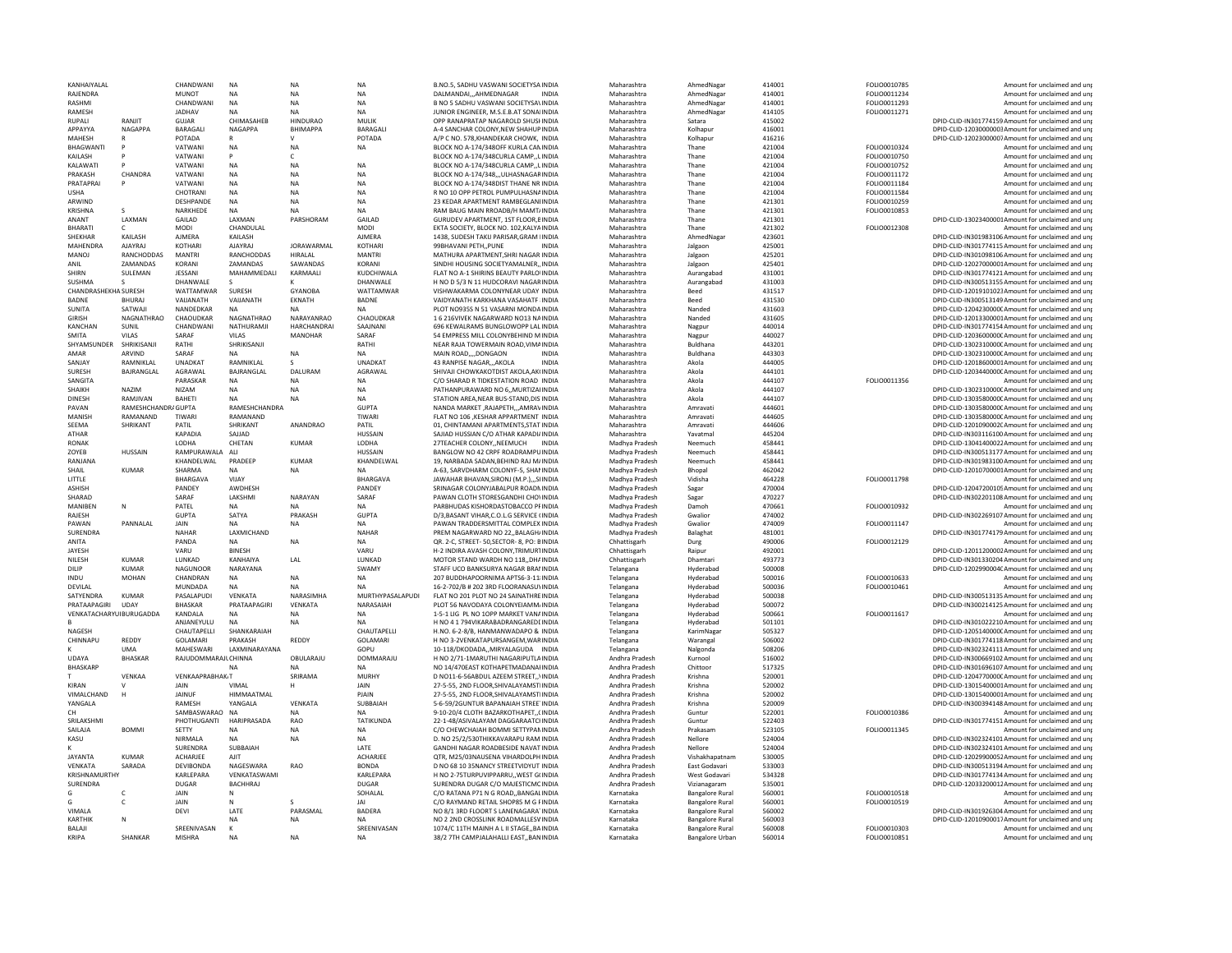| KANHAIYALAL                 |                       | CHANDWANI                     | NA                          | <b>NA</b>                     | <b>NA</b>                    | B.NO.5, SADHU VASWANI SOCIETYSA INDIA                                           | Maharashtra                      | AhmedNagar                                       | 414001           | FOLIO0010785                 | Amount for unclaimed and unp                                                                           |
|-----------------------------|-----------------------|-------------------------------|-----------------------------|-------------------------------|------------------------------|---------------------------------------------------------------------------------|----------------------------------|--------------------------------------------------|------------------|------------------------------|--------------------------------------------------------------------------------------------------------|
| RAJENDRA                    |                       | <b>MUNOT</b>                  | <b>NA</b>                   | <b>NA</b>                     | <b>NA</b>                    | DALMANDAIAHMEDNAGAR<br><b>INDIA</b>                                             | Maharashtra                      | AhmedNagar                                       | 414001           | FOLIO0011234                 | Amount for unclaimed and unr                                                                           |
| RASHMI                      |                       | CHANDWANI                     | <b>NA</b>                   | <b>NA</b>                     | <b>NA</b>                    | B NO 5 SADHU VASWANI SOCIETYSAVINDIA                                            | Maharashtra                      | AhmedNagar                                       | 414001           | FOLIO0011293                 | Amount for unclaimed and un                                                                            |
| RAMESH<br>RUPALI            | RANJIT                | JADHAV<br>GUJAR               | <b>NA</b><br>CHIMASAHEB     | <b>NA</b><br>HINDURAO         | <b>NA</b><br>MULIK           | JUNIOR ENGINEER, M.S.E.B.AT SONAIINDIA<br>OPP RANAPRATAP NAGAROLD SHUSHINDIA    | Maharashtra<br>Maharashtra       | AhmedNagar<br>Satara                             | 414105<br>415002 | FOLIO0011271                 | Amount for unclaimed and unr<br>DPID-CLID-IN301774159 Amount for unclaimed and unp                     |
| ΑΡΡΑΥΥΑ                     | <b>NAGAPPA</b>        | <b>BARAGALL</b>               | <b>NAGAPPA</b>              | <b>BHIMAPPA</b>               | <b>BARAGALI</b>              | A-4 SANCHAR COLONY NEW SHAHUPINDIA                                              | Maharashtra                      | Kolhapur                                         | 416001           |                              | DPID-CLID-12030000003Amount for unclaimed and un                                                       |
| <b>MAHESH</b>               |                       | POTADA                        |                             | $\mathbf{v}$                  | POTADA                       | A/P C NO. 578.KHANDEKAR CHOWK. INDIA                                            | Maharashtra                      | Kolhapu                                          | 416216           |                              | DPID-CLID-12023000007Amount for unclaimed and un                                                       |
| <b>BHAGWANTI</b>            |                       | VATWANI                       | <b>NA</b>                   | <b>NA</b>                     | <b>NA</b>                    | BLOCK NO A-174/348OFF KURLA CANINDIA                                            | Maharashtra                      | Thane                                            | 421004           | FOLIO0010324                 | Amount for unclaimed and un                                                                            |
| KAILASH                     |                       | VATWANI                       | P                           | c                             |                              | BLOCK NO A-174/348CURLA CAMP., LINDIA                                           | Maharashtra                      | Thane                                            | 421004           | FOLIO0010750                 | Amount for unclaimed and un                                                                            |
| <b>KAI AWAT</b>             |                       | VATWANI                       | <b>NA</b>                   | <b>NA</b>                     | <b>NA</b>                    | BLOCK NO A-174/348CURLA CAMP. LINDIA                                            | Maharashtra                      | Thane                                            | 421004           | <b>EOLIO0010752</b>          | Amount for unclaimed and un                                                                            |
| PRAKASH                     | CHANDRA               | VATWANI                       | <b>NA</b>                   | NA                            | <b>NA</b>                    | BLOCK NO A-174/348,,,ULHASNAGARINDIA                                            | Maharashtra                      | Thane                                            | 421004           | FOLIO0011172                 | Amount for unclaimed and un                                                                            |
| PRATAPRAI                   |                       | VATWANI                       | <b>NA</b>                   | <b>NA</b>                     | <b>NA</b>                    | BLOCK NO A-174/348DIST THANE NR INDIA                                           | Maharashtra                      | Thane                                            | 421004           | FOLIO0011184                 | Amount for unclaimed and un                                                                            |
| <b>USHA</b>                 |                       | CHOTRANI                      | <b>NA</b>                   | <b>NA</b>                     | <b>NA</b>                    | R NO 10 OPP PETROL PUMPULHASNAINDIA                                             | Maharashtra                      | Thane                                            | 421004           | FOLIO0011584                 | Amount for unclaimed and un                                                                            |
| ARWIND                      |                       | <b>DESHPANDE</b>              | <b>NA</b>                   | <b>NA</b>                     | <b>NA</b>                    | 23 KEDAR APARTMENT RAMBEGLANLINDIA                                              | Maharashtra                      | Thane                                            | 421301           | FOLIO0010259                 | Amount for unclaimed and un                                                                            |
| KRISHNA                     |                       | NARKHEDE                      | <b>NA</b>                   | <b>NA</b>                     | <b>NA</b>                    | RAM BAUG MAIN RROADB/H MAMT/INDIA                                               | Maharashtra                      | Thane                                            | 421301           | FOLIO0010853                 | Amount for unclaimed and un                                                                            |
| ANANT<br><b>BHARATI</b>     | LAXMAN                | GAILAD<br>MODI                | <b>I AXMAN</b><br>CHANDULAL | PARSHORAM                     | GAILAD<br>MODI               | GURUDEV APARTMENT, 1ST FLOOR, BINDIA<br>EKTA SOCIETY, BLOCK NO. 102, KALYAINDIA | Maharashtra<br>Maharashtra       | Thane<br>Thane                                   | 421301<br>421302 | FOLIO0012308                 | DPID-CLID-13023400001Amount for unclaimed and un<br>Amount for unclaimed and un                        |
| <b>SHEKHAR</b>              | KAILASH               | <b>AJMERA</b>                 | KAILASH                     |                               | AIMFRA                       | 1438, SUDESH TAKIJ PARISAR, GRAM HNDIA                                          | Maharashtra                      | AhmedNagar                                       | 423601           |                              | DPID-CLID-IN301983106 Amount for unclaimed and un                                                      |
| MAHENDRA                    | <b>AJAYRA</b>         | KOTHAR                        | <b>AJAYRAJ</b>              | <b>JORAWARMAL</b>             | KOTHARI                      | 99BHAVANI PETH., PUNE<br><b>INDIA</b>                                           | Maharashtra                      | Jalgaon                                          | 425001           |                              | DPID-CLID-IN301774115 Amount for unclaimed and un                                                      |
| MANOJ                       | RANCHODDAS            | <b>MANTRI</b>                 | RANCHODDAS                  | <b>HIRALAL</b>                | <b>MANTRI</b>                | MATHURA APARTMENT.SHRI NAGAR INDIA                                              | Maharashtra                      | Jalgaon                                          | 425201           |                              | DPID-CLID-IN301098106 Amount for unclaimed and un                                                      |
| ANIL                        | ZAMANDAS              | KORANI                        | ZAMANDAS                    | SAWANDAS                      | KORANI                       | SINDHI HOUSING SOCIETYAMALNER,, INDIA                                           | Maharashtra                      | Jalgaon                                          | 425401           |                              | DPID-CLID-12027000001Amount for unclaimed and unp                                                      |
| SHIRN                       | SULEMAN               | <b>JESSANI</b>                | MAHAMMEDALI                 | KARMAALI                      | KUDCHIWALA                   | FLAT NO A-1 SHIRINS BEAUTY PARLOIINDIA                                          | Maharashtra                      | Aurangabad                                       | 431001           |                              | DPID-CLID-IN301774121 Amount for unclaimed and unp                                                     |
| SUSHMA                      |                       | DHANWALE                      |                             |                               | DHANWALE                     | H NO D 5/3 N 11 HUDCORAVI NAGARINDIA                                            | Maharashtra                      | Aurangabad                                       | 431003           |                              | DPID-CLID-IN300513155 Amount for unclaimed and un                                                      |
| CHANDRASHEKHA SURESH        |                       | WATTAMWAR                     | SURESH                      | <b>GYANOBA</b>                | WATTAMWAR                    | VISHWAKARMA COLONYNEAR UDAY INDIA                                               | Maharashtra                      | Beed                                             | 431517           |                              | DPID-CLID-12019101023Amount for unclaimed and un                                                       |
| <b>BADNE</b>                | <b>BHURAJ</b>         | VAUANATH                      | VAIJANATH                   | EKNATH                        | BADNE                        | VAIDYANATH KARKHANA VASAHATF INDIA                                              | Maharashtra                      | Beed                                             | 431530           |                              | DPID-CLID-IN300513149 Amount for unclaimed and un                                                      |
| <b>SUNITA</b>               | SATWAJ                | NANDEDKAR                     | <b>NA</b>                   | <b>NA</b>                     | <b>NA</b>                    | PLOT NO935S N 51 VASARNI MONDA INDIA                                            | Maharashtra                      | Nanded                                           | 431603           |                              | DPID-CLID-1204230000CAmount for unclaimed and un                                                       |
| <b>GIRISH</b>               | NAGNATHRAO            | CHAOUDKAR                     | NAGNATHRAO                  | NARAYANRAO                    | CHAOUDKAR                    | 1 6 216VIVEK NAGARWARD NO13 NAINDIA                                             | Maharashtra                      | Nanded                                           | 431605           |                              | DPID-CLID-12013300001Amount for unclaimed and un                                                       |
| KANCHAN                     | SUNIL                 | CHANDWANI<br>SARAF            | NATHURAMJI                  | <b>HARCHANDRAI</b><br>MANOHAR | SAAJNANI<br>SARAF            | 696 KEWALRAMS BUNGLOWOPP LAL INDIA<br>54 EMPRESS MILL COLONYBEHIND M INDIA      | Maharashtra                      | Nagpur                                           | 440014<br>440027 |                              | DPID-CLID-IN301774154 Amount for unclaimed and un<br>DPID-CLID-1203600000CAmount for unclaimed and un  |
| <b>SMITA</b><br>SHYAMSUNDER | VII AS<br>SHRIKISANJI | RATHI                         | VII AS<br>SHRIKISANJI       |                               | RATHI                        | NEAR RAJA TOWERMAIN ROAD, VIMAINDIA                                             | Maharashtra<br>Maharashtra       | Nagpur<br>Buldhana                               | 443201           |                              | DPID-CLID-1302310000CAmount for unclaimed and unp                                                      |
| AMAR                        | ARVIND                | SARAF                         | <b>NA</b>                   | <b>NA</b>                     | <b>NA</b>                    | MAIN ROADDONGAON<br><b>INDIA</b>                                                | Maharashtra                      | Buldhana                                         | 443303           |                              | DPID-CLID-1302310000CAmount for unclaimed and un                                                       |
| SANJAY                      | RAMNIKLAL             | <b>UNADKAT</b>                | RAMNIKLAL                   |                               | <b>UNADKAT</b>               | 43 RANPISE NAGARAKOLA<br><b>INDIA</b>                                           | Maharashtra                      | Akola                                            | 444005           |                              | DPID-CLID-12018600001Amount for unclaimed and un                                                       |
| <b>SURFSH</b>               | <b>BAIRANGLAL</b>     | AGRAWAI                       | <b>BAIRANGLAL</b>           | <b>DAIURAM</b>                | AGRAWAI                      | SHIVAII CHOWKAKOTDIST AKOLA AK(INDIA                                            | Maharashtra                      | Akola                                            | 444101           |                              | DPID-CLID-12034400000 Amount for unclaimed and un                                                      |
| SANGITA                     |                       | PARASKAR                      | <b>NA</b>                   | NA                            | <b>NA</b>                    | C/O SHARAD R TIDKESTATION ROAD INDIA                                            | Maharashtra                      | Akola                                            | 444107           | FOLIO0011356                 | Amount for unclaimed and unp                                                                           |
| <b>SHAIKH</b>               | NA7IM                 | NIZAM.                        | <b>NA</b>                   | <b>NA</b>                     | <b>NA</b>                    | PATHANPURAWARD NO 6. MURTIZAHNDIA                                               | Maharashtra                      | Akola                                            | 444107           |                              | DPID-CLID-1302310000CAmount for unclaimed and un                                                       |
| <b>DINESH</b>               | RAMJIVAN              | <b>BAHETI</b>                 | <b>NA</b>                   | <b>NA</b>                     | <b>NA</b>                    | STATION AREA.NEAR BUS-STAND.DIS'INDIA                                           | Maharashtra                      | Akola                                            | 444107           |                              | DPID-CLID-1303580000CAmount for unclaimed and un                                                       |
| PAVAN                       | RAMESHCHANDRAGUPTA    |                               | RAMESHCHANDRA               |                               | GUPTA                        | NANDA MARKET RAIAPETHAMRAVINDIA                                                 | Maharashtra                      | Amravati                                         | 444601           |                              | DPID-CLID-1303580000CAmount for unclaimed and un                                                       |
| <b>MANISH</b>               | RAMANAND              | TIWARI                        | RAMANAND                    |                               | TIWARI                       | FLAT NO 106 , KESHAR APPARTMENT INDIA                                           | Maharashtra                      | Amravati                                         | 444605           |                              | DPID-CLID-1303580000C Amount for unclaimed and unp                                                     |
| <b>SFFMA</b>                | SHRIKANT              | PATIL                         | SHRIKANT                    | ANANDRAO                      | PATIL                        | 01. CHINTAMANI APARTMENTS.STAT INDIA                                            | Maharashtra                      | Amravati                                         | 444606           |                              | DPID-CLID-1201090002CAmount for unclaimed and un                                                       |
| <b>ATHAR</b>                |                       | <b>KAPADIA</b>                | SAIIAD                      |                               | <b>HUSSAIN</b>               | SAJIAD HUSSIAN C/O ATHAR KAPADI/INDIA                                           | Maharashtra                      | Yavatmal                                         | 445204           |                              | DPID-CLID-IN303116100 Amount for unclaimed and unp                                                     |
| <b>RONAK</b>                |                       | <b>IODHA</b>                  | CHETAN                      | <b>KUMAR</b>                  | LODHA                        | 27TEACHER COLONYNEEMUCH<br><b>INDIA</b>                                         | Madhya Pradesh                   | Neemuch                                          | 458441           |                              | DPID-CLID-13041400022Amount for unclaimed and un                                                       |
| ZOYEB<br>RANJANA            | <b>HUSSAIN</b>        | RAMPURAWALA ALI<br>KHANDELWAL | PRADEEP                     | <b>KUMAR</b>                  | <b>HUSSAIN</b><br>KHANDELWAL | BANGLOW NO 42 CRPF ROADRAMPUINDIA<br>19, NARBADA SADAN, BEHIND RAJ M/INDIA      | Madhya Pradesh<br>Madhya Pradesh | Neemuch<br>Neemuch                               | 458441<br>458441 |                              | DPID-CLID-IN300513177 Amount for unclaimed and un<br>DPID-CLID-IN301983100 Amount for unclaimed and un |
| SHAIL                       | KUMAR                 | SHARMA                        | NA                          | <b>NA</b>                     | <b>NA</b>                    | A-63, SARVDHARM COLONYF-5, SHANINDIA                                            | Madhya Pradesh                   | Bhopal                                           | 462042           |                              | DPID-CLID-12010700001Amount for unclaimed and un                                                       |
| LITTLE                      |                       | BHARGAVA                      | VIJAY                       |                               | BHARGAVA                     | JAWAHAR BHAVAN, SIRONJ (M.P.), ,, SIINDIA                                       | Madhya Pradesh                   | Vidisha                                          | 464228           | FOLIO0011798                 | Amount for unclaimed and un                                                                            |
| <b>ASHISH</b>               |                       | PANDEY                        | AWDHESH                     |                               | PANDEY                       | SRINAGAR COLONYJABALPUR ROADNINDIA                                              | Madhya Pradesh                   | Sagar                                            | 470004           |                              | DPID-CLID-12047200105Amount for unclaimed and unp                                                      |
| SHARAD                      |                       | SARAF                         | LAKSHMI                     | NARAYAN                       | SARAF                        | PAWAN CLOTH STORESGANDHI CHOVINDIA                                              | Madhya Pradesh                   | Sagar                                            | 470227           |                              | DPID-CLID-IN302201108 Amount for unclaimed and un                                                      |
| MANIREN                     | N                     | PATFI                         | <b>NA</b>                   | <b>NA</b>                     | <b>NA</b>                    | PARBHUDAS KISHORDASTOBACCO PEINDIA                                              | Madhya Pradesh                   | Damoh                                            | 470661           | FOLIO0010932                 | Amount for unclaimed and un                                                                            |
| RAJESH                      |                       | <b>GUPTA</b>                  | SATYA                       | PRAKASH                       | <b>GUPTA</b>                 | D/3, BASANT VIHAR, C.O.L.G SERVICE (INDIA                                       | Madhya Pradesh                   | Gwalion                                          | 474002           |                              | DPID-CLID-IN302269107 Amount for unclaimed and un                                                      |
| PAWAN                       | PANNALAL              | JAIN                          | NA                          | <b>NA</b>                     | <b>NA</b>                    | PAWAN TRADDERSMITTAL COMPLEX INDIA                                              | Madhya Pradesh                   | Gwalion                                          | 474009           | FOLIO0011147                 | Amount for unclaimed and un                                                                            |
| SURENDRA                    |                       | <b>NAHAR</b>                  | LAXMICHAND                  |                               | NAHAR                        | PREM NAGARWARD NO 22. BALAGH/INDIA                                              | Madhya Pradesh                   | Balaghat                                         | 481001           |                              | DPID-CLID-IN301774179 Amount for unclaimed and un                                                      |
| ANITA                       |                       | PANDA                         | <b>NA</b>                   | <b>NA</b>                     | <b>NA</b>                    | OR. 2-C. STREET- 50 SECTOR- 8. PO: BINDIA                                       | Chhattisgarh                     | Durg                                             | 490006           | FOLIO0012129                 | Amount for unclaimed and un                                                                            |
| JAYESH                      |                       | VARU                          | <b>BINESH</b>               |                               | VARU                         | H-2 INDIRA AVASH COLONY, TRIMURTINDIA                                           | Chhattisgarh                     | Raipur                                           | 492001           |                              | DPID-CLID-12011200002Amount for unclaimed and un                                                       |
| <b>NILESH</b>               | KUMAR                 | <b>IUNKAD</b>                 | KANHAIYA                    | LAL                           | <b>IUNKAD</b>                | MOTOR STAND WARDH NO 118. DHAINDIA                                              | Chhattisgarh                     | Dhamtari                                         | 493773           |                              | DPID-CLID-IN301330204 Amount for unclaimed and un                                                      |
| DILIP                       | <b>KUMAR</b>          | NAGUNOOR                      | NARAYANA                    |                               | SWAMY                        | STAFF UCO BANKSURYA NAGAR BRANINDIA                                             | Telangana                        | Hyderabad                                        | 500008           |                              | DPID-CLID-1202990004CAmount for unclaimed and un                                                       |
| <b>INDU</b><br>DEVILAL      | MOHAN                 | CHANDRAN<br>MUNDADA           | <b>NA</b><br><b>NA</b>      | <b>NA</b><br><b>NA</b>        | <b>NA</b><br><b>NA</b>       | 207 BUDDHAPOORNIMA APTS6-3-11/INDIA<br>16-2-702/B # 202 3RD FLOORANASUYINDIA    | Telangana<br>Telangana           | Hyderabad<br>Hyderabad                           | 500016<br>500036 | FOLIO0010633<br>FOLIO0010461 | Amount for unclaimed and un<br>Amount for unclaimed and un                                             |
| SATYFNDRA                   | KUMAR                 | PASALAPUDI                    | VFNKATA                     | NARASIMHA                     | MURTHYPASALAPUDI             | FLAT NO 201 PLOT NO 24 SAINATHREINDIA                                           | Telangana                        | Hyderabad                                        | 500038           |                              | DPID-CLID-IN300513135 Amount for unclaimed and un                                                      |
| PRATAAPAGIRI                | UDAY                  | BHASKAR                       | PRATAAPAGIRI                | VENKATA                       | NARASAIAH                    | PLOT 56 NAVODAYA COLONYEIAMM/INDIA                                              | Telangana                        | Hyderabad                                        | 500072           |                              | DPID-CLID-IN300214125 Amount for unclaimed and unp                                                     |
| VENKATACHARYUIBURUGADDA     |                       | KANDALA                       | <b>NA</b>                   | <b>NA</b>                     | <b>NA</b>                    | 1-5-1 LIG PL NO 1OPP MARKET VANAINDIA                                           | Telangana                        | Hyderabad                                        | 500661           | FOLIO0011617                 | Amount for unclaimed and un                                                                            |
|                             |                       | ANJANEYULU                    | <b>NA</b>                   | <b>NA</b>                     | <b>NA</b>                    | H NO 4 1 794VIKARABADRANGAREDEINDIA                                             | Telangana                        | Hyderabad                                        | 501101           |                              | DPID-CLID-IN301022210 Amount for unclaimed and unp                                                     |
| NAGESH                      |                       | CHAUTAPELLI                   | SHANKARAIAH                 |                               | CHAUTAPELLI                  | H.NO. 6-2-8/B. HANMANWADAPO & INDIA                                             | Telangana                        | KarimNagar                                       | 505327           |                              | DPID-CLID-1205140000CAmount for unclaimed and un                                                       |
| CHINNAPU                    | REDDY                 | GOLAMARI                      | PRAKASH                     | REDDY                         | <b>GOI AMARI</b>             | H NO 3-2VENKATAPURSANGEM, WARINDIA                                              | Telangana                        | Warangal                                         | 506002           |                              | DPID-CLID-IN301774118 Amount for unclaimed and unp                                                     |
|                             | <b>UMA</b>            | MAHESWARI                     | LAXMINARAYANA               |                               | GOPU                         | 10-118/DKODADA,,MIRYALAGUDA INDIA                                               | Telangana                        | Nalgonda                                         | 508206           |                              | DPID-CLID-IN302324111Amount for unclaimed and un                                                       |
| <b>UDAYA</b>                | <b>BHASKAR</b>        | RAJUDOMMARAJL CHINNA          |                             | OBULARAJU                     | DOMMARAJU                    | H NO 2/71-1MARUTHI NAGARIPUTLAINDIA                                             | Andhra Pradesh                   | Kurnool                                          | 516002           |                              | DPID-CLID-IN300669102 Amount for unclaimed and unp                                                     |
| <b>BHASKARF</b>             |                       |                               |                             | <b>NA</b>                     | <b>NA</b>                    | NO 14/470EAST KOTHAPETMADANAHNDIA                                               | Andhra Pradesh                   | Chittoor                                         | 517325           |                              | DPID-CLID-IN301696107 Amount for unclaimed and un                                                      |
|                             | VENKAA                | <b>VENKAAPRABHAK T</b>        |                             | SRIRAMA                       | <b>MURHY</b>                 | D NO11-6-56ABDUL AZEEM STREET\INDIA                                             | Andhra Pradesh                   | Krishna                                          | 520001           |                              | DPID-CLID-1204770000CAmount for unclaimed and un                                                       |
| KIRAN<br>VIMALCHAND         |                       | JAIN<br>JAINUF                | VIMAL<br>HIMMAATMAI         | н                             | JAIN<br>PJAIN                | 27-5-55, 2ND FLOOR, SHIVALAYAMSTIINDIA<br>27-5-55, 2ND FLOOR.SHIVALAYAMSTIINDIA | Andhra Pradesh                   | Krishna<br>Krishna                               | 520002<br>520002 |                              | DPID-CLID-13015400001Amount for unclaimed and un<br>DPID-CLID-13015400001Amount for unclaimed and un   |
| YANGALA                     | $\,$ H                | RAMESH                        | YANGALA                     | VENKATA                       | SUBBAIAH                     | 5-6-59/2GUNTUR BAPANAIAH STREE'INDIA                                            | Andhra Pradesh<br>Andhra Pradesh | Krishna                                          | 520009           |                              | DPID-CLID-IN300394148 Amount for unclaimed and un                                                      |
| CH                          |                       | SAMBASWARAO NA                |                             | <b>NA</b>                     | <b>NA</b>                    | 9-10-20/4 CLOTH BAZARKOTHAPETCINDIA                                             | Andhra Pradesh                   | Guntur                                           | 522001           | FOLIO0010386                 | Amount for unclaimed and un                                                                            |
| SRILAKSHMI                  |                       | PHOTHUGANTI                   | HARIPRASADA                 | RAO                           | TATIKUNDA                    | 22-1-48/ASIVALAYAM DAGGARAATCHNDIA                                              | Andhra Pradesh                   | Guntur                                           | 522403           |                              | DPID-CLID-IN301774151 Amount for unclaimed and unp                                                     |
| SAII AIA                    | <b>BOMMI</b>          | SETTY                         | <b>NA</b>                   | <b>NA</b>                     | <b>NA</b>                    | C/O CHEWCHAIAH BOMMI SETTYPANINDIA                                              | Andhra Pradesh                   | Prakasam                                         | 523105           | FOLIO0011345                 | Amount for unclaimed and un                                                                            |
| KASU                        |                       | NIRMALA                       | <b>NA</b>                   | <b>NA</b>                     | NA                           | D. NO 25/2/530THIKKAVARAPU RAM INDIA                                            | Andhra Pradesh                   | Nellore                                          | 524004           |                              | DPID-CLID-IN302324101 Amount for unclaimed and un                                                      |
|                             |                       | SURENDRA                      | SUBBAIAH                    |                               | LATE                         | <b>GANDHI NAGAR ROADBESIDE NAVATINDIA</b>                                       | Andhra Pradesh                   | Nellore                                          | 524004           |                              | DPID-CLID-IN302324101 Amount for unclaimed and un                                                      |
| <b>JAYANTA</b>              | <b>KUMAR</b>          | ACHARJEE                      | AJIT                        |                               | ACHARJEE                     | OTR. M25/03NAUSENA VIHARDOLPH INDIA                                             | Andhra Pradesh                   | Vishakhapatnam                                   | 530005           |                              | DPID-CLID-12029900052Amount for unclaimed and unp                                                      |
| VFNKATA                     | SARADA                | DEVIRONDA                     | NAGFSWARA                   | RAO                           | <b>BONDA</b>                 | D NO 68 10 35NANCY STREETVIDYUT INDIA                                           | Andhra Pradesh                   | East Godavari                                    | 533003           |                              | DPID-CLID-IN300513194 Amount for unclaimed and un                                                      |
| KRISHNAMURTHY               |                       | KARLEPARA                     | VENKATASWAMI                |                               | KARLEPARA                    | H NO 2-75TURPUVIPPARRU,, WEST G(INDIA                                           | Andhra Pradesh                   | West Godavari                                    | 534328           |                              | DPID-CLID-IN301774134 Amount for unclaimed and un                                                      |
| SURENDRA                    |                       | <b>DUGAR</b>                  | BACHHRAJ                    |                               | <b>DUGAR</b>                 | SURENDRA DUGAR C/O MAJESTICMCINDIA                                              | Andhra Pradesh                   | Vizianagaram                                     | 535001           |                              | DPID-CLID-12033200012Amount for unclaimed and un                                                       |
| G                           |                       | JAIN                          |                             |                               | SOHALAL                      | C/O RATANA P71 N G ROADBANGALINDIA                                              | Karnataka                        | <b>Bangalore Rural</b>                           | 560001           | FOLIO0010518                 | Amount for unclaimed and unp                                                                           |
|                             | c                     | JAIN                          | $\mathbb N$                 |                               | IAI                          | C/O RAYMAND RETAIL SHOP85 M G FINDIA                                            | Karnataka                        | <b>Bangalore Rural</b>                           | 560001           | FOLIO0010519                 | Amount for unclaimed and un                                                                            |
| VIMALA<br><b>KARTHIK</b>    | Ν                     | <b>DEVI</b>                   | LATE<br><b>NA</b>           | PARASMAL<br><b>NA</b>         | <b>BADERA</b><br><b>NA</b>   | NO 8/1 3RD FLOORT S LANENAGARATINDIA<br>NO 2 2ND CROSSLINK ROADMALLESVINDIA     | Karnataka<br>Karnataka           | <b>Bangalore Rural</b><br><b>Bangalore Rural</b> | 560002<br>560003 |                              | DPID-CLID-IN301926304 Amount for unclaimed and unp<br>DPID-CLID-12010900017Amount for unclaimed and un |
| BALAJI                      |                       | SREENIVASAN                   | $\mathsf{K}$                |                               | SREENIVASAN                  | 1074/C 11TH MAINH A L II STAGE, BAINDIA                                         | Karnataka                        | <b>Bangalore Rural</b>                           | 560008           | FOLIO0010303                 | Amount for unclaimed and unr                                                                           |
| KRIPA                       | <b>SHANKAR</b>        | <b>MISHRA</b>                 | <b>NA</b>                   | <b>NA</b>                     |                              | 38/2 7TH CAMPJALAHALLI EASTBANINDIA                                             | Karnataka                        | <b>Bangalore Urban</b>                           | 560014           | FOLIO0010851                 | Amount for unclaimed and unr                                                                           |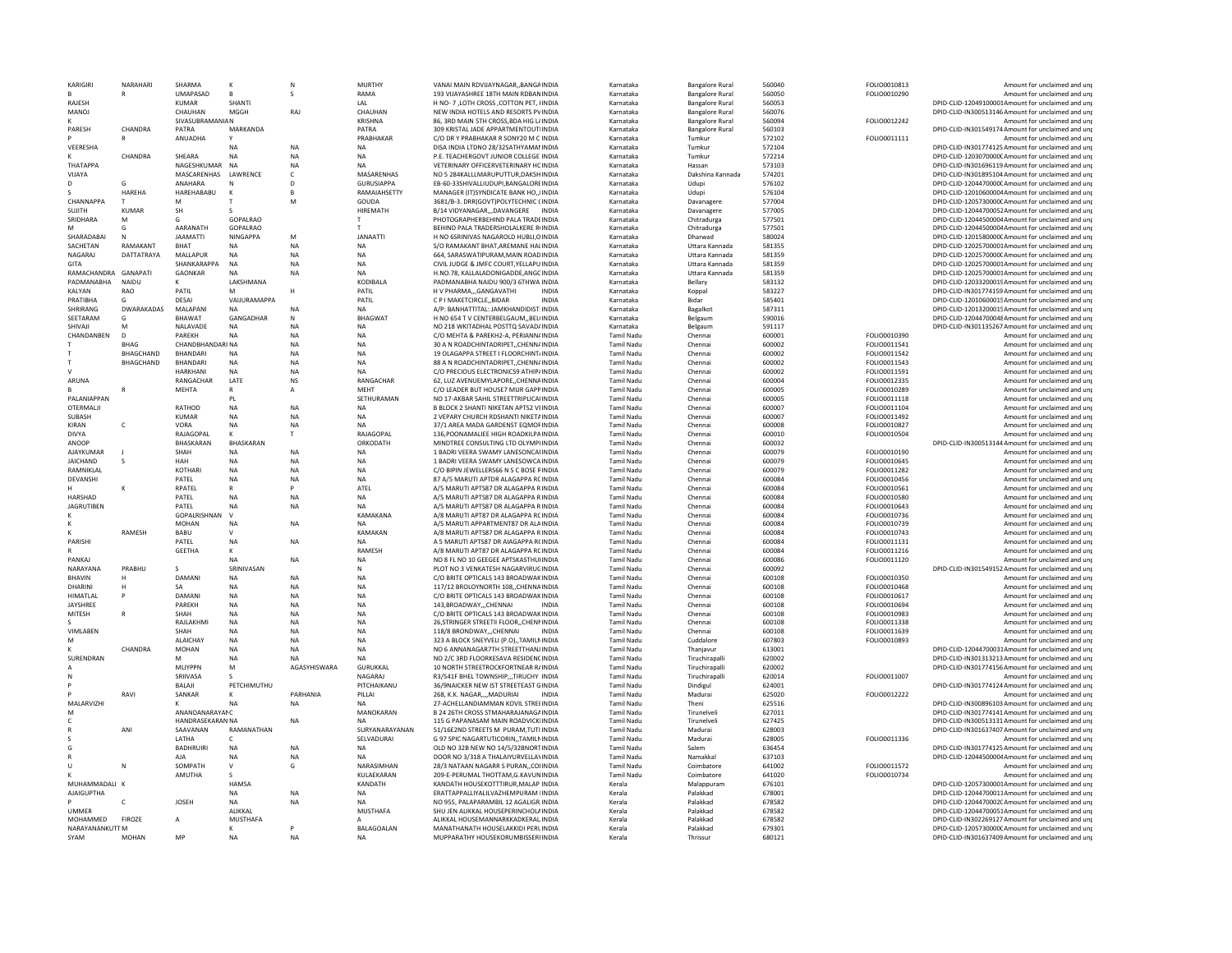|                         | NARAHARI          | SHARMA                  |                           | N              | <b>MURTHY</b>     | VANAI MAIN RDVIJAYNAGARBANGAINDIA                                      | Karnataka         | <b>Bangalore Rural</b> | 560040           | FOLIO0010813        | Amount for unclaimed and unj                                                                             |
|-------------------------|-------------------|-------------------------|---------------------------|----------------|-------------------|------------------------------------------------------------------------|-------------------|------------------------|------------------|---------------------|----------------------------------------------------------------------------------------------------------|
|                         | R                 | <b>UMAPASAD</b>         | R                         | s              | RAMA              | 193 VIJAYASHREE 18TH MAIN RDBANINDIA                                   | Karnataka         | <b>Bangalore Rural</b> | 560050           | FOLIO0010290        | Amount for unclaimed and un                                                                              |
| RAJESH                  |                   | <b>KUMAR</b>            | SHANTI                    |                | LAL               | H NO- 7, LOTH CROSS, COTTON PET, HNDIA                                 | Karnataka         | <b>Bangalore Rural</b> | 560053           |                     | DPID-CLID-12049100001Amount for unclaimed and uni                                                        |
| MANOJ                   |                   | CHAUHAN                 | MGGH                      | RAJ            | CHAUHAN           | NEW INDIA HOTELS AND RESORTS PVINDIA                                   | Karnataka         | <b>Bangalore Rural</b> | 560076           |                     | DPID-CLID-IN300513146 Amount for unclaimed and un                                                        |
|                         |                   | <b>SIVASUBRAMANIAN</b>  |                           |                | KRISHNA           | 86, 3RD MAIN 5TH CROSS BDA HIG L/INDIA                                 | Karnataka         | <b>Bangalore Rural</b> | 560094           | FOLIO0012242        | Amount for unclaimed and un                                                                              |
| PARESH                  | CHANDRA           | PATRA                   | MARKANDA                  |                | PATRA             | 309 KRISTAL JADE APPARTMENTOUTIINDIA                                   | Karnataka         | <b>Bangalore Rural</b> | 560103           |                     | DPID-CLID-IN301549174 Amount for unclaimed and un                                                        |
|                         |                   | ANUADHA                 |                           |                | PRABHAKAR         | C/O DR Y PRABHAKAR R SONY20 M C INDIA                                  | Karnataka         | Tumkur                 | 572102           | FOLIO0011111        | Amount for unclaimed and uni                                                                             |
| VEERESHA                |                   |                         | <b>NA</b>                 | <b>NA</b>      | <b>NA</b>         | DISA INDIA LTDNO 28/32SATHYAMANINDIA                                   | Karnataka         | Tumkur                 | 572104           |                     | DPID-CLID-IN301774125 Amount for unclaimed and unp                                                       |
|                         | CHANDRA           | SHEARA                  | <b>NA</b>                 | <b>NA</b>      | <b>NA</b>         | P.E. TEACHERGOVT JUNIOR COLLEGE INDIA                                  |                   | Tumkur                 | 572214           |                     | DPID-CLID-1203070000CAmount for unclaimed and unp                                                        |
|                         |                   |                         |                           |                |                   |                                                                        | Karnataka         |                        |                  |                     |                                                                                                          |
| THATAPPA                |                   | NAGESHKUMAR             | <b>NA</b>                 | NA             | <b>NA</b>         | VETERINARY OFFICERVETERINARY HCINDIA                                   | Karnataka         | Hassan                 | 573103           |                     | DPID-CLID-IN301696119 Amount for unclaimed and un                                                        |
| VIJAYA                  |                   | MASCARENHAS LAWRENCE    |                           | c              | MASARENHAS        | NO 5 284KALLLMARUPUTTUR, DAKSHINDIA                                    | Karnataka         | Dakshina Kannada       | 574201           |                     | DPID-CLID-IN301895104 Amount for unclaimed and unp                                                       |
| D                       |                   | ANAHARA                 |                           | D              | GURUSIAPPA        | EB-60-33SHIVALLIUDUPI, BANGALOREINDIA                                  | Karnataka         | Udupi                  | 576102           |                     | DPID-CLID-1204470000CAmount for unclaimed and unp                                                        |
|                         | HAREHA            | HAREHABABU              | к                         | B              | RAMAIAHSETTY      | MANAGER (IT)SYNDICATE BANK HO., IINDIA                                 | Karnataka         | Udup                   | 576104           |                     | DPID-CLID-12010600004Amount for unclaimed and uni                                                        |
| <b>CHANNAPPA</b>        |                   | M                       |                           | M              | GOUDA             | 3681/B-3. DRR(GOVT)POLYTECHNIC CINDIA                                  | Karnataka         | Davanagere             | 577004           |                     | DPID-CLID-1205730000CAmount for unclaimed and un                                                         |
| SUJITH                  | KUMAR             | <b>SH</b>               | S.                        |                | <b>HIRFMATH</b>   | B/14 VIDYANAGAR DAVANGERE INDIA                                        | Karnataka         | Davanagere             | 577005           |                     | DPID-CLID-12044700052Amount for unclaimed and uni                                                        |
| SRIDHARA                | M                 | G                       | GOPALRAO                  |                |                   | PHOTOGRAPHERBEHIND PALA TRADEINDIA                                     | Karnataka         | Chitradurga            | 577501           |                     | DPID-CLID-12044500004Amount for unclaimed and un                                                         |
| M                       | G                 | AARANATH                | GOPALRAO                  |                |                   | <b>BEHIND PALA TRADERSHOLALKERE RUNDIA</b>                             | Karnataka         | Chitradurga            | 577501           |                     | DPID-CLID-12044500004Amount for unclaimed and uni                                                        |
| SHARADABAI              |                   | <b>JAAMATTI</b>         | NINGAPPA                  | M              | <b>JANAATTI</b>   | H NO 6SRINIVAS NAGAROLD HUBLI.OINDIA                                   | Karnataka         | Dharwad                | 580024           |                     | DPID-CLID-1201580000CAmount for unclaimed and un                                                         |
| SACHETAN                | RAMAKANT          | BHAT                    | <b>NA</b>                 | <b>NA</b>      | <b>NA</b>         | S/O RAMAKANT BHAT.AREMANE HALINDIA                                     | Karnataka         | Uttara Kannada         | 581355           |                     | DPID-CLID-12025700001Amount for unclaimed and uni                                                        |
|                         |                   |                         |                           |                |                   |                                                                        |                   |                        |                  |                     |                                                                                                          |
| NAGARAJ                 | DATTATRAYA        | MALLAPUR                | <b>NA</b>                 | <b>NA</b>      | <b>NA</b>         | 664. SARASWATIPURAM.MAIN ROAD INDIA                                    | Karnataka         | Uttara Kannada         | 581359           |                     | DPID-CLID-1202570000CAmount for unclaimed and unp                                                        |
| GITA                    |                   | SHANKARAPPA             | <b>NA</b>                 | <b>NA</b>      | <b>NA</b>         | CIVIL JUDGE & IMEC COURT YELLAPUINDIA                                  | Karnataka         | Uttara Kannada         | 581359           |                     | DPID-CLID-12025700001Amount for unclaimed and unj                                                        |
| RAMACHANDRA             | <b>GANAPATI</b>   | <b>GAONKAR</b>          |                           | <b>NA</b>      | NA                | H.NO.78. KALLALADONIGADDE.ANGCINDIA                                    | Karnataka         | Uttara Kannada         | 581359           |                     | DPID-CLID-12025700001Amount for unclaimed and un                                                         |
| PADMANABHA              | NAIDU             |                         | LAKSHMANA                 |                | KODIBALA          | PADMANABHA NAIDU 900/3 6THWA INDIA                                     | Karnataka         | Bellary                | 583132           |                     | DPID-CLID-12033200019Amount for unclaimed and un                                                         |
| KALYAN                  | RAO               | PATIL                   |                           |                | PATIL             | H V PHARMAGANGAVATHI<br><b>INDIA</b>                                   | Karnataka         | Koppal                 | 583227           |                     | DPID-CLID-IN301774159 Amount for unclaimed and uni                                                       |
| PRATIBHA                | G                 | DESAI                   | VAIIURAMAPPA              |                | PATII             | C.P.I.MAKETCIRCLE BIDAR<br><b>INDIA</b>                                | Karnataka         | Bidar                  | 585401           |                     | DPID-CLID-12010600015Amount for unclaimed and un                                                         |
| SHRIRANG                | <b>DWARAKADAS</b> | MALAPANI                | <b>NA</b>                 | <b>NA</b>      | <b>NA</b>         | A/P: BANHATTITAL: JAMKHANDIDIST:INDIA                                  | Karnataka         | Bagalkot               | 587311           |                     | DPID-CLID-12013200015Amount for unclaimed and unj                                                        |
| SEETARAM                | G                 | <b>BHAWAT</b>           | GANGADHAR                 | $\mathbb N$    | <b>BHAGWAT</b>    | H NO 654 T V CENTERBELGAUMBEL(INDIA                                    | Karnataka         | Belgaum                | 590016           |                     | DPID-CLID-12044700048Amount for unclaimed and un                                                         |
| SHIVAJI                 |                   | NALAVADE                | <b>NA</b>                 | <b>NA</b>      | <b>NA</b>         |                                                                        | Karnataka         |                        | 591117           |                     | DPID-CLID-IN301135267 Amount for unclaimed and uni                                                       |
|                         |                   |                         |                           |                |                   | NO 218 WKITADHAL POSTTQ SAVAD/INDIA                                    |                   | Belgaum                |                  |                     |                                                                                                          |
| CHANDANBEN              | $\Gamma$          | PARFKH                  | NA                        | <b>NA</b>      | <b>NA</b>         | C/O MEHTA & PAREKH2-A, PERIANNAINDIA                                   | <b>Tamil Nadu</b> | Chennai                | 600001           | FOLIO0010390        | Amount for unclaimed and un                                                                              |
|                         | <b>BHAG</b>       | CHANDBHANDARI NA        |                           | <b>NA</b>      | <b>NA</b>         | 30 A N ROADCHINTADRIPETCHENNAINDIA                                     | <b>Tamil Nadu</b> | Chennai                | 600002           | FOLIO0011541        | Amount for unclaimed and un                                                                              |
|                         | BHAGCHAND         | <b>BHANDARI</b>         | <b>NA</b>                 | NA             | NA                | 19 OLAGAPPA STREET I FLOORCHINT/INDIA                                  | <b>Tamil Nadu</b> | Chennai                | 600002           | FOLIO0011542        | Amount for unclaimed and un                                                                              |
|                         | BHAGCHAND         | <b>BHANDARI</b>         | <b>NA</b>                 | <b>NA</b>      | <b>NA</b>         | 88 A N ROADCHINTADRIPET, CHENNAINDIA                                   | <b>Tamil Nadu</b> | Chennai                | 600002           | FOLIO0011543        | Amount for unclaimed and un                                                                              |
|                         |                   | <b>HARKHANI</b>         | NΔ                        | <b>NA</b>      | NΔ                | C/O PRECIOUS ELECTRONICS9 ATHIP/INDIA                                  | <b>Tamil Nadu</b> | Chennai                | 600002           | FOLIO0011591        | Amount for unclaimed and un                                                                              |
| ARUNA                   |                   | RANGACHAR               | LATE                      | <b>NS</b>      | RANGACHAR         | 62. LUZ AVENUEMYLAPORECHENNAINDIA                                      | <b>Tamil Nadu</b> | Chennai                | 600004           | FOLIO0012335        | Amount for unclaimed and un                                                                              |
|                         |                   | MEHTA                   |                           |                | MEHT              | C/O LEADER BUT HOUSE7 MUR GAPPINDIA                                    | <b>Tamil Nadu</b> | Chenna                 | 600005           | FOLIO0010289        |                                                                                                          |
|                         |                   |                         |                           | А              | SFTHURAMAN        |                                                                        |                   |                        |                  |                     | Amount for unclaimed and un                                                                              |
| PALANIAPPAN             |                   |                         | PI                        |                |                   | NO 17-AKBAR SAHIL STREETTRIPLICAIINDIA                                 | <b>Tamil Nadu</b> | Chennai                | 600005           | FOLIO0011118        | Amount for unclaimed and uni                                                                             |
| OTERMALII               |                   | RATHOD                  | <b>NA</b>                 | NA             | <b>NA</b>         | B BLOCK 2 SHANTI NIKETAN APTS2 VEINDIA                                 | Tamil Nadu        | Chenna                 | 600007           | FOLIO0011104        | Amount for unclaimed and unp                                                                             |
| SUBASH                  |                   | <b>KUMAR</b>            | <b>NA</b>                 | <b>NA</b>      | NA                | 2 VEPARY CHURCH RDSHANTI NIKETAINDIA                                   | <b>Tamil Nadu</b> | Chennai                | 600007           | FOLIO0011492        | Amount for unclaimed and uni                                                                             |
| KIRAN                   | c                 | VORA                    | NA                        | NA             | <b>NA</b>         | 37/1 AREA MADA GARDENST EQMOFINDIA                                     | <b>Tamil Nadu</b> | Chennai                | 600008           | FOLIO0010827        | Amount for unclaimed and un                                                                              |
| DIVYA                   |                   | RAIAGOPAL               | K                         | т              | RAIAGOPAL         | 136 POONAMALIFF HIGH ROADKILPAINDIA                                    | <b>Tamil Nadu</b> | Chennai                | 600010           | FOLIO0010504        | Amount for unclaimed and un                                                                              |
| ANOOP                   |                   | BHASKARAN               | BHASKARAN                 |                | ORKODATH          | MINDTREE CONSULTING LTD OLYMPHNDIA                                     | Tamil Nadu        | Chenna                 | 600032           |                     | DPID-CLID-IN300513144 Amount for unclaimed and un                                                        |
| AJAYKUMAF               |                   | SHAH                    | <b>NA</b>                 | <b>NA</b>      | <b>NA</b>         | 1 BADRI VEERA SWAMY LANESONCAHNDIA                                     | <b>Tamil Nadu</b> | Chennai                | 600079           | FOLIO0010190        | Amount for unclaimed and un                                                                              |
| <b>JAICHAND</b>         |                   | HAH                     | <b>NA</b>                 | <b>NA</b>      | NA                | 1 BADRI VEERA SWAMY LANESOWCA INDIA                                    | <b>Tamil Nadu</b> | Chenna                 | 600079           | FOLIO0010645        | Amount for unclaimed and un                                                                              |
|                         |                   |                         |                           |                |                   |                                                                        |                   |                        |                  |                     |                                                                                                          |
| RAMNIKLAL               |                   | <b>KOTHAR</b>           | <b>NA</b>                 | <b>NA</b>      | <b>NA</b>         | C/O BIPIN JEWELLERS66 N S C BOSE RINDIA                                | <b>Tamil Nadu</b> | Chennai                | 600079           | FOLIO0011282        | Amount for unclaimed and un                                                                              |
| DEVANSHI                |                   | PATEL                   | <b>NA</b>                 | <b>NA</b>      | <b>NA</b>         | 87 A/5 MARUTI APTDR ALAGAPPA RCINDIA                                   | <b>Tamil Nadu</b> | Chennai                | 600084           | FOLIO0010456        | Amount for unclaimed and un                                                                              |
|                         |                   | <b>RPATFI</b>           | $\mathsf{R}$              | P              | <b>ATFI</b>       | A/5 MARUTI APTS87 DR ALAGAPPA RINDIA                                   | <b>Tamil Nadu</b> | Chennai                | 600084           | FOLIO0010561        | Amount for unclaimed and un                                                                              |
| HARSHAD                 |                   | PATEL                   |                           |                |                   |                                                                        |                   |                        |                  |                     |                                                                                                          |
|                         |                   |                         | <b>NA</b>                 | <b>NA</b>      | <b>NA</b>         | A/5 MARUTI APTS87 DR ALAGAPPA RINDIA                                   | <b>Tamil Nadu</b> | Chenna                 | 600084           | FOLIO0010580        | Amount for unclaimed and un                                                                              |
|                         |                   | PATEL                   | <b>NA</b>                 |                | <b>NA</b>         | A/5 MARUTI APTS87 DR ALAGAPPA RINDIA                                   | <b>Tamil Nadu</b> | Chennai                | 600084           | FOLIO0010643        | Amount for unclaimed and un                                                                              |
| <b>JAGRUTIBEN</b>       |                   |                         |                           | <b>NA</b>      |                   |                                                                        |                   |                        |                  |                     |                                                                                                          |
|                         |                   | GOPALRISHNAN            | $\vee$                    |                | KAMAKANA          | A/8 MARUTI APT87 DR ALAGAPPA RCINDIA                                   | <b>Tamil Nadu</b> | Chennai                | 600084           | FOLIO0010736        | Amount for unclaimed and uni                                                                             |
|                         |                   | MOHAN                   | <b>NA</b>                 | <b>NA</b>      | <b>NA</b>         | A/5 MARUTI APPARTMENT87 DR ALAINDIA                                    | Tamil Nadu        | Chennai                | 600084           | <b>FOLIO0010739</b> | Amount for unclaimed and un                                                                              |
|                         | RAMESH            | <b>BABU</b>             |                           |                | KAMAKAN           | A/8 MARUTI APTS87 DR ALAGAPPA RINDIA                                   | <b>Tamil Nadu</b> | Chennai                | 600084           | FOLIO0010743        | Amount for unclaimed and un                                                                              |
| PARISHI                 |                   | PATEL                   | <b>NA</b>                 | <b>NA</b>      | <b>NA</b>         | A 5 MARUTI APTS87 DR AIAGAPPA RCINDIA                                  | <b>Tamil Nadu</b> | Chennai                | 600084           | FOLIO0011131        | Amount for unclaimed and un                                                                              |
|                         |                   | <b>GEETHA</b>           |                           |                | RAMESH            | A/8 MARUTI APT87 DR ALAGAPPA RCINDIA                                   | <b>Tamil Nadu</b> | Chennai                | 600084           | FOLIO0011216        | Amount for unclaimed and uni                                                                             |
| PANKAI                  |                   |                         | NΔ                        | <b>NA</b>      | <b>NA</b>         | NO 8 FL NO 10 GEEGEE APTSKASTHUIINDIA                                  | <b>Tamil Nadu</b> | Chennai                | 600086           | FOLIO0011120        | Amount for unclaimed and un                                                                              |
| NARAYANA                | PRABHU            |                         | SRINIVASAN                |                | N                 | PLOT NO 3 VENKATESH NAGARVIRUGINDIA                                    | <b>Tamil Nadu</b> | Chennai                | 600092           |                     | DPID-CLID-IN301549152 Amount for unclaimed and unj                                                       |
| BHAVIN                  |                   |                         | <b>NA</b>                 | <b>NA</b>      |                   | C/O BRITE OPTICALS 143 BROADWAKINDIA                                   | <b>Tamil Nadu</b> | Chennai                | 600108           | FOLIO0010350        | Amount for unclaimed and un                                                                              |
| DHARINI                 |                   | DAMANI<br>SА            | <b>NA</b>                 | <b>NA</b>      | NA<br><b>NA</b>   |                                                                        |                   | Chennai                |                  |                     | Amount for unclaimed and uni                                                                             |
| HIMATI AI               | P                 | DAMANI                  | <b>NA</b>                 | <b>NA</b>      | <b>NA</b>         | 117/12 BROLOYNORTH 108, CHENNAINDIA                                    | <b>Tamil Nadu</b> |                        | 600108           | FOLIO0010468        |                                                                                                          |
|                         |                   |                         |                           |                |                   | C/O BRITE OPTICALS 143 BROADWAKINDIA                                   | <b>Tamil Nadu</b> | Chennai                | 600108           | FOLIO0010617        | Amount for unclaimed and un                                                                              |
| JAYSHREE                |                   | PAREKH                  | <b>NA</b>                 | <b>NA</b>      | NA                | 143.BROADWAYCHENNAI<br><b>INDIA</b>                                    | <b>Tamil Nadu</b> | Chennai                | 600108           | FOLIO0010694        | Amount for unclaimed and un                                                                              |
| MITESH                  |                   | SHAH                    | <b>NA</b>                 | <b>NA</b>      | NA                | C/O BRITE OPTICALS 143 BROADWAKINDIA                                   | <b>Tamil Nadu</b> | Chenna                 | 600108           | FOLIO0010983        | Amount for unclaimed and un                                                                              |
|                         |                   | RAJLAKHMI               | <b>NA</b>                 | <b>NA</b>      | NA                | 26, STRINGER STREETII FLOOR, , CHENNINDIA                              | <b>Tamil Nadu</b> | Chennai                | 600108           | FOLIO0011338        | Amount for unclaimed and uni                                                                             |
| VIMLABEN                |                   | SHAH                    | <b>NA</b>                 | NA             | NA                | 118/8 BRONDWAY,,,CHENNAI<br><b>INDIA</b>                               | Tamil Nadu        | Chennai                | 600108           | FOLIO0011639        | Amount for unclaimed and un                                                                              |
| M                       |                   | <b>ALAICHAY</b>         | <b>NA</b>                 | <b>NA</b>      | NA                | 323 A BLOCK 5NEYVELI (P.O)., TAMILNINDIA                               | <b>Tamil Nadu</b> | Cuddalore              | 607803           | FOLIO0010893        | Amount for unclaimed and uni                                                                             |
|                         | CHANDRA           | <b>MOHAN</b>            | NA                        | <b>NA</b>      | NA                | NO 6 ANNANAGAR7TH STREETTHANJ INDIA                                    | <b>Tamil Nadu</b> | Thanjavur              | 613001           |                     | DPID-CLID-12044700031Amount for unclaimed and un                                                         |
| SURENDRAN               |                   | M                       | <b>NA</b>                 | <b>NA</b>      | <b>NA</b>         | NO 2/C 3RD ELOORKESAVA RESIDENCINDIA                                   | <b>Tamil Nadu</b> | Tiruchiranalli         | 620002           |                     | DPID-CLID-IN301313213 Amount for unclaimed and un                                                        |
|                         |                   | MLIYPPN                 | M                         | AGASYHISWARA   | GURUKKAL          | 10 NORTH STREETROCKFORTNEAR RAINDIA                                    | Tamil Nadu        | Tiruchirapall          | 620002           |                     | DPID-CLID-IN301774156 Amount for unclaimed and un                                                        |
| N                       |                   | SRIIVASA                | -S.                       |                | NAGARAI           | R3/541F BHEL TOWNSHIPTIRUCHY INDIA                                     | <b>Tamil Nadu</b> | Tiruchirapalli         | 620014           | FOLIO0011007        | Amount for unclaimed and un                                                                              |
|                         |                   |                         |                           |                |                   |                                                                        |                   |                        |                  |                     |                                                                                                          |
|                         |                   | BALAJI                  | PETCHIMUTHU               |                | PITCHAIKANU       | 36/9NAICKER NEW IST STREETEAST GINDIA                                  | <b>Tamil Nadu</b> | Dindigul               | 624001           |                     | DPID-CLID-IN301774124 Amount for unclaimed and unj                                                       |
|                         | RAVI              | SANKAR                  |                           | PARHANIA       | PILLAI            | 268. K.K. NAGARMADURIAI<br><b>INDIA</b>                                | <b>Tamil Nadu</b> | Madurai                | 625020           | FOLIO0012222        | Amount for unclaimed and uni                                                                             |
| MALARVIZHI              |                   |                         |                           | <b>NA</b>      | <b>NA</b>         | 27-ACHELLANDIAMMAN KOVIL STREEINDIA                                    | <b>Tamil Nadu</b> | Theni                  | 625516           |                     | DPID-CLID-IN300896103 Amount for unclaimed and un                                                        |
| M                       |                   | <b>ANANDANARAYANC</b>   |                           |                | MANOKARAN         | <b>B 24 26TH CROSS STMAHARAIANAGAINDIA</b>                             | <b>Tamil Nadu</b> | Tirunelvel             | 627011           |                     | DPID-CLID-IN301774141 Amount for unclaimed and un                                                        |
| c                       |                   | <b>HANDRASEKARAN NA</b> |                           | <b>NA</b>      |                   | 115 G PAPANASAM MAIN ROADVICKIINDIA                                    | <b>Tamil Nadu</b> | Tirunelvel             | 627425           |                     | DPID-CLID-IN300513131Amount for unclaimed and un                                                         |
|                         | AN                | SAAVANAN                | RAMANATHAN                |                | SURYANARAYANAN    | 51/16E2ND STREETS M PURAM.TUTI INDIA                                   | <b>Tamil Nadu</b> | Madurai                | 628003           |                     | DPID-CLID-IN301637407 Amount for unclaimed and un                                                        |
|                         |                   | LATHA                   |                           |                | SELVADURAI        | G 97 SPIC NAGARTUTICORIN. TAMILNINDIA                                  | <b>Tamil Nadu</b> | Madurai                | 628005           | FOLIO0011336        | Amount for unclaimed and uni                                                                             |
|                         |                   | <b>BADHRUIRI</b>        | <b>NA</b>                 | <b>NA</b>      | <b>NA</b>         | OLD NO 32B NEW NO 14/5/32BNORTINDIA                                    | Tamil Nadu        | Salem                  | 636454           |                     | DPID-CLID-IN301774125 Amount for unclaimed and un                                                        |
|                         |                   | AJA                     |                           |                | <b>NA</b>         | DOOR NO 3/318 A THALAIYURVELLAYINDIA                                   | <b>Tamil Nadu</b> | Namakkal               | 637103           |                     |                                                                                                          |
| $\cup$                  | $\mathsf{N}$      | SOMPATH                 | <b>NA</b><br>$\mathsf{v}$ | NA<br>G        | NARASIMHAN        | 28/3 NATAAN NAGARR S PURANCOIINDIA                                     | <b>Tamil Nadu</b> |                        | 641002           |                     | DPID-CLID-12044500004Amount for unclaimed and un                                                         |
|                         |                   |                         |                           |                |                   |                                                                        |                   | Coimbatore             |                  | FOLIO0011572        | Amount for unclaimed and un                                                                              |
|                         |                   | AMUTHA                  |                           |                | KULAEKARAN        | 209-E-PERUMAL THOTTAM.G.KAVUNINDIA                                     | <b>Tamil Nadu</b> | Coimbatore             | 641020           | FOLIO0010734        | Amount for unclaimed and uni                                                                             |
| MUHAMMADALI K           |                   |                         | HAMSA                     |                | <b>KANDATH</b>    | KANDATH HOUSEKOTTTIRUR.MALAP INDIA                                     | Kerala            | Malappuram             | 676101           |                     | DPID-CLID-12057300001Amount for unclaimed and un                                                         |
| <b>AJAIGUPTHA</b>       |                   |                         | <b>NA</b>                 | <b>NA</b>      | NA                | ERATTAPPALLIYALILVAZHEMPURAM IINDIA                                    | Kerala            | Palakkad               | 678001           |                     | DPID-CLID-12044700011Amount for unclaimed and unj                                                        |
|                         |                   | <b>JOSEH</b>            | <b>NA</b>                 | <b>NA</b>      | <b>NA</b>         | NO 955, PALAPARAMBIL 12 AGALIGR INDIA                                  | Kerala            | Palakkad               | 678582           |                     | DPID-CLID-1204470002CAmount for unclaimed and un                                                         |
| <b>UMMFR</b>            |                   |                         | ALIKKAL                   |                | <b>MUSTHAFA</b>   | SHU JEN ALIKKAL HOUSEPERINCHOLAINDIA                                   | Kerala            | Palakkad               | 678582           |                     | DPID-CLID-12044700051Amount for unclaimed and unp                                                        |
| <b>MOHAMMED</b>         | <b>FIROZE</b>     | Δ                       | MUSTHAFA                  |                |                   | ALIKKAL HOUSEMANNARKKADKERALJNDIA                                      | Kerala            | Palakkad               | 678582           |                     | DPID-CLID-IN302269127 Amount for unclaimed and un                                                        |
| NARAYANANKUTT M<br>SYAM | <b>MOHAN</b>      |                         | к<br><b>NA</b>            | P<br><b>NA</b> | <b>BALAGOALAN</b> | MANATHANATH HOUSELAKKIDI PERLINDIA<br>MUPPARATHY HOUSEKORUMBISSERHNDIA | Kerala            | Palakkad               | 679301<br>680121 |                     | DPID-CLID-1205730000C Amount for unclaimed and unp<br>DPID-CLID-IN301637409 Amount for unclaimed and unp |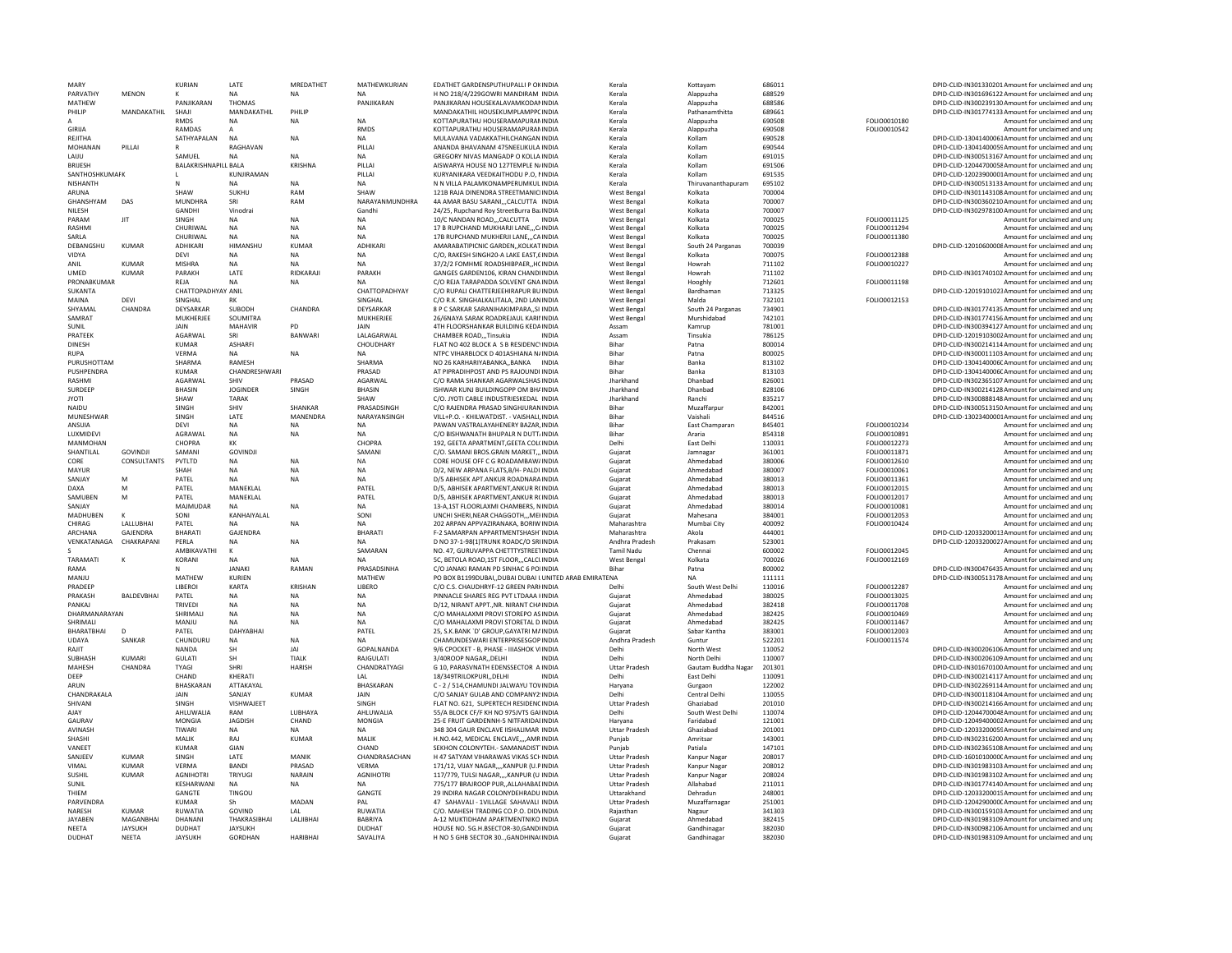| MARY                     |                              | <b>KURIAN</b>                    | LATE                          | MREDATHET          | MATHEWKURIAN             | EDATHET GARDENSPUTHUPALLI P OKINDIA                                                             | Kerala                                       | Kottayam                     | 686011           |                     | DPID-CLID-IN301330201 Amount for unclaimed and unr                                                       |
|--------------------------|------------------------------|----------------------------------|-------------------------------|--------------------|--------------------------|-------------------------------------------------------------------------------------------------|----------------------------------------------|------------------------------|------------------|---------------------|----------------------------------------------------------------------------------------------------------|
| PARVATHY                 | <b>MENON</b>                 |                                  | <b>NA</b>                     |                    | <b>NA</b>                | H NO 218/4/229GOWRI MANDIRAM INDIA                                                              | Kerala                                       | Alappuzha                    | 688529           |                     | DPID-CLID-IN301696122 Amount for unclaimed and unj                                                       |
| MATHEW                   |                              | PANJIKARAN                       | THOMAS                        |                    | PANJIKARAN               | PANJIKARAN HOUSEKALAVAMKODANINDIA                                                               | Kerala                                       | Alappuzha                    | 688586           |                     | DPID-CLID-IN300239130 Amount for unclaimed and unr                                                       |
| PHILIP                   | MANDAKATHIL                  | SHAJI                            | MANDAKATHIL                   | PHILIP             |                          | MANDAKATHIL HOUSEKUMPLAMPPCINDIA                                                                | Kerala                                       | Pathanamthitta               | 689661           |                     | DPID-CLID-IN301774133 Amount for unclaimed and unp                                                       |
| А                        |                              | <b>RMDS</b>                      | <b>NA</b>                     | <b>NA</b>          | <b>NA</b>                | KOTTAPURATHU HOUSERAMAPURANINDIA                                                                | Kerala                                       | Alappuzha                    | 690508           | FOLIO0010180        | Amount for unclaimed and uni                                                                             |
| <b>GIRIJA</b><br>REIITHA |                              | <b>RAMDAS</b>                    | <b>NA</b>                     | <b>NA</b>          | RMDS<br>NA.              | KOTTAPURATHU HOUSERAMAPURANINDIA<br>MUI AVANA VADAKKATHII CHANGAN INDIA                         | Kerala<br>Kerala                             | Alappuzha<br>Kollam          | 690508<br>690528 | FOLIO0010542        | Amount for unclaimed and uni<br>DPID-CLID-13041400061Amount for unclaimed and uni                        |
| MOHANAN                  | PILLA                        | SATHYAPALAN                      | RAGHAVAN                      |                    | PILLAI                   | ANANDA BHAVANAM 475NEELIKULA INDIA                                                              | Kerala                                       | Kollam                       | 690544           |                     | DPID-CLID-13041400059Amount for unclaimed and un                                                         |
| <b>I AIIU</b>            |                              | SAMUEL                           | <b>NA</b>                     | <b>NA</b>          | <b>NA</b>                | GREGORY NIVAS MANGADP O KOLLA INDIA                                                             | Kerala                                       | Kollam                       | 691015           |                     | DPID-CLID-IN300513167Amount for unclaimed and uni                                                        |
| <b>BRUESH</b>            |                              | <b>BALAKRISHNAPILL BALA</b>      |                               | <b>KRISHNA</b>     | PILLAI                   | AISWARYA HOUSE NO 127TEMPLE N/INDIA                                                             | Kerala                                       | Kollam                       | 691506           |                     | DPID-CLID-12044700058Amount for unclaimed and un                                                         |
| SANTHOSHKUMAFK           |                              |                                  | KUNJIRAMAN                    |                    | PILLAI                   | KURYANIKARA VEEDKAITHODU P.O. NINDIA                                                            | Kerala                                       | Kollam                       | 691535           |                     | DPID-CLID-12023900001Amount for unclaimed and uni                                                        |
| NISHANTH                 |                              | N                                | <b>NA</b>                     | <b>NA</b>          | <b>NA</b>                | N N VILLA PALAMKONAMPERUMKUL INDIA                                                              | Kerala                                       | Thiruvananthapuram           | 695102           |                     | DPID-CLID-IN300513133 Amount for unclaimed and unr                                                       |
| ARUNA                    |                              | <b>SHAW</b>                      | SUKHU                         | RAM                | SHAW                     | 121B RAIA DINENDRA STREETMANICHNDIA                                                             | West Benga                                   | Kolkata                      | 700004           |                     | DPID-CLID-IN301143108 Amount for unclaimed and uni                                                       |
| GHANSHYAM                | DAS                          | MUNDHRA                          |                               | RAM                | NARAYANMUNDHRA           | 4A AMAR BASU SARANICALCUTTA INDIA                                                               | West Benga                                   | Kolkata                      | 700007           |                     | DPID-CLID-IN300360210 Amount for unclaimed and uni                                                       |
| <b>NILESH</b>            |                              | <b>GANDHI</b>                    | Vinodrai                      |                    | Gandhi                   | 24/25. Rupchand Roy StreetBurra BazINDIA                                                        | West Benga                                   | Kolkata                      | 700007           |                     | DPID-CLID-IN302978100 Amount for unclaimed and uni                                                       |
| PARAM                    | JIT                          | SINGH                            | <b>NA</b>                     | <b>NA</b>          | <b>NA</b>                | 10/C NANDAN ROAD,,,CALCUTTA INDIA                                                               | <b>West Bengal</b>                           | Kolkata                      | 700025           | FOLIO0011125        | Amount for unclaimed and uni                                                                             |
| RASHMI                   |                              | CHURIWAL                         | <b>NA</b>                     | <b>NA</b>          | <b>NA</b>                | 17 B RUPCHAND MUKHARJI LANEC/INDIA                                                              | West Bengal                                  | Kolkata                      | 700025           | FOLIO0011294        | Amount for unclaimed and uni                                                                             |
| SARLA                    |                              | CHURIWAL                         | <b>NA</b>                     | <b>NA</b>          | <b>NA</b>                | 17B RUPCHAND MUKHERJI LANECAINDIA                                                               | West Benga                                   | Kolkata                      | 700025           | FOLIO0011380        | Amount for unclaimed and uni                                                                             |
| DEBANGSHU                | <b>KUMAR</b>                 | ADHIKARI                         | HIMANSHU                      | KUMAR              | <b>ADHIKARI</b>          | AMARABATIPICNIC GARDENKOLKATINDIA                                                               | West Benga                                   | South 24 Parganas            | 700039           |                     | DPID-CLID-12010600008 Amount for unclaimed and uni                                                       |
| VIDYA                    |                              | DEVI                             | <b>NA</b>                     | <b>NA</b>          | <b>NA</b>                | C/O, RAKESH SINGH20-A LAKE EAST,6INDIA                                                          | West Benga                                   | Kolkata                      | 700075           | FOLIO0012388        | Amount for unclaimed and unp                                                                             |
| ANII                     | KIIMAR                       | <b>MISHRA</b>                    | NΔ                            | NΔ                 | <b>NA</b>                | 37/2/2 FOMHME ROADSHIBPAER, HCINDIA                                                             | West Bengal                                  | Howrah                       | 711102           | FOLIO0010227        | Amount for unclaimed and unj                                                                             |
| UMED                     | <b>KUMAR</b>                 | PARAKH                           | LATE                          | RIDKARAJI          | PARAKH                   | GANGES GARDEN106, KIRAN CHANDHNDIA                                                              | <b>West Bengal</b>                           | Howrah                       | 711102           |                     | DPID-CLID-IN301740102 Amount for unclaimed and unp                                                       |
| PRONABKUMAR              |                              | REJA                             | <b>NA</b>                     | <b>NA</b>          | <b>NA</b>                | C/O REJA TARAPADDA SOLVENT GNA INDIA                                                            | <b>West Bengal</b>                           | Hooghly                      | 712601           | FOLIO0011198        | Amount for unclaimed and uni                                                                             |
| <b>SUKANTA</b><br>MAINA  | <b>DEVI</b>                  | CHATTOPADHYAY ANIL               | DK                            |                    | CHATTOPADHYAY<br>SINGHAL | C/O RUPALI CHATTERJEEHIRAPUR BU INDIA                                                           | West Benga                                   | Bardhaman<br>Malda           | 713325           | FOLIO0012153        | DPID-CLID-12019101023Amount for unclaimed and unp                                                        |
| SHYAMAL                  | CHANDRA                      | SINGHAL<br>DEYSARKAR             | SUBODH                        | CHANDRA            | DEYSARKAR                | C/O R.K. SINGHALKALITALA, 2ND LANINDIA<br>8 P C SARKAR SARANIHAKIMPARA,, SI INDIA               | West Bengal<br>West Benga                    | South 24 Parganas            | 732101<br>734901 |                     | Amount for unclaimed and unj<br>DPID-CLID-IN301774135 Amount for unclaimed and unp                       |
| SAMRAT                   |                              | MUKHERJEE                        | SOUMITRA                      |                    | MUKHERJEE                | 26/6NAYA SARAK ROADREJAUL KARINNDIA                                                             | <b>West Bengal</b>                           | Murshidabad                  | 742101           |                     | DPID-CLID-IN301774156 Amount for unclaimed and un                                                        |
| SUNIL                    |                              | <b>JAIN</b>                      | MAHAVIR                       | <b>PD</b>          | <b>JAIN</b>              | 4TH FLOORSHANKAR BUILDING KEDAINDIA                                                             | Assam                                        | Kamrup                       | 781001           |                     | DPID-CLID-IN300394127 Amount for unclaimed and unp                                                       |
| PRATEEK                  |                              | AGARWAL                          | SRI                           | BANWARI            | LALAGARWAL               | CHAMBER ROAD,,,Tinsukia<br><b>INDIA</b>                                                         | Assam                                        | Tinsukia                     | 786125           |                     | DPID-CLID-12019103002 Amount for unclaimed and unp                                                       |
| <b>DINESH</b>            |                              | <b>KUMAR</b>                     | ASHARFI                       |                    | CHOUDHARY                | FLAT NO 402 BLOCK A S B RESIDENCYINDIA                                                          | Bihar                                        | Patna                        | 800014           |                     | DPID-CLID-IN300214114 Amount for unclaimed and unp                                                       |
| <b>RUPA</b>              |                              | VERMA                            |                               | <b>NA</b>          |                          | NTPC VIHARBLOCK D 401ASHIANA N/INDIA                                                            | Bihar                                        | Patna                        | 800025           |                     | DPID-CLID-IN300011103 Amount for unclaimed and un                                                        |
| PURUSHOTTAM              |                              | SHARMA                           | RAMESH                        |                    | SHARMA                   | NO 26 KARHARIYABANKABANKA<br>INDIA                                                              | Bihar                                        | Banka                        | 813102           |                     | DPID-CLID-1304140006CAmount for unclaimed and uni                                                        |
| PUSHPENDRA               |                              | KUMAR                            | CHANDRESHWARI                 |                    | PRASAD                   | AT PIPRADIHPOST AND PS RAJOUNDI INDIA                                                           | Bihar                                        | Banka                        | 813103           |                     | DPID-CLID-1304140006CAmount for unclaimed and unj                                                        |
| RASHMI                   |                              | <b>AGARWAI</b>                   | <b>SHIV</b>                   | PRASAD             | AGARWAI                  | C/O RAMA SHANKAR AGARWAI SHAS INDIA                                                             | Iharkhand                                    | Dhanbad                      | 826001           |                     | DPID-CLID-IN302365107Amount for unclaimed and uni                                                        |
| SURDEEP                  |                              | <b>BHASIN</b>                    | <b>JOGINDER</b>               | SINGH              | BHASIN                   | ISHWAR KUNJ BUILDINGOPP OM BHAINDIA                                                             | Jharkhand                                    | Dhanbad                      | 828106           |                     | DPID-CLID-IN300214128 Amount for unclaimed and un                                                        |
| <b>JYOTI</b>             |                              | SHAW                             | <b>TARAK</b>                  |                    | SHAW                     | C/O. JYOTI CABLE INDUSTRIESKEDAL INDIA                                                          | Jharkhand                                    | Ranchi                       | 835217           |                     | DPID-CLID-IN300888148 Amount for unclaimed and uni                                                       |
| NAIDU                    |                              | SINGH                            | SHIV                          | SHANKAR            | PRASADSINGH              | C/O RAJENDRA PRASAD SINGHJURANINDIA                                                             | Bihar                                        | Muzaffarour                  | 842001           |                     | DPID-CLID-IN300513150 Amount for unclaimed and uni                                                       |
| MUNFSHWAR                |                              | SINGH                            | <b>I ATF</b>                  | <b>MANFNDRA</b>    | NARAYANSINGH             | VIII +P.O. - KHII WATDIST. - VAISHALLINDIA                                                      | Bihar                                        | Vaishali                     | 844516           |                     | DPID-CLID-13023400001Amount for unclaimed and uni                                                        |
| ANSUIA                   |                              | <b>DEVI</b>                      | NA                            | <b>NA</b>          | NA                       | PAWAN VASTRALAYAHENERY BAZAR, INDIA                                                             | Bihar                                        | East Champaran               | 845401           | FOLIO0010234        | Amount for unclaimed and un                                                                              |
| <b>IUXMIDEVI</b>         |                              | AGRAWAI                          | <b>NA</b>                     | <b>NA</b>          | <b>NA</b>                | C/O BISHWANATH BHUPALR N DUTT/INDIA                                                             | Bihar                                        | Araria                       | 854318           | FOLIO0010891        | Amount for unclaimed and uni                                                                             |
| MANMOHAN                 |                              | CHOPRA                           | KK                            |                    | <b>CHOPRA</b>            | 192. GEETA APARTMENT.GEETA COL(INDIA                                                            | Delhi                                        | East Delhi                   | 110031           | FOLIO0012273        | Amount for unclaimed and uni                                                                             |
| SHANTILAL                | GOVINDIL                     | SAMANI                           | <b>GOVINDJI</b>               |                    | <b>SAMANI</b>            | C/O. SAMANI BROS.GRAIN MARKET INDIA                                                             | Gujarat                                      | Jamnagar                     | 361001           | FOLIO0011871        | Amount for unclaimed and uni                                                                             |
| CORE                     | CONSULTANTS                  | PVTLTD                           | <b>NA</b>                     | <b>NA</b>          | <b>NA</b>                | CORE HOUSE OFF C G ROADAMBAW/INDIA                                                              | Gujarat                                      | Ahmedabad                    | 380006           | FOLIO0012610        | Amount for unclaimed and uni                                                                             |
| MAYUR                    |                              | SHAH                             | <b>NA</b>                     | <b>NA</b>          | <b>NA</b>                | D/2. NEW ARPANA FLATS.B/H- PALDI INDIA                                                          | Guiarat                                      | Ahmedahad                    | 380007           | FOLIO0010061        | Amount for unclaimed and uni                                                                             |
| SANJAY                   | M                            | PATEL                            | <b>NA</b>                     | <b>NA</b>          | NA                       | D/5 ABHISEK APT.ANKUR ROADNARAINDIA                                                             | Gujarat                                      | Ahmedabad                    | 380013           | FOLIO0011361        | Amount for unclaimed and unp                                                                             |
| DAXA                     | M                            | PATEL                            | MANEKLAL                      |                    | PATFI                    | D/5. ABHISEK APARTMENT.ANKUR R(INDIA                                                            | Gujarat                                      | Ahmedabad                    | 380013           | FOLIO0012015        | Amount for unclaimed and unj                                                                             |
| SAMUBEN                  | M                            | PATEL                            | MANEKLAL                      |                    | PATEL                    | D/5. ABHISEK APARTMENT, ANKUR RCINDIA                                                           | Gujarat                                      | Ahmedabad                    | 380013           | FOLIO0012017        | Amount for unclaimed and uni                                                                             |
| SANIAY                   |                              | MAJMUDAR                         | <b>NA</b>                     | <b>NA</b>          | <b>NA</b>                | 13-A.1ST FLOORLAXMI CHAMBERS, NINDIA                                                            | Guiarat                                      | Ahmedabad                    | 380014           | FOLIO0010081        | Amount for unclaimed and uni                                                                             |
| MADHUBEN                 |                              | SONI                             | KANHAIYALAL                   |                    | SONI                     | UNCHI SHERI, NEAR CHAGGOTH,,, MEHNDIA                                                           | Gujarat                                      | Mahesana                     | 384001           | FOLIO0012053        | Amount for unclaimed and unp                                                                             |
| CHIRAG                   | LALLUBHAI                    | PATEL                            | <b>NA</b>                     | <b>NA</b>          | <b>NA</b>                | 202 ARPAN APPVAZIRANAKA, BORIW INDIA                                                            | Maharashtra                                  | Mumbai City                  | 400092           | FOLIO0010424        | Amount for unclaimed and uni                                                                             |
| ARCHANA                  | <b>GAIFNDRA</b>              | BHARATI                          | GAJENDRA                      |                    | <b>BHARATI</b>           | F-2 SAMARPAN APPARTMENTSHASH'INDIA                                                              | Maharashtra                                  | Akola                        | 444001           |                     | DPID-CLID-12033200013Amount for unclaimed and unp                                                        |
| VENKATANAGA              | CHAKRAPANI                   | PERLA                            | <b>NA</b>                     | <b>NA</b>          | <b>NA</b>                | D NO 37-1-98(1)TRUNK ROADC/O SRUNDIA                                                            | Andhra Pradesh                               | Prakasam                     | 523001           |                     | DPID-CLID-12033200027Amount for unclaimed and unj                                                        |
|                          |                              | <b>AMBIKAVATH</b>                |                               |                    | SAMARAN                  | NO. 47, GURUVAPPA CHETTTYSTREETINDIA                                                            | <b>Tamil Nadu</b>                            | Chennai                      | 600002           | FOLIO0012045        | Amount for unclaimed and unr                                                                             |
| TARAMATI<br>RAMA         |                              | KORANI                           | <b>NA</b><br><b>JANAKI</b>    | <b>NA</b><br>RAMAN | <b>NA</b><br>PRASADSINHA | 5C, BETOLA ROAD, 1ST FLOOR,,, CALCLINDIA<br>C/O JANAKI RAMAN PD SINHAC 6 POIINDIA               | <b>West Bengal</b><br><b>Bihar</b>           | Kolkata<br>Patna             | 700026<br>800002 | FOLIO0012169        | Amount for unclaimed and uni<br>DPID-CLID-IN300476435 Amount for unclaimed and unp                       |
| MANJU                    |                              |                                  | <b>KURIEN</b>                 |                    |                          |                                                                                                 |                                              |                              |                  |                     |                                                                                                          |
| PRADEER                  |                              | MATHEW<br>LIBEROI                | KARTA                         | KRISHAN            | MATHEW<br>LIBERO         | PO BOX B1199DUBAI,, DUBAI DUBAI LUNITED ARAB EMIRATENA<br>C/O C.S. CHAUDHRYF-12 GREEN PARHINDIA | Delhi                                        | <b>NA</b><br>South West Delh | 111111<br>110016 | FOLIO0012287        | DPID-CLID-IN300513178 Amount for unclaimed and un<br>Amount for unclaimed and uni                        |
| PRAKASH                  | BALDEVBHAI                   | PATEL                            | <b>NA</b>                     | <b>NA</b>          | <b>NA</b>                | PINNACLE SHARES REG PVT LTDAAA HNDIA                                                            | Gujarat                                      | Ahmedabad                    | 380025           | FOLIO0013025        | Amount for unclaimed and un                                                                              |
| PANKAI                   |                              | <b>TRIVEDI</b>                   | <b>NA</b>                     | <b>NA</b>          | <b>NA</b>                | D/12. NIRANT APPTNR. NIRANT CHAINDIA                                                            | Guiarat                                      | Ahmedahad                    | 382418           | <b>FOLIO0011708</b> | Amount for unclaimed and uni                                                                             |
| DHARMANARAYAN            |                              | SHRIMALI                         | <b>NA</b>                     | <b>NA</b>          | NA                       | C/O MAHALAXMI PROVI STOREPO AS INDIA                                                            | Gujarat                                      | Ahmedabad                    | 382425           | FOLIO0010469        | Amount for unclaimed and un                                                                              |
| SHRIMALI                 |                              | MANJU                            | <b>NA</b>                     | <b>NA</b>          | <b>NA</b>                | C/O MAHALAXMI PROVI STORETAL D.INDIA                                                            | Guiarat                                      | Ahmedabad                    | 382425           | FOLIO0011467        | Amount for unclaimed and uni                                                                             |
| BHARATBHAI               | $\mathsf{D}$                 | PATEL                            | DAHYABHAI                     |                    | PATEL                    | 25, S.K.BANK 'D' GROUP, GAYATRI MAINDIA                                                         | Guiarat                                      | Sabar Kantha                 | 383001           | FOLIO0012003        | Amount for unclaimed and uni                                                                             |
| <b>UDAYA</b>             | SANKAR                       | CHUNDURL                         | <b>NA</b>                     | <b>NA</b>          | <b>NA</b>                | CHAMUNDESWARI ENTERPRISESGOP INDIA                                                              | Andhra Pradesh                               | Guntur                       | 522201           | FOLIO0011574        | Amount for unclaimed and uni                                                                             |
| RAJIT                    |                              | <b>NANDA</b>                     | SH                            | IAI                | GOPALNANDA               | 9/6 CPOCKET - B. PHASE - IIIASHOK VIINDIA                                                       | Delhi                                        | North West                   | 110052           |                     | DPID-CLID-IN300206106 Amount for unclaimed and unj                                                       |
| SUBHASH                  | KUMARI                       | <b>GUI ATI</b>                   | <b>SH</b>                     | <b>TIAIK</b>       | <b>RAIGULATI</b>         | 3/40ROOP NAGAR  DELHI<br><b>INDIA</b>                                                           | Delhi                                        | North Delhi                  | 110007           |                     | DPID-CLID-IN300206109 Amount for unclaimed and uni                                                       |
| MAHESH                   | CHANDRA                      | <b>TYAGI</b>                     | SHRI                          | <b>HARISH</b>      | CHANDRATYAGI             | G 10, PARASVNATH EDENSSECTOR A INDIA                                                            | <b>Uttar Pradesh</b>                         | Gautam Buddha Nagar          | 201301           |                     | DPID-CLID-IN301670100 Amount for unclaimed and unj                                                       |
| DEEP                     |                              | CHAND                            | KHFRATI                       |                    | I AI                     | 18/349TRILOKPURL.DELHI<br><b>INDIA</b>                                                          | Delhi                                        | East Delhi                   | 110091           |                     | DPID-CLID-IN300214117 Amount for unclaimed and uni                                                       |
| ARUN                     |                              | BHASKARAN                        | ATTAKAYAL                     |                    | BHASKARAN                | C - 2 / 514.CHAMUNDI JALWAYU TOVINDIA                                                           | Harvana                                      | Gurgaon                      | 122002           |                     | DPID-CLID-IN302269114Amount for unclaimed and un                                                         |
| CHANDRAKALA              |                              | <b>JAIN</b>                      | SANIAY                        | KUMAR              | <b>JAIN</b>              | C/O SANJAY GULAB AND COMPANY2 UNDIA                                                             | Delhi                                        | Central Delhi                | 110055           |                     | DPID-CLID-IN300118104 Amount for unclaimed and unj                                                       |
| SHIVANI                  |                              | SINGH                            | <b>VISHWAJEET</b>             |                    | SINGH                    | FLAT NO. 621, SUPERTECH RESIDENCINDIA                                                           | <b>Uttar Pradesh</b>                         | Ghaziabad                    | 201010           |                     | DPID-CLID-IN300214166 Amount for unclaimed and unp                                                       |
| AIAY                     |                              | AHI UWAI IA                      | RAM                           | <b>IURHAYA</b>     | AHLUWALIA                | 55/A BLOCK CF/F KH NO 975JVTS GAFINDIA                                                          | Delhi                                        | South West Delhi             | 110074           |                     | DPID-CLID-12044700048Amount for unclaimed and uni                                                        |
| GAURAV                   |                              | MONGIA                           | <b>JAGDISH</b>                | CHAND              | MONGIA                   | 25-E FRUIT GARDENNH-5 NITFARIDAEINDIA                                                           | Haryana                                      | Faridabad                    | 121001           |                     | DPID-CLID-12049400002Amount for unclaimed and un                                                         |
| AVINASH                  |                              | <b>TIMARI</b>                    | <b>NA</b>                     | NΔ                 | NΔ                       | 348 304 GAUR ENCLAVE IISHALIMAR INDIA                                                           | <b>Uttar Pradesh</b>                         | Ghaziabad                    | 201001           |                     | DPID-CLID-12033200059Amount for unclaimed and uni                                                        |
| SHASHI                   |                              | MALIK                            | RAJ                           | <b>KUMAR</b>       | MALIK                    | H.NO.442, MEDICAL ENCLAVE,,,,AMR INDIA                                                          | Punjab                                       | Amritsar                     | 143001           |                     | DPID-CLID-IN302316200 Amount for unclaimed and unp                                                       |
| VANFFT                   |                              | KUMAR                            | GIAN                          |                    | CHAND                    | SEKHON COLONYTEH. - SAMANADIST INDIA                                                            | Puniab                                       | Patiala                      | 147101           |                     | DPID-CLID-IN302365108 Amount for unclaimed and uni                                                       |
| SANJEEV                  | KUMAR                        | SINGH                            | <b>I ATF</b>                  | MANIK              | CHANDRASACHAN            | H 47 SATYAM VIHARAWAS VIKAS SCHINDIA                                                            | <b>Uttar Pradesh</b>                         | Kanpur Nagar                 | 208017           |                     | DPID-CLID-1601010000C Amount for unclaimed and unp                                                       |
| VIMAI<br><b>SUSHIL</b>   | <b>KUMAR</b><br><b>KUMAR</b> | <b>VERMA</b><br><b>AGNIHOTRI</b> | <b>BAND</b><br><b>TRIYUGI</b> | PRASAD<br>NARAIN   | VFRMA<br><b>AGNIHOTR</b> | 171/12, VIJAY NAGAR,,,,KANPUR (U.PINDIA<br>117/779, TULSI NAGAR,,,,KANPUR (U INDIA              | <b>Uttar Pradesh</b><br><b>Uttar Pradesh</b> | Kanpur Nagar<br>Kanpur Nagar | 208012<br>208024 |                     | DPID-CLID-IN301983103 Amount for unclaimed and unj<br>DPID-CLID-IN301983102 Amount for unclaimed and uni |
| SUNIL                    |                              | KESHARWANI                       | <b>NA</b>                     | <b>NA</b>          | <b>NA</b>                | 775/177 BRAJROOP PUR., ALLAHABAEINDIA                                                           | <b>Uttar Pradesh</b>                         | Allahabad                    | 211011           |                     | DPID-CLID-IN301774140 Amount for unclaimed and uni                                                       |
| THIEM                    |                              | GANGTE                           | TINGOU                        |                    | GANGTE                   | 29 INDIRA NAGAR COLONYDEHRADU INDIA                                                             | Uttarakhand                                  | Dehradun                     | 248001           |                     | DPID-CLID-12033200015Amount for unclaimed and unp                                                        |
| <b>PARVENDRA</b>         |                              | <b>KUMAR</b>                     |                               | MADAN              | PAL                      | 47 SAHAVALI - 1VILLAGE SAHAVALI INDIA                                                           | <b>Uttar Pradesh</b>                         | Muzaffarnagar                | 251001           |                     | DPID-CLID-1204290000CAmount for unclaimed and unp                                                        |
| <b>NARESH</b>            | KUMAR                        | RUWATIA                          | GOVIND                        | IAI                | RUWATIA                  | C/O. MAHESH TRADING CO.P.O. DIDVINDIA                                                           | Raiasthan                                    | Nagaur                       | 341303           |                     | DPID-CLID-IN300159103 Amount for unclaimed and unp                                                       |
| <b>IAYAREN</b>           | MAGANBHAI                    | DHANANI                          | THAKRASIBHAI                  | LALIBHAI           | <b>BABRIYA</b>           | A-12 MUKTIDHAM APARTMENTNIKO INDIA                                                              | Gujarat                                      | Ahmedabad                    | 382415           |                     | DPID-CLID-IN301983109 Amount for unclaimed and uni                                                       |
|                          |                              |                                  |                               |                    |                          |                                                                                                 |                                              |                              |                  |                     |                                                                                                          |
| NEETA                    | <b>JAYSUKH</b>               | <b>DUDHAT</b>                    | JAYSUKH                       |                    | DUDHAT                   | HOUSE NO. 5G.H.BSECTOR-30,GANDHNDIA                                                             | Guiarat                                      | Gandhinagar                  | 382030           |                     | DPID-CLID-IN300982106 Amount for unclaimed and unp                                                       |
| <b>DUDHAT</b>            | <b>NEETA</b>                 | <b>JAYSUKH</b>                   | <b>GORDHAN</b>                | <b>HARIBHAI</b>    | SAVALIYA                 | H NO 5 GHB SECTOR 30, GANDHINA(INDIA                                                            | Gujarat                                      | Gandhinagar                  | 382030           |                     | DPID-CLID-IN301983109 Amount for unclaimed and unp                                                       |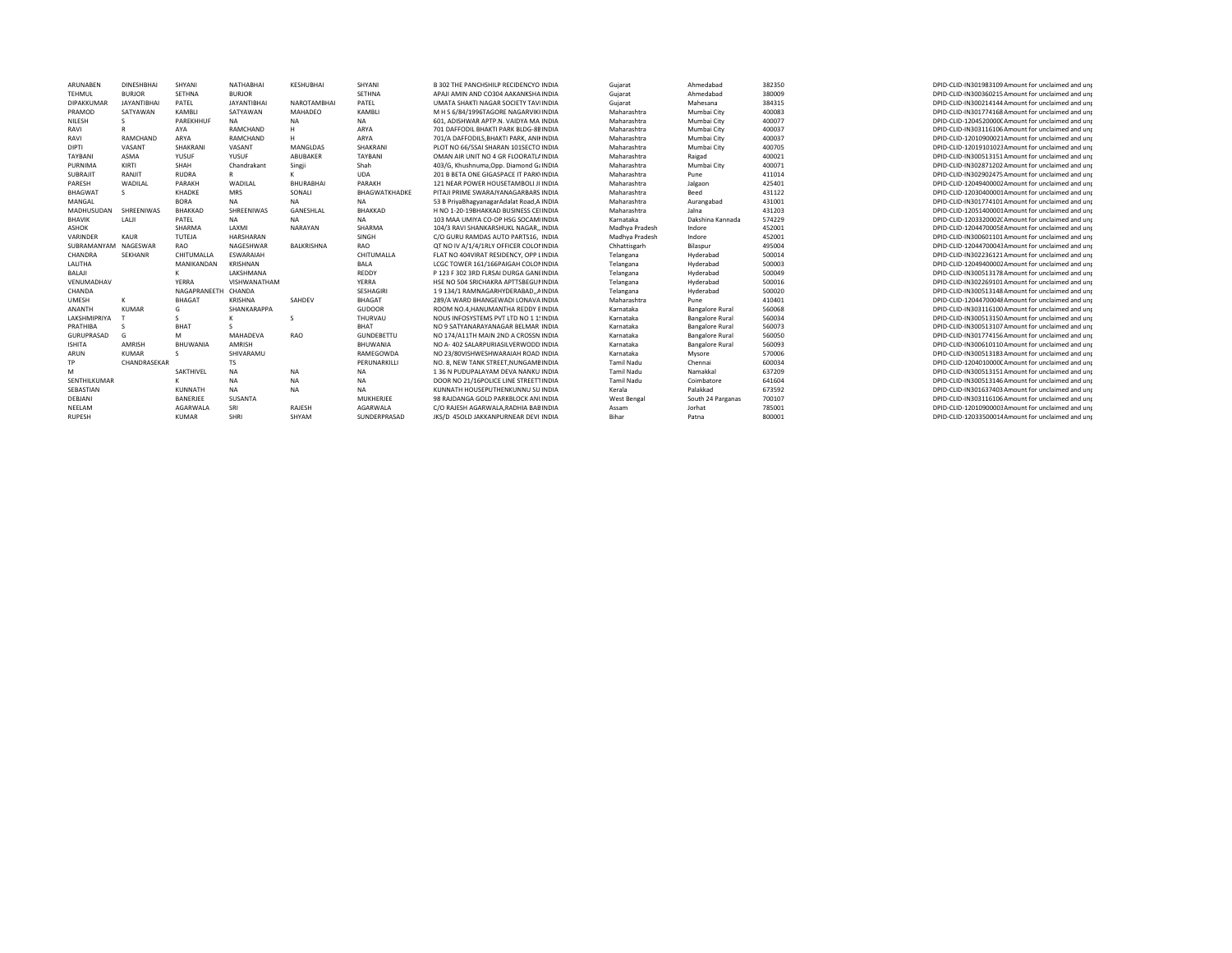| ARUNABEN             | <b>DINESHBHAI</b>  | SHYANI              | NATHABHAI          | KESHUBHAI        | SHYANI            | B 302 THE PANCHSHILP RECIDENCYO INDIA     | Gujarat           | Ahmedabad              | 382350 | DPID-CLID-IN301983109 Amount for unclaimed and unt |
|----------------------|--------------------|---------------------|--------------------|------------------|-------------------|-------------------------------------------|-------------------|------------------------|--------|----------------------------------------------------|
| TEHMUL               | <b>BURJOR</b>      | SETHNA              | <b>BURJOR</b>      |                  | SETHNA            | APAJI AMIN AND CO304 AAKANKSHA INDIA      | Gujarat           | Ahmedabad              | 380009 | DPID-CLID-IN300360215 Amount for unclaimed and unr |
| DIPAKKUMAR           | <b>JAYANTIBHAI</b> | PATEL               | <b>JAYANTIBHAI</b> | NAROTAMBHAI      | PATEL             | UMATA SHAKTI NAGAR SOCIETY TAVIINDIA      | Gujarat           | Mahesana               | 384315 | DPID-CLID-IN300214144 Amount for unclaimed and unr |
| PRAMOD               | SATYAWAN           | KAMBLI              | SATYAWAN           | MAHADEO          | KAMBLI            | M H S 6/84/1996TAGORE NAGARVIKHNDIA       | Maharashtra       | Mumbai City            | 400083 | DPID-CLID-IN301774168 Amount for unclaimed and unt |
| NILESH               |                    | PAREKHHUF           | <b>NA</b>          | <b>NA</b>        | <b>NA</b>         | 601, ADISHWAR APTP.N. VAIDYA MA INDIA     | Maharashtra       | Mumbai City            | 400077 | DPID-CLID-1204520000CAmount for unclaimed and unp  |
| RAVI                 |                    | AYA                 | RAMCHAND           |                  | ARYA              | 701 DAFFODIL BHAKTI PARK BLDG-8BINDIA     | Maharashtra       | Mumbai City            | 400037 | DPID-CLID-IN303116106 Amount for unclaimed and unt |
| RAVI                 | RAMCHAND           | ARYA                | RAMCHAND           |                  | ARYA              | 701/A DAFFODILS, BHAKTI PARK, ANIKINDIA   | Maharashtra       | Mumbai City            | 400037 | DPID-CLID-12010900021Amount for unclaimed and unp  |
| <b>DIPTI</b>         | VASANT             | SHAKRANI            | VASANT             | MANGLDAS         | SHAKRANI          | PLOT NO 66/5SAI SHARAN 101SECTO INDIA     | Maharashtra       | Mumbai City            | 400705 | DPID-CLID-12019101023Amount for unclaimed and unp  |
| TAYBANI              | ASMA               | YUSUF               | YUSUF              | ABUBAKER         | TAYBANI           | OMAN AIR UNIT NO 4 GR FLOORATLAINDIA      | Maharashtra       | Raigad                 | 400021 | DPID-CLID-IN300513151 Amount for unclaimed and unr |
| PURNIMA              | KIRTI              | SHAH                | Chandrakant        | Singii           | Shah              | 403/G. Khushnuma.Opp. Diamond GaINDIA     | Maharashtra       | Mumbai City            | 400071 | DPID-CLID-IN302871202 Amount for unclaimed and unt |
| <b>SUBRAJIT</b>      | RANJIT             | RUDRA               | $\mathsf{R}$       |                  | <b>UDA</b>        | 201 B BETA ONE GIGASPACE IT PARK\INDIA    | Maharashtra       | Pune                   | 411014 | DPID-CLID-IN302902475 Amount for unclaimed and unp |
| PARESH               | WADILAL            | PARAKH              | WADILAL            | <b>BHURABHAI</b> | PARAKH            | 121 NEAR POWER HOUSETAMBOLI JI INDIA      | Maharashtra       | Jalgaon                | 425401 | DPID-CLID-12049400002Amount for unclaimed and unr  |
| <b>BHAGWAT</b>       |                    | KHADKE              | <b>MRS</b>         | SONALI           | BHAGWATKHADKE     | PITAJI PRIME SWARAJYANAGARBARS INDIA      | Maharashtra       | Beed                   | 431122 | DPID-CLID-12030400001Amount for unclaimed and unr  |
| MANGAL               |                    | <b>BORA</b>         | <b>NA</b>          | <b>NA</b>        | <b>NA</b>         | 53 B PriyaBhagyanagarAdalat Road, A INDIA | Maharashtra       | Aurangabad             | 431001 | DPID-CLID-IN301774101 Amount for unclaimed and unr |
| MADHUSUDAN           | SHREENIWAS         | BHAKKAD             | SHREENIWAS         | GANESHLAL        | BHAKKAD           | H NO 1-20-19BHAKKAD BUSINESS CEIINDIA     | Maharashtra       | Jalna                  | 431203 | DPID-CLID-12051400001Amount for unclaimed and unr  |
| <b>BHAVIK</b>        | LALI               | PATEL               | <b>NA</b>          | <b>NA</b>        | <b>NA</b>         | 103 MAA UMIYA CO-OP HSG SOCAMIINDIA       | Karnataka         | Dakshina Kannada       | 574229 | DPID-CLID-1203320002CAmount for unclaimed and unp  |
| <b>ASHOK</b>         |                    | SHARMA              | LAXMI              | NARAYAN          | SHARMA            | 104/3 RAVI SHANKARSHUKL NAGAR., INDIA     | Madhya Pradesh    | Indore                 | 452001 | DPID-CLID-12044700058Amount for unclaimed and unr  |
| VARINDER             | KAUR               | TUTEJA              | HARSHARAN          |                  | SINGH             | C/O GURU RAMDAS AUTO PARTS16. INDIA       | Madhya Pradesh    | Indore                 | 452001 | DPID-CLID-IN300601101 Amount for unclaimed and unt |
| SUBRAMANYAM NAGESWAR |                    | RAO                 | NAGESHWAR          | BALKRISHNA       | RAO               | QT NO IV A/1/4/1RLY OFFICER COLONINDIA    | Chhattisgarh      | Bilaspur               | 495004 | DPID-CLID-12044700043Amount for unclaimed and unp  |
| CHANDRA              | <b>SEKHANR</b>     | CHITUMALLA          | ESWARAIAH          |                  | CHITUMALLA        | FLAT NO 404VIRAT RESIDENCY, OPP LINDIA    | Telangana         | Hyderabad              | 500014 | DPID-CLID-IN302236121 Amount for unclaimed and unr |
| LALITHA              |                    | MANIKANDAN          | KRISHNAN           |                  | BALA              | LCGC TOWER 161/166PAIGAH COLONINDIA       | Telangana         | Hyderabad              | 500003 | DPID-CLID-12049400002Amount for unclaimed and unr  |
| BALAJI               |                    |                     | LAKSHMANA          |                  | REDDY             | P 123 F 302 3RD FLRSAI DURGA GANEINDIA    | Telangana         | Hyderabad              | 500049 | DPID-CLID-IN300513178 Amount for unclaimed and unp |
| VENUMADHAV           |                    | YERRA               | VISHWANATHAM       |                  | YERRA             | HSE NO 504 SRICHAKRA APTTSBEGUNINDIA      | Telangana         | Hyderabad              | 500016 | DPID-CLID-IN302269101 Amount for unclaimed and unp |
| CHANDA               |                    | NAGAPRANEETH CHANDA |                    |                  | SESHAGIRI         | 19134/1 RAMNAGARHYDERABADAINDIA           | Telangana         | Hyderabad              | 500020 | DPID-CLID-IN300513148 Amount for unclaimed and unr |
| UMESH                |                    | <b>BHAGAT</b>       | <b>KRISHNA</b>     | SAHDEV           | <b>BHAGAT</b>     | 289/A WARD BHANGEWADI LONAVA INDIA        | Maharashtra       | Pune                   | 410401 | DPID-CLID-12044700048Amount for unclaimed and unp  |
| ANANTH               | <b>KUMAR</b>       | G                   | SHANKARAPPA        |                  | <b>GUDOOR</b>     | ROOM NO.4. HANUMANTHA REDDY BINDIA        | Karnataka         | <b>Bangalore Rural</b> | 560068 | DPID-CLID-IN303116100 Amount for unclaimed and unp |
| LAKSHMIPRIYA         |                    |                     |                    | <sub>S</sub>     | THURVAU           | NOUS INFOSYSTEMS PVT LTD NO 1 15 INDIA    | Karnataka         | <b>Bangalore Rural</b> | 560034 | DPID-CLID-IN300513150 Amount for unclaimed and unp |
| PRATHIBA             |                    | BHAT                |                    |                  | BHAT              | NO 9 SATYANARAYANAGAR BELMAR INDIA        | Karnataka         | <b>Bangalore Rural</b> | 560073 | DPID-CLID-IN300513107 Amount for unclaimed and unp |
| GURUPRASAD           |                    | M                   | MAHADEVA           | RAO              | <b>GUNDEBETTU</b> | NO 174/A11TH MAIN 2ND A CROSSN INDIA      | Karnataka         | <b>Bangalore Rural</b> | 560050 | DPID-CLID-IN301774156 Amount for unclaimed and unr |
| <b>ISHITA</b>        | AMRISH             | BHUWANIA            | AMRISH             |                  | <b>BHUWANIA</b>   | NO A-402 SALARPURIASILVERWODD:INDIA       | Karnataka         | <b>Bangalore Rural</b> | 560093 | DPID-CLID-IN300610110Amount for unclaimed and unp  |
| ARUN                 | <b>KUMAR</b>       |                     | SHIVARAMU          |                  | RAMEGOWDA         | NO 23/80VISHWESHWARAIAH ROAD INDIA        | Karnataka         | Mysore                 | 570006 | DPID-CLID-IN300513183Amount for unclaimed and unt  |
| <b>TP</b>            | CHANDRASEKAR       |                     | <b>TS</b>          |                  | PERUNARKILLI      | NO. 8. NEW TANK STREET.NUNGAMBINDIA       | <b>Tamil Nadu</b> | Chennai                | 600034 | DPID-CLID-1204010000CAmount for unclaimed and unr  |
| M                    |                    | SAKTHIVEL           | <b>NA</b>          | <b>NA</b>        | <b>NA</b>         | 136 N PUDUPALAYAM DEVA NANKU INDIA        | <b>Tamil Nadu</b> | Namakkal               | 637209 | DPID-CLID-IN300513151 Amount for unclaimed and unr |
| SENTHILKUMAR         |                    |                     | <b>NA</b>          | <b>NA</b>        | <b>NA</b>         | DOOR NO 21/16POLICE LINE STREETTINDIA     | <b>Tamil Nadu</b> | Coimbatore             | 641604 | DPID-CLID-IN300513146 Amount for unclaimed and unt |
| SEBASTIAN            |                    | KUNNATH             | <b>NA</b>          | <b>NA</b>        | <b>NA</b>         | KUNNATH HOUSEPUTHENKUNNU SU INDIA         | Kerala            | Palakkad               | 673592 | DPID-CLID-IN301637403 Amount for unclaimed and unt |
| DEBJANI              |                    | BANERJEE            | SUSANTA            |                  | MUKHERJEE         | 98 RAJDANGA GOLD PARKBLOCK ANLINDIA       | West Bengal       | South 24 Parganas      | 700107 | DPID-CLID-IN303116106 Amount for unclaimed and unp |
| NEELAM               |                    | AGARWALA            | SRI                | RAJESH           | AGARWALA          | C/O RAJESH AGARWALA.RADHIA BABINDIA       | Assam             | Jorhat                 | 785001 | DPID-CLID-12010900003Amount for unclaimed and unp  |
| <b>RUPESH</b>        |                    | <b>KUMAR</b>        | <b>SHRI</b>        | SHYAM            | SUNDERPRASAD      | JKS/D 45OLD JAKKANPURNEAR DEVI INDIA      | Bihar             | Patna                  | 800001 | DPID-CLID-12033500014Amount for unclaimed and unr  |
|                      |                    |                     |                    |                  |                   |                                           |                   |                        |        |                                                    |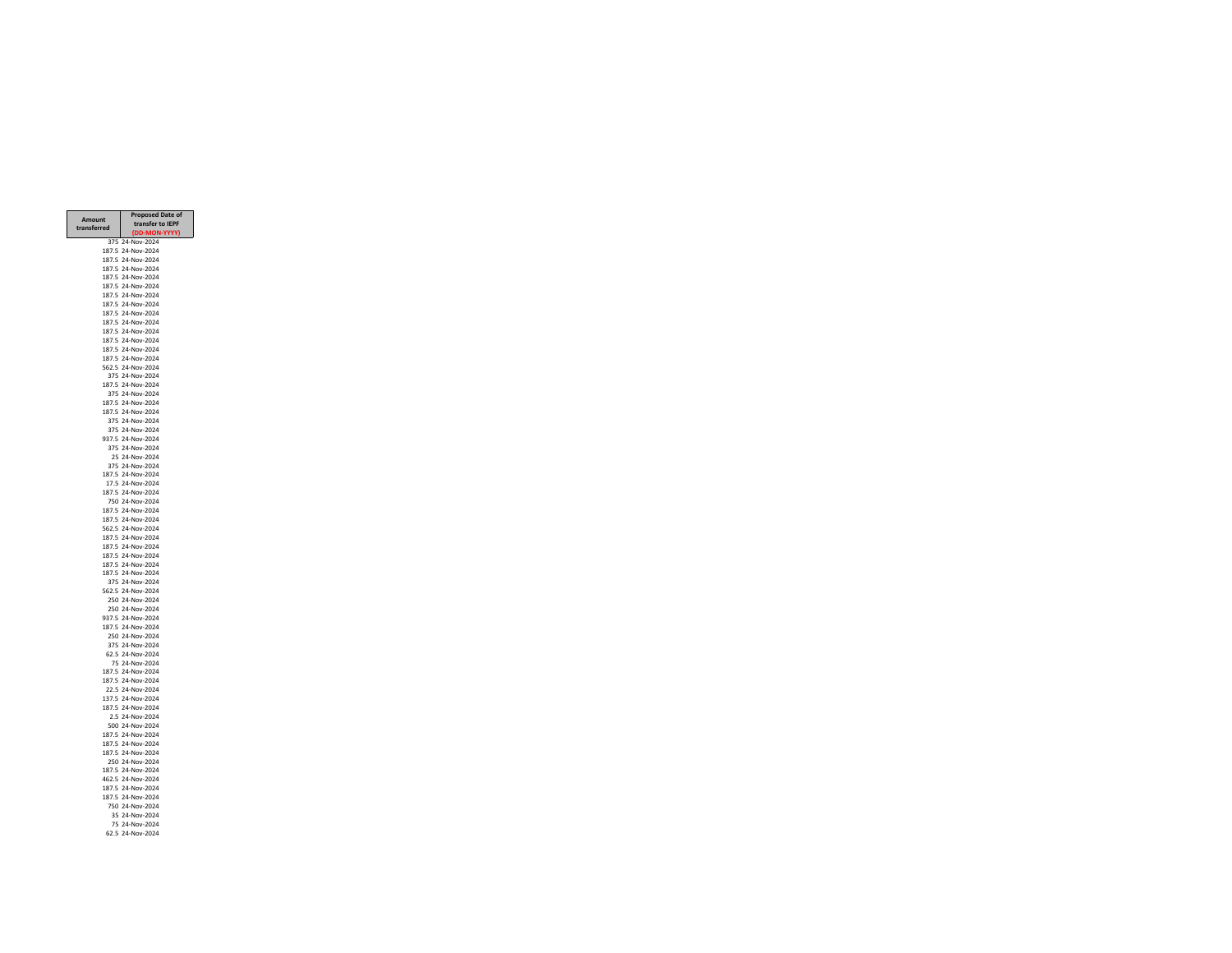|                | <b>Proposed Date of</b>                |
|----------------|----------------------------------------|
| Amount         | transfer to IEPF                       |
| transferred    | DD-MON<br>I-YYYY)                      |
| 375            | 24-Nov-2024                            |
| 187.5          | 24-Nov-2024                            |
| 187.5          | 24-Nov-2024                            |
|                | 187.5 24-Nov-2024<br>187.5 24-Nov-2024 |
|                | 187.5 24-Nov-2024                      |
| 187.5          | 24-Nov-2024                            |
| 187.5          | 24-Nov-2024                            |
| 187.5          | 24-Nov-2024                            |
| 187.5          | 24-Nov-2024                            |
| 187.5          | 24-Nov-2024                            |
| 187.5          | 24-Nov-2024<br>187.5 24-Nov-2024       |
|                | 187.5 24-Nov-2024                      |
|                | 562.5 24-Nov-2024                      |
|                | 375 24-Nov-2024                        |
|                | 187.5 24-Nov-2024                      |
| 375            | 24-Nov-2024                            |
| 187.5          | 24-Nov-2024                            |
| 187.5          | 24-Nov-2024<br>24-Nov-2024             |
| 375            | 375 24-Nov-2024                        |
|                | 937.5 24-Nov-2024                      |
|                | 375 24-Nov-2024                        |
|                | 25 24-Nov-2024                         |
| 375            | 24-Nov-2024                            |
| 187.5          | 24-Nov-2024                            |
| 17.5           | 24-Nov-2024                            |
| 187.5          | 24-Nov-2024<br>750 24-Nov-2024         |
|                | 187.5 24-Nov-2024                      |
|                | 187.5 24-Nov-2024                      |
|                | 562.5 24-Nov-2024                      |
|                | 187.5 24-Nov-2024                      |
|                | 187.5 24-Nov-2024                      |
| 187.5          | 24-Nov-2024                            |
| 187.5<br>187.5 | 24-Nov-2024<br>24-Nov-2024             |
|                | 375 24-Nov-2024                        |
|                | 562.5 24-Nov-2024                      |
|                | 250 24-Nov-2024                        |
|                | 250 24-Nov-2024                        |
| 937.5          | 24-Nov-2024                            |
| 187.5          | 24-Nov-2024                            |
| 250<br>375     | 24-Nov-2024<br>24-Nov-2024             |
| 62.5           | 24-Nov-2024                            |
|                | 75 24-Nov-2024                         |
|                | 187.5 24-Nov-2024                      |
|                | 187.5 24-Nov-2024                      |
|                | 22.5 24-Nov-2024                       |
| 137.5          | 24-Nov-2024                            |
| 187.5<br>2.5   | 24-Nov-2024<br>24-Nov-2024             |
| 500            | 24-Nov-2024                            |
| 187.5          | 24-Nov-2024                            |
|                | 187.5 24-Nov-2024                      |
| 187.5          | 24-Nov-2024                            |
|                | 250 24-Nov-2024                        |
| 187.5          | 24-Nov-2024                            |
| 462.5          | 24-Nov-2024                            |
| 187.5<br>187.5 | 24-Nov-2024<br>24-Nov-2024             |
| 750            | 24-Nov-2024                            |
|                | 35 24-Nov-2024                         |
|                | 75 24-Nov-2024                         |
|                | 62.5 24-Nov-2024                       |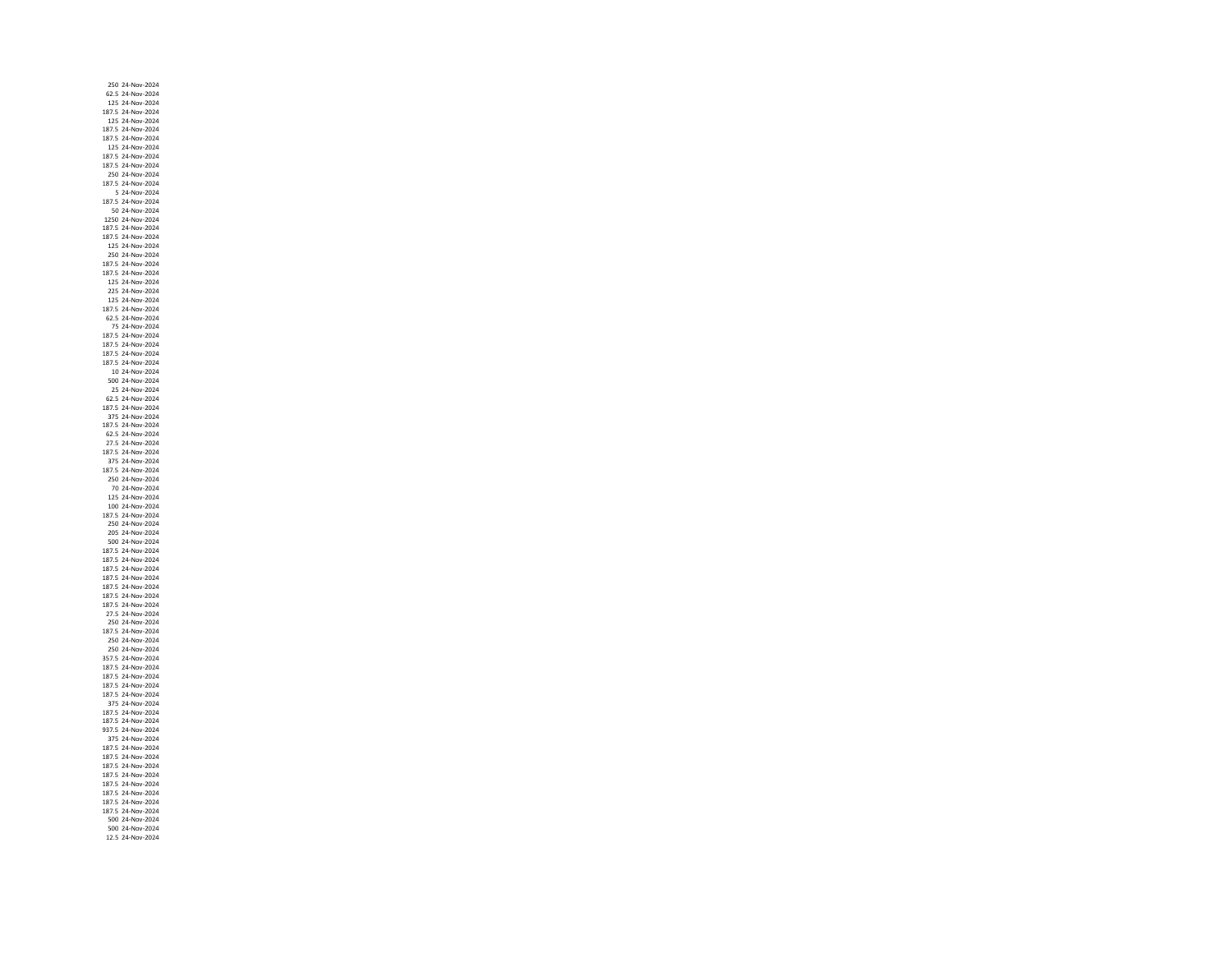250 24‐Nov‐ 62.5 24‐Nov‐2024 125 24‐Nov‐ 187.5 24‐Nov‐ 125 24‐Nov‐ 187.5 24‐Nov‐ 187.5 24‐Nov‐2024 125 24‐Nov‐2024 187.5 24‐Nov‐ 187.5 24‐Nov‐ 250 24‐Nov‐ 187.5 24‐Nov‐ 5 24‐Nov‐2024 187.5 24‐Nov‐ 50 24‐Nov‐ 1250 24‐Nov‐ 187.5 24‐Nov‐ 187.5 24‐Nov‐ 125 24‐Nov‐ 250 24‐Nov‐ 187.5 24‐Nov‐ 187.5 24‐Nov‐ 125 24‐Nov‐2024 225 24‐Nov‐2024 125 24‐Nov‐ 187.5 24‐Nov‐ 62.5 24‐Nov‐ 75 24‐Nov‐ 187.5 24‐Nov‐ 187.5 24‐Nov‐2024 187.5 24‐Nov‐ 187.5 24‐Nov‐ 10 24‐Nov‐ 500 24‐Nov‐ 25 24‐Nov‐ 62.5 24‐Nov‐2024 187.5 24‐Nov‐ 375 24‐Nov‐ 187.5 24‐Nov‐ 62.5 24‐Nov‐ 27.5 24‐Nov‐ 187.5 24‐Nov‐ 375 24‐Nov‐ 187.5 24‐Nov‐ 250 24‐Nov‐ 70 24‐Nov‐ 125 24‐Nov‐ 100 24‐Nov‐ 187.5 24‐Nov‐2024 250 24‐Nov‐ 205 24‐Nov‐2024 500 24‐Nov‐2024 187.5 24‐Nov‐ 187.5 24‐Nov‐2024 187.5 24‐Nov‐ 187.5 24‐Nov‐ 187.5 24‐Nov‐2024 187.5 24‐Nov‐2024 187.5 24‐Nov‐ 27.5 24‐Nov‐ 250 24‐Nov‐ 187.5 24‐Nov‐ 250 24‐Nov‐ 250 24‐Nov‐2024 357.5 24‐Nov‐ 187.5 24‐Nov‐ 187.5 24‐Nov‐ 187.5 24‐Nov‐ 187.5 24‐Nov‐ 375 24‐Nov‐2024 187.5 24‐Nov‐ 187.5 24‐Nov‐ 937.5 24‐Nov‐ 375 24‐Nov‐ 187.5 24‐Nov‐ 187.5 24‐Nov‐ 187.5 24‐Nov‐ 187.5 24‐Nov‐ 187.5 24‐Nov‐ 187.5 24‐Nov‐2024 187.5 24‐Nov‐ 187.5 24‐Nov‐ 500 24‐Nov‐2024 500 24‐Nov‐12.5 24‐Nov‐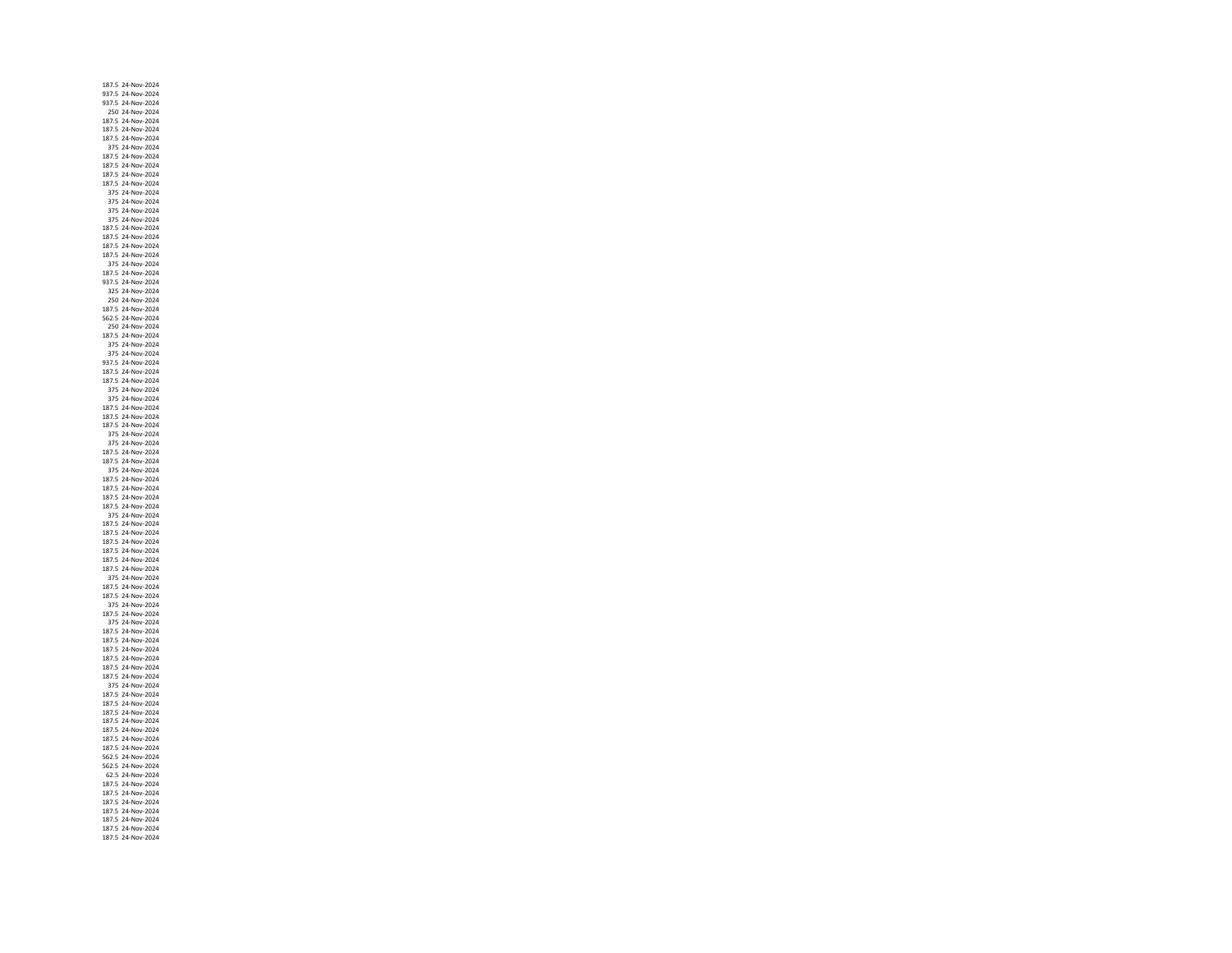187.5 24‐Nov‐ 937.5 24‐Nov‐2024 937.5 24‐Nov‐ 250 24‐Nov‐ 187.5 24‐Nov‐ 187.5 24‐Nov‐ 187.5 24‐Nov‐2024 375 24‐Nov‐2024 187.5 24‐Nov‐ 187.5 24‐Nov‐ 187.5 24‐Nov‐ 187.5 24‐Nov‐ 375 24‐Nov‐ 375 24‐Nov‐2024 375 24‐Nov‐ 375 24‐Nov‐ 187.5 24‐Nov‐ 187.5 24‐Nov‐2024 187.5 24‐Nov‐ 187.5 24‐Nov‐ 375 24‐Nov‐ 187.5 24‐Nov‐ 937.5 24‐Nov‐2024 325 24‐Nov‐2024 250 24‐Nov‐ 187.5 24‐Nov‐ 562.5 24‐Nov‐ 250 24‐Nov‐ 187.5 24‐Nov‐ 375 24‐Nov‐2024 375 24‐Nov‐ 937.5 24‐Nov‐ 187.5 24‐Nov‐ 187.5 24‐Nov‐ 375 24‐Nov‐ 375 24‐Nov‐2024 187.5 24‐Nov‐ 187.5 24‐Nov‐ 187.5 24‐Nov‐ 375 24‐Nov‐ 375 24‐Nov‐ 187.5 24‐Nov‐2024 187.5 24‐Nov‐ 375 24‐Nov‐ 187.5 24‐Nov‐ 187.5 24‐Nov‐ 187.5 24‐Nov‐ 187.5 24‐Nov‐ 375 24‐Nov‐ 187.5 24‐Nov‐ 187.5 24‐Nov‐2024 187.5 24‐Nov‐2024 187.5 24‐Nov‐ 187.5 24‐Nov‐2024 187.5 24‐Nov‐ 375 24‐Nov‐ 187.5 24‐Nov‐2024 187.5 24‐Nov‐2024 375 24‐Nov‐ 187.5 24‐Nov‐ 375 24‐Nov‐ 187.5 24‐Nov‐ 187.5 24‐Nov‐ 187.5 24‐Nov‐2024 187.5 24‐Nov‐ 187.5 24‐Nov‐ 187.5 24‐Nov‐ 375 24‐Nov‐ 187.5 24‐Nov‐2024 187.5 24‐Nov‐ 187.5 24‐Nov‐ 187.5 24‐Nov‐ 187.5 24‐Nov‐ 187.5 24‐Nov‐ 187.5 24‐Nov‐ 562.5 24‐Nov‐ 562.5 24‐Nov‐ 62.5 24‐Nov‐ 187.5 24‐Nov‐ 187.5 24‐Nov‐2024 187.5 24‐Nov‐ 187.5 24‐Nov‐ 187.5 24‐Nov‐ 187.5 24‐Nov‐187.5 24‐Nov‐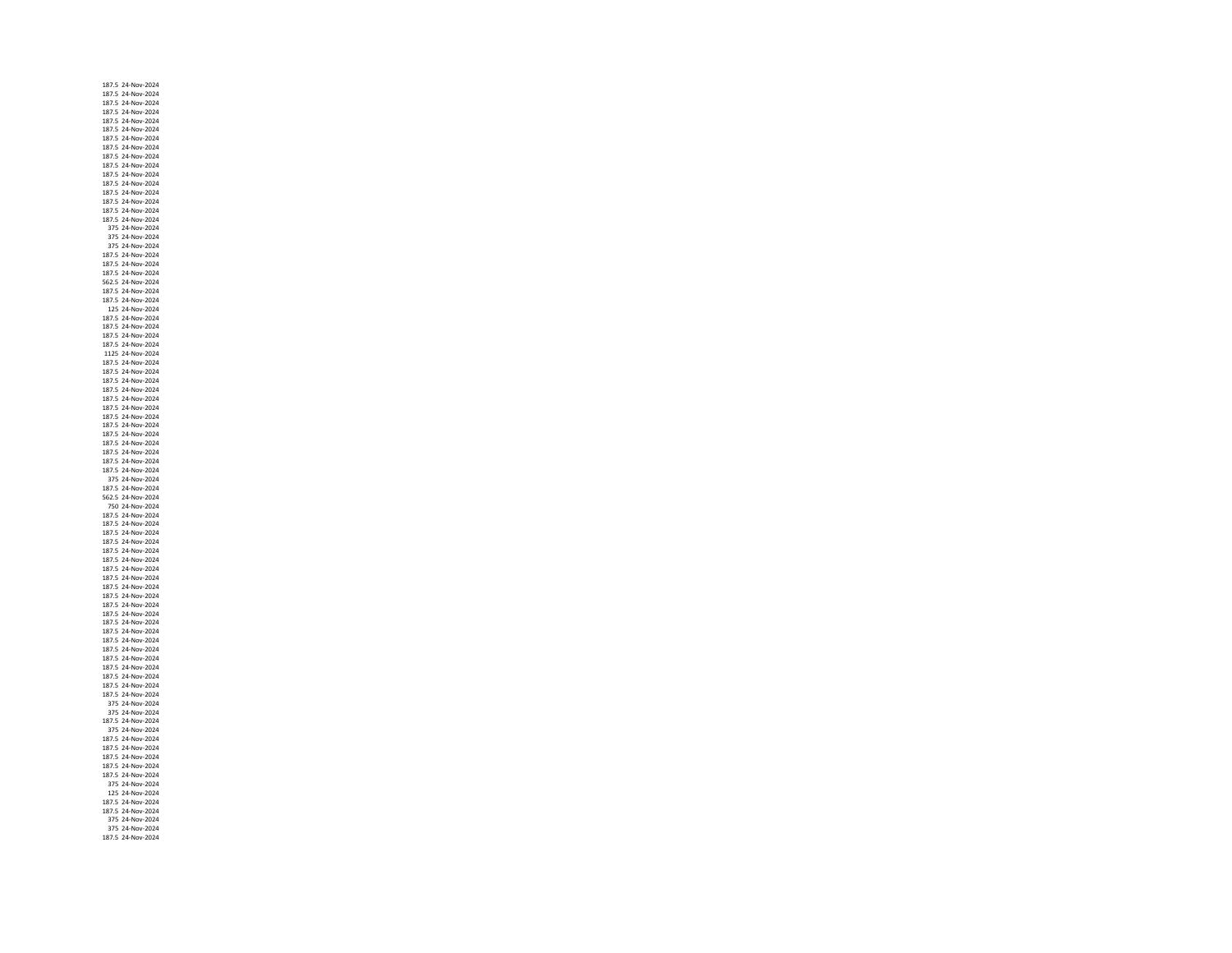187.5 24‐Nov‐ 187.5 24‐Nov‐2024 187.5 24‐Nov‐ 187.5 24‐Nov‐ 187.5 24‐Nov‐ 187.5 24‐Nov‐ 187.5 24‐Nov‐2024 187.5 24‐Nov‐2024 187.5 24‐Nov‐ 187.5 24‐Nov‐ 187.5 24‐Nov‐ 187.5 24‐Nov‐ 187.5 24‐Nov‐ 187.5 24‐Nov‐ 187.5 24‐Nov‐ 187.5 24‐Nov‐ 375 24‐Nov‐ 375 24‐Nov‐ 375 24‐Nov‐ 187.5 24‐Nov‐ 187.5 24‐Nov‐ 187.5 24‐Nov‐ 562.5 24‐Nov‐2024 187.5 24‐Nov‐2024 187.5 24‐Nov‐ 125 24‐Nov‐ 187.5 24‐Nov‐ 187.5 24‐Nov‐ 187.5 24‐Nov‐ 187.5 24‐Nov‐2024 1125 24‐Nov‐ 187.5 24‐Nov‐ 187.5 24‐Nov‐ 187.5 24‐Nov‐ 187.5 24‐Nov‐ 187.5 24‐Nov‐2024 187.5 24‐Nov‐ 187.5 24‐Nov‐ 187.5 24‐Nov‐ 187.5 24‐Nov‐ 187.5 24‐Nov‐ 187.5 24‐Nov‐ 187.5 24‐Nov‐ 187.5 24‐Nov‐ 375 24‐Nov‐ 187.5 24‐Nov‐ 562.5 24‐Nov‐ 750 24‐Nov‐ 187.5 24‐Nov‐ 187.5 24‐Nov‐ 187.5 24‐Nov‐2024 187.5 24‐Nov‐2024 187.5 24‐Nov‐ 187.5 24‐Nov‐ 187.5 24‐Nov‐ 187.5 24‐Nov‐ 187.5 24‐Nov‐2024 187.5 24‐Nov‐2024 187.5 24‐Nov‐ 187.5 24‐Nov‐ 187.5 24‐Nov‐ 187.5 24‐Nov‐ 187.5 24‐Nov‐ 187.5 24‐Nov‐2024 187.5 24‐Nov‐ 187.5 24‐Nov‐ 187.5 24‐Nov‐ 187.5 24‐Nov‐ 187.5 24‐Nov‐ 375 24‐Nov‐2024 375 24‐Nov‐ 187.5 24‐Nov‐ 375 24‐Nov‐ 187.5 24‐Nov‐ 187.5 24‐Nov‐ 187.5 24‐Nov‐ 187.5 24‐Nov‐ 187.5 24‐Nov‐ 375 24‐Nov‐ 125 24‐Nov‐2024 187.5 24‐Nov‐ 187.5 24‐Nov‐ 375 24‐Nov‐2024 375 24‐Nov‐187.5 24‐Nov‐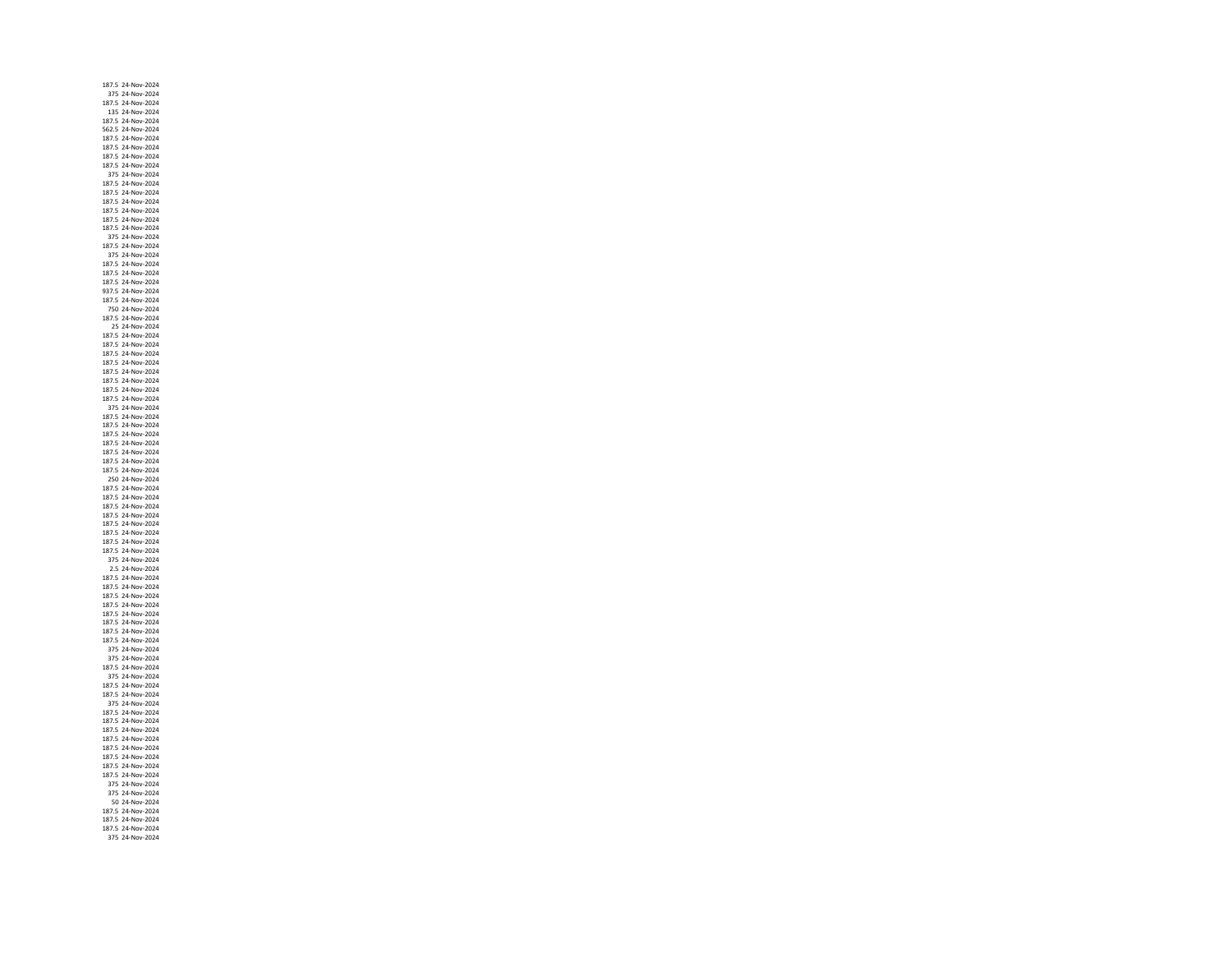187.5 24‐Nov‐ 375 24‐Nov‐2024 187.5 24‐Nov‐ 135 24‐Nov‐ 187.5 24‐Nov‐ 562.5 24‐Nov‐ 187.5 24‐Nov‐2024 187.5 24‐Nov‐2024 187.5 24‐Nov‐ 187.5 24‐Nov‐ 375 24‐Nov‐ 187.5 24‐Nov‐ 187.5 24‐Nov‐ 187.5 24‐Nov‐ 187.5 24‐Nov‐ 187.5 24‐Nov‐ 187.5 24‐Nov‐ 375 24‐Nov‐2024 187.5 24‐Nov‐ 375 24‐Nov‐ 187.5 24‐Nov‐ 187.5 24‐Nov‐ 187.5 24‐Nov‐2024 937.5 24‐Nov‐2024 187.5 24‐Nov‐ 750 24‐Nov‐ 187.5 24‐Nov‐ 25 24‐Nov‐ 187.5 24‐Nov‐ 187.5 24‐Nov‐2024 187.5 24‐Nov‐ 187.5 24‐Nov‐ 187.5 24‐Nov‐ 187.5 24‐Nov‐ 187.5 24‐Nov‐ 187.5 24‐Nov‐2024 375 24‐Nov‐ 187.5 24‐Nov‐ 187.5 24‐Nov‐ 187.5 24‐Nov‐ 187.5 24‐Nov‐ 187.5 24‐Nov‐ 187.5 24‐Nov‐ 187.5 24‐Nov‐ 250 24‐Nov‐2024 187.5 24‐Nov‐ 187.5 24‐Nov‐ 187.5 24‐Nov‐ 187.5 24‐Nov‐ 187.5 24‐Nov‐ 187.5 24‐Nov‐2024 187.5 24‐Nov‐2024 187.5 24‐Nov‐ 375 24‐Nov‐2024 2.5 24‐Nov‐ 187.5 24‐Nov‐ 187.5 24‐Nov‐2024 187.5 24‐Nov‐2024 187.5 24‐Nov‐ 187.5 24‐Nov‐ 187.5 24‐Nov‐ 187.5 24‐Nov‐ 187.5 24‐Nov‐ 375 24‐Nov‐2024 375 24‐Nov‐ 187.5 24‐Nov‐ 375 24‐Nov‐ 187.5 24‐Nov‐ 187.5 24‐Nov‐ 375 24‐Nov‐2024 187.5 24‐Nov‐ 187.5 24‐Nov‐ 187.5 24‐Nov‐ 187.5 24‐Nov‐ 187.5 24‐Nov‐ 187.5 24‐Nov‐ 187.5 24‐Nov‐ 187.5 24‐Nov‐ 375 24‐Nov‐ 375 24‐Nov‐2024 50 24‐Nov‐2024 187.5 24‐Nov‐ 187.5 24‐Nov‐ 187.5 24‐Nov‐375 24‐Nov‐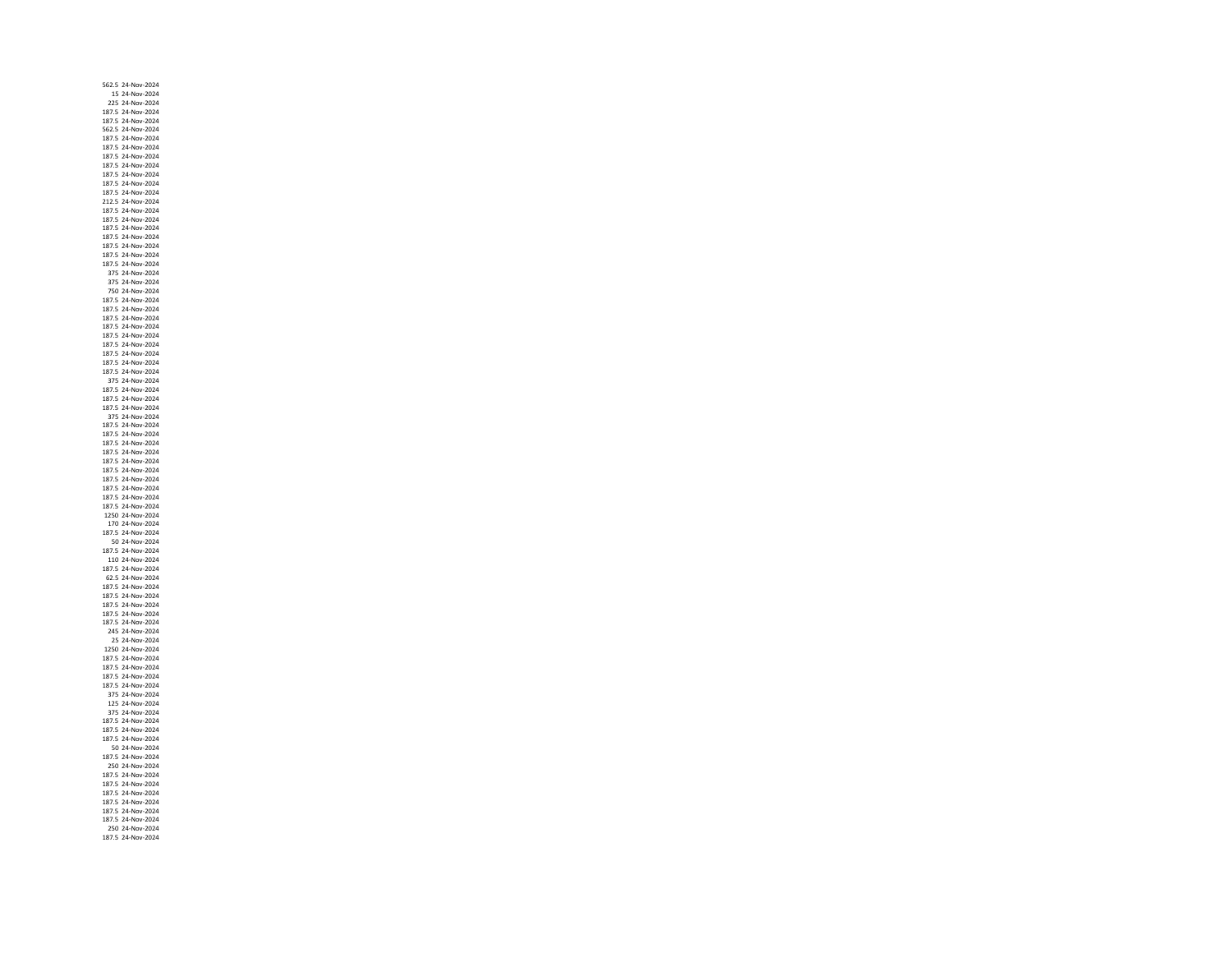562.5 24‐Nov‐ 15 24‐Nov‐2024 225 24‐Nov‐ 187.5 24‐Nov‐ 187.5 24‐Nov‐ 562.5 24‐Nov‐ 187.5 24‐Nov‐2024 187.5 24‐Nov‐2024 187.5 24‐Nov‐ 187.5 24‐Nov‐ 187.5 24‐Nov‐ 187.5 24‐Nov‐ 187.5 24‐Nov‐ 212.5 24‐Nov‐2024 187.5 24‐Nov‐ 187.5 24‐Nov‐ 187.5 24‐Nov‐ 187.5 24‐Nov‐ 187.5 24‐Nov‐ 187.5 24‐Nov‐ 187.5 24‐Nov‐ 375 24‐Nov‐ 375 24‐Nov‐2024 750 24‐Nov‐2024 187.5 24‐Nov‐ 187.5 24‐Nov‐ 187.5 24‐Nov‐ 187.5 24‐Nov‐ 187.5 24‐Nov‐ 187.5 24‐Nov‐2024 187.5 24‐Nov‐ 187.5 24‐Nov‐ 187.5 24‐Nov‐ 375 24‐Nov‐ 187.5 24‐Nov‐ 187.5 24‐Nov‐2024 187.5 24‐Nov‐ 375 24‐Nov‐ 187.5 24‐Nov‐ 187.5 24‐Nov‐ 187.5 24‐Nov‐ 187.5 24‐Nov‐ 187.5 24‐Nov‐ 187.5 24‐Nov‐ 187.5 24‐Nov‐ 187.5 24‐Nov‐ 187.5 24‐Nov‐ 187.5 24‐Nov‐ 1250 24‐Nov‐ 170 24‐Nov‐ 187.5 24‐Nov‐2024 50 24‐Nov‐2024 187.5 24‐Nov‐ 110 24‐Nov‐ 187.5 24‐Nov‐ 62.5 24‐Nov‐ 187.5 24‐Nov‐2024 187.5 24‐Nov‐2024 187.5 24‐Nov‐ 187.5 24‐Nov‐ 187.5 24‐Nov‐ 245 24‐Nov‐ 25 24‐Nov‐ 1250 24‐Nov‐2024 187.5 24‐Nov‐ 187.5 24‐Nov‐ 187.5 24‐Nov‐ 187.5 24‐Nov‐ 375 24‐Nov‐ 125 24‐Nov‐2024 375 24‐Nov‐ 187.5 24‐Nov‐ 187.5 24‐Nov‐ 187.5 24‐Nov‐ 50 24‐Nov‐ 187.5 24‐Nov‐ 250 24‐Nov‐2024 187.5 24‐Nov‐ 187.5 24‐Nov‐ 187.5 24‐Nov‐2024 187.5 24‐Nov‐ 187.5 24‐Nov‐ 187.5 24‐Nov‐ 250 24‐Nov‐187.5 24‐Nov‐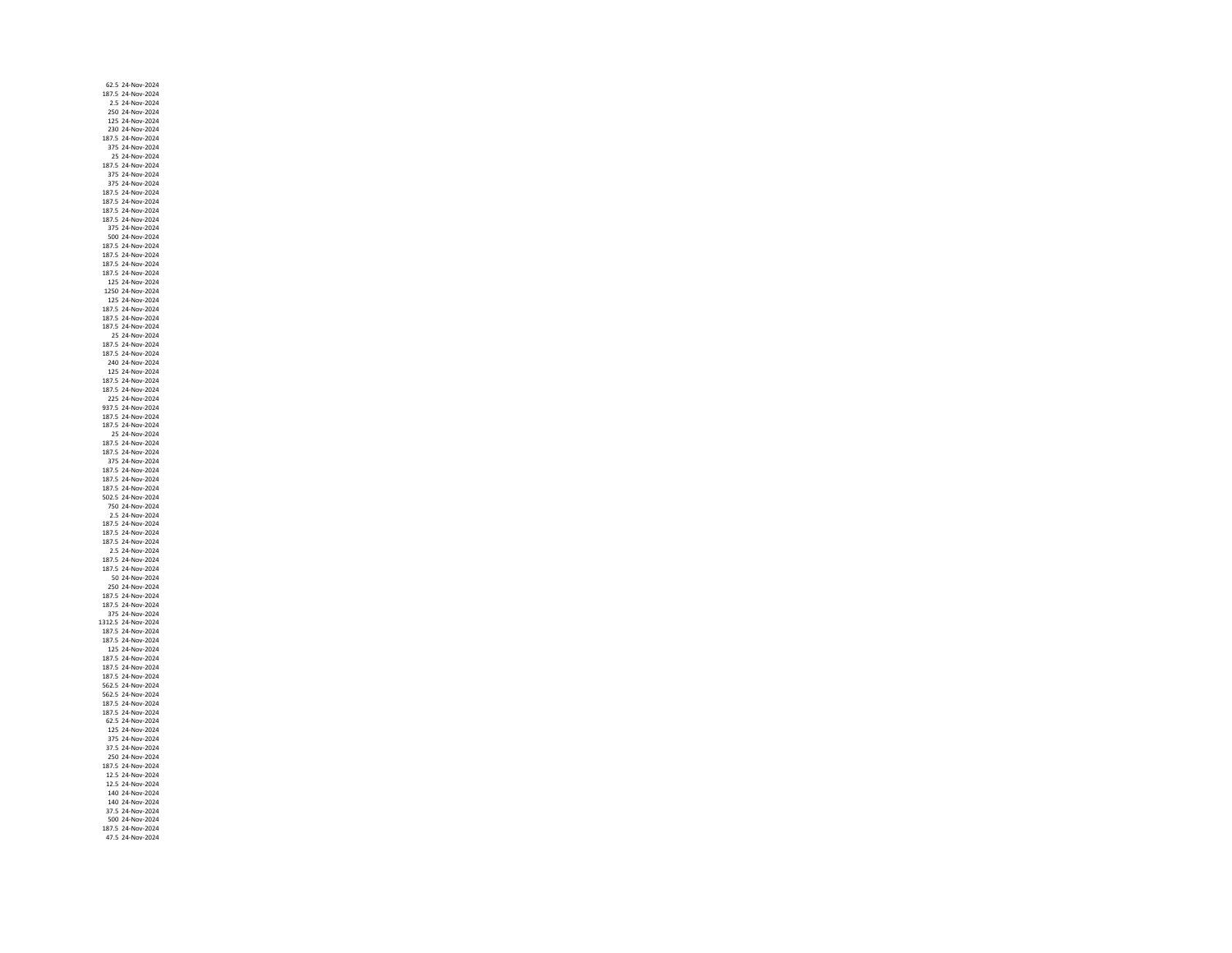62.5 24‐Nov‐2024 187.5 24‐Nov‐2024 2.5 24‐Nov‐ 250 24‐Nov‐ 125 24‐Nov‐ 230 24‐Nov‐ 187.5 24‐Nov‐2024 375 24‐Nov‐2024 25 24‐Nov‐ 187.5 24‐Nov‐ 375 24‐Nov‐ 375 24‐Nov‐ 187.5 24‐Nov‐ 187.5 24‐Nov‐2024 187.5 24‐Nov‐ 187.5 24‐Nov‐ 375 24‐Nov‐ 500 24‐Nov‐ 187.5 24‐Nov‐ 187.5 24‐Nov‐ 187.5 24‐Nov‐ 187.5 24‐Nov‐ 125 24‐Nov‐2024 1250 24‐Nov‐2024 125 24‐Nov‐ 187.5 24‐Nov‐ 187.5 24‐Nov‐ 187.5 24‐Nov‐ 25 24‐Nov‐ 187.5 24‐Nov‐2024 187.5 24‐Nov‐ 240 24‐Nov‐ 125 24‐Nov‐ 187.5 24‐Nov‐ 187.5 24‐Nov‐ 225 24‐Nov‐2024 937.5 24‐Nov‐ 187.5 24‐Nov‐ 187.5 24‐Nov‐ 25 24‐Nov‐ 187.5 24‐Nov‐ 187.5 24‐Nov‐ 375 24‐Nov‐ 187.5 24‐Nov‐ 187.5 24‐Nov‐ 187.5 24‐Nov‐ 502.5 24‐Nov‐ 750 24‐Nov‐ 2.5 24‐Nov‐ 187.5 24‐Nov‐ 187.5 24‐Nov‐2024 187.5 24‐Nov‐2024 2.5 24‐Nov‐ 187.5 24‐Nov‐ 187.5 24‐Nov‐ 50 24‐Nov‐ 250 24‐Nov‐2024 187.5 24‐Nov‐2024 187.5 24‐Nov‐ 375 24‐Nov‐ 1312.5 24‐Nov‐ 187.5 24‐Nov‐ 187.5 24‐Nov‐ 125 24‐Nov‐2024 187.5 24‐Nov‐ 187.5 24‐Nov‐ 187.5 24‐Nov‐ 562.5 24‐Nov‐ 562.5 24‐Nov‐ 187.5 24‐Nov‐2024 187.5 24‐Nov‐ 62.5 24‐Nov‐ 125 24‐Nov‐ 375 24‐Nov‐ 37.5 24‐Nov‐ 250 24‐Nov‐ 187.5 24‐Nov‐ 12.5 24‐Nov‐ 12.5 24‐Nov‐ 140 24‐Nov‐2024 140 24‐Nov‐ 37.5 24‐Nov‐ 500 24‐Nov‐2024 187.5 24‐Nov‐47.5 24‐Nov‐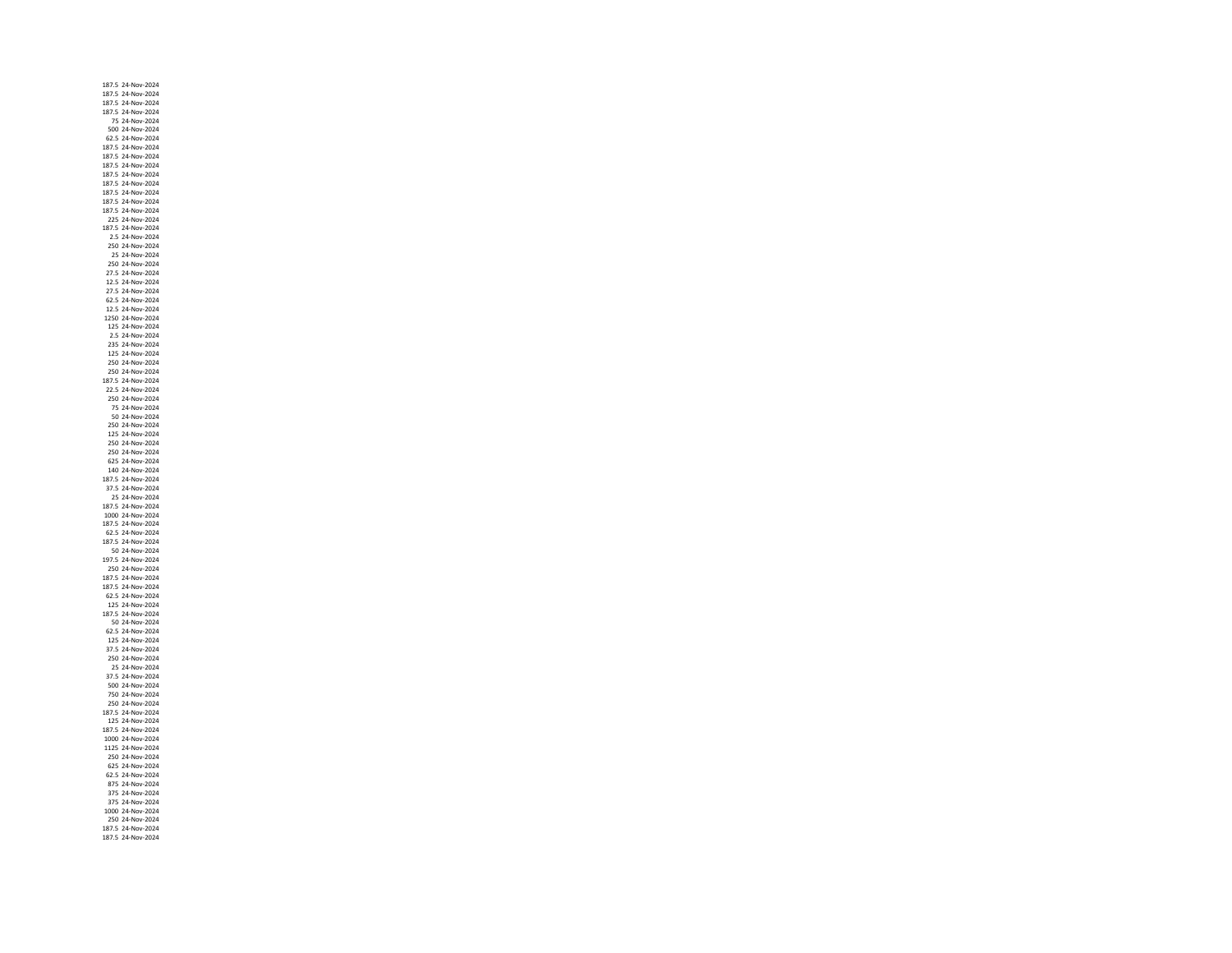187.5 24‐Nov‐ 187.5 24‐Nov‐2024 187.5 24‐Nov‐ 187.5 24‐Nov‐ 75 24‐Nov‐ 500 24‐Nov‐ 62.5 24‐Nov‐2024 187.5 24‐Nov‐2024 187.5 24‐Nov‐ 187.5 24‐Nov‐ 187.5 24‐Nov‐ 187.5 24‐Nov‐ 187.5 24‐Nov‐ 187.5 24‐Nov‐ 187.5 24‐Nov‐ 225 24‐Nov‐ 187.5 24‐Nov‐ 2.5 24‐Nov‐ 250 24‐Nov‐ 25 24‐Nov‐ 250 24‐Nov‐ 27.5 24‐Nov‐ 12.5 24‐Nov‐2024 27.5 24‐Nov‐2024 62.5 24‐Nov‐ 12.5 24‐Nov‐ 1250 24‐Nov‐ 125 24‐Nov‐ 2.5 24‐Nov‐ 235 24‐Nov‐2024 125 24‐Nov‐ 250 24‐Nov‐ 250 24‐Nov‐2024 187.5 24‐Nov‐ 22.5 24‐Nov‐ 250 24‐Nov‐2024 75 24‐Nov‐ 50 24‐Nov‐ 250 24‐Nov‐ 125 24‐Nov‐ 250 24‐Nov‐ 250 24‐Nov‐ 625 24‐Nov‐ 140 24‐Nov‐ 187.5 24‐Nov‐ 37.5 24‐Nov‐ 25 24‐Nov‐ 187.5 24‐Nov‐ 1000 24‐Nov‐ 187.5 24‐Nov‐ 62.5 24‐Nov‐2024 187.5 24‐Nov‐2024 50 24‐Nov‐2024 197.5 24‐Nov‐2024 250 24‐Nov‐2024 187.5 24‐Nov‐ 187.5 24‐Nov‐2024 62.5 24‐Nov‐2024 125 24‐Nov‐ 187.5 24‐Nov‐ 50 24‐Nov‐ 62.5 24‐Nov‐ 125 24‐Nov‐ 37.5 24‐Nov‐2024 250 24‐Nov‐ 25 24‐Nov‐ 37.5 24‐Nov‐ 500 24‐Nov‐ 750 24‐Nov‐ 250 24‐Nov‐2024 187.5 24‐Nov‐ 125 24‐Nov‐ 187.5 24‐Nov‐ 1000 24‐Nov‐ 1125 24‐Nov‐ 250 24‐Nov‐ 625 24‐Nov‐ 62.5 24‐Nov‐ 875 24‐Nov‐ 375 24‐Nov‐2024 375 24‐Nov‐ 1000 24‐Nov‐ 250 24‐Nov‐2024 187.5 24‐Nov‐187.5 24‐Nov‐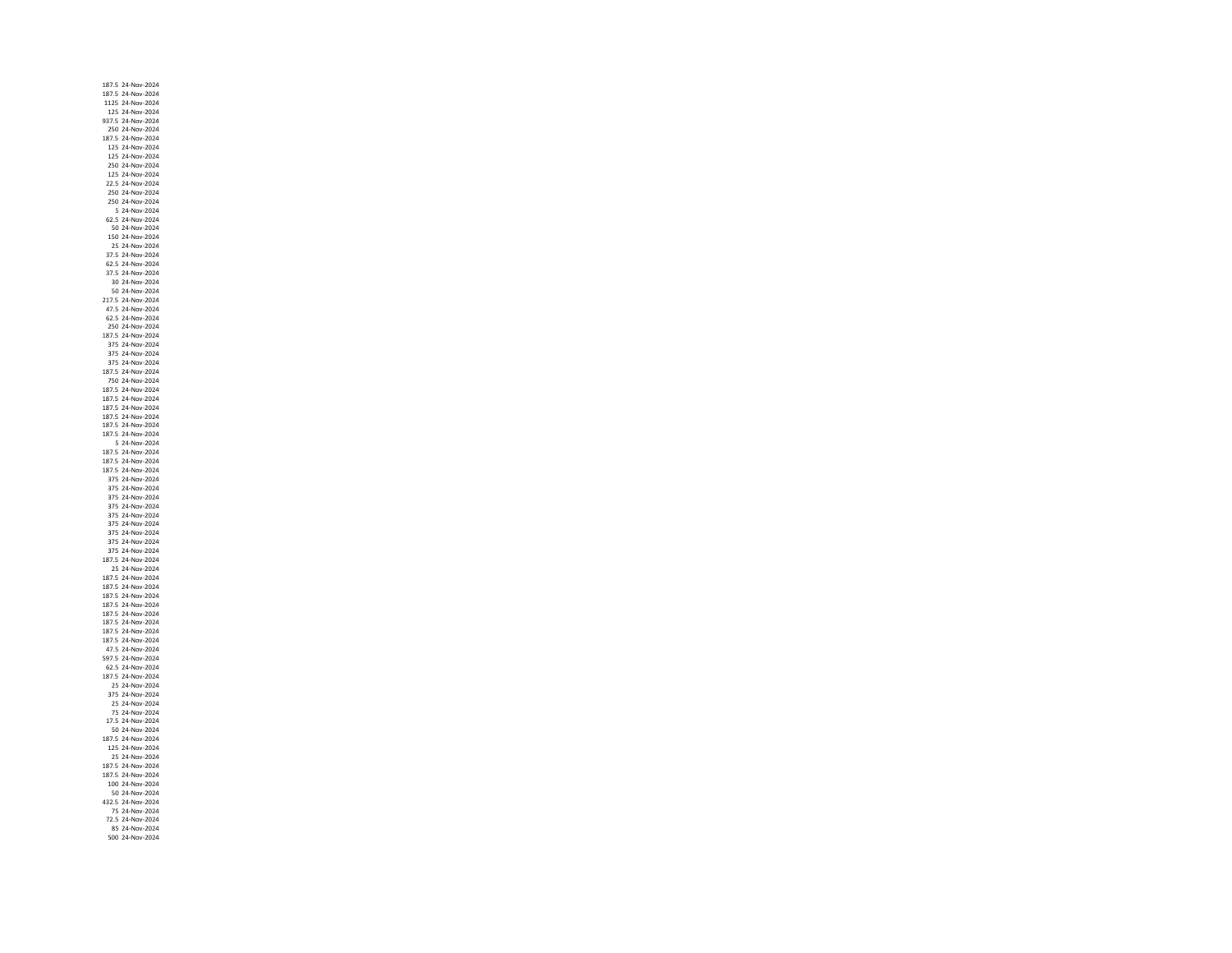187.5 24‐Nov‐ 187.5 24‐Nov‐2024 1125 24‐Nov‐ 125 24‐Nov‐ 937.5 24‐Nov‐ 250 24‐Nov‐ 187.5 24‐Nov‐2024 125 24‐Nov‐2024 125 24‐Nov‐ 250 24‐Nov‐ 125 24‐Nov‐ 22.5 24‐Nov‐ 250 24‐Nov‐ 250 24‐Nov‐2024 5 24‐Nov‐ 62.5 24‐Nov‐ 50 24‐Nov‐ 150 24‐Nov‐ 25 24‐Nov‐ 37.5 24‐Nov‐ 62.5 24‐Nov‐ 37.5 24‐Nov‐ 30 24‐Nov‐2024 50 24‐Nov‐2024 217.5 24‐Nov‐ 47.5 24‐Nov‐ 62.5 24‐Nov‐ 250 24‐Nov‐ 187.5 24‐Nov‐ 375 24‐Nov‐2024 375 24‐Nov‐ 375 24‐Nov‐ 187.5 24‐Nov‐ 750 24‐Nov‐ 187.5 24‐Nov‐ 187.5 24‐Nov‐2024 187.5 24‐Nov‐ 187.5 24‐Nov‐ 187.5 24‐Nov‐ 187.5 24‐Nov‐ 5 24‐Nov‐2024 187.5 24‐Nov‐ 187.5 24‐Nov‐ 187.5 24‐Nov‐ 375 24‐Nov‐ 375 24‐Nov‐ 375 24‐Nov‐ 375 24‐Nov‐ 375 24‐Nov‐2024 375 24‐Nov‐ 375 24‐Nov‐2024 375 24‐Nov‐2024 375 24‐Nov‐ 187.5 24‐Nov‐ 25 24‐Nov‐2024 187.5 24‐Nov‐ 187.5 24‐Nov‐2024 187.5 24‐Nov‐2024 187.5 24‐Nov‐ 187.5 24‐Nov‐ 187.5 24‐Nov‐ 187.5 24‐Nov‐ 187.5 24‐Nov‐ 47.5 24‐Nov‐2024 597.5 24‐Nov‐ 62.5 24‐Nov‐ 187.5 24‐Nov‐ 25 24‐Nov‐ 375 24‐Nov‐2024 25 24‐Nov‐2024 75 24‐Nov‐ 17.5 24‐Nov‐ 50 24‐Nov‐ 187.5 24‐Nov‐ 125 24‐Nov‐ 25 24‐Nov‐ 187.5 24‐Nov‐ 187.5 24‐Nov‐ 100 24‐Nov‐ 50 24‐Nov‐2024 432.5 24‐Nov‐ 75 24‐Nov‐ 72.5 24‐Nov‐2024 85 24‐Nov‐2024500 24‐Nov‐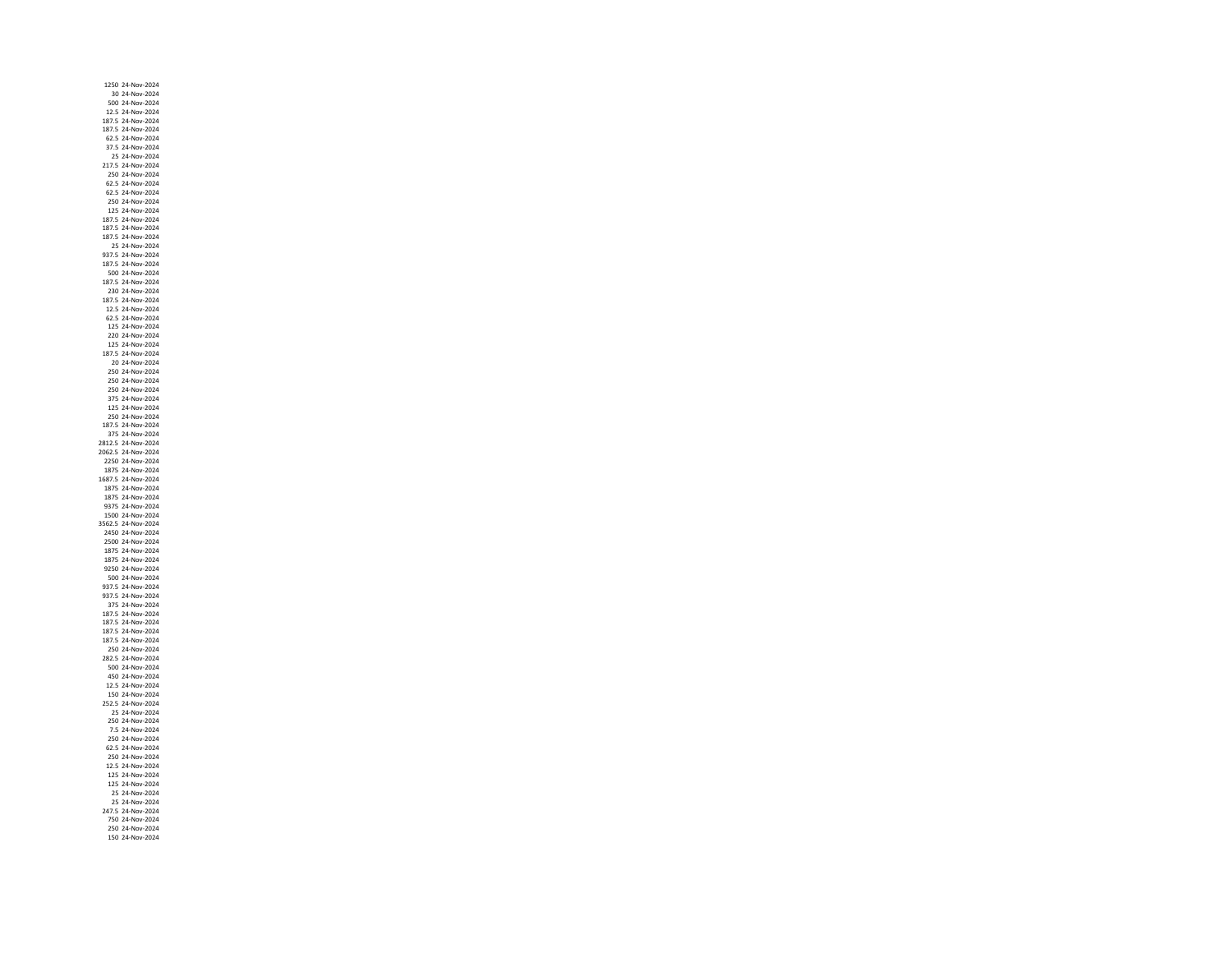1250 24‐Nov‐ 30 24‐Nov‐2024 500 24‐Nov‐ 12.5 24‐Nov‐ 187.5 24‐Nov‐ 187.5 24‐Nov‐ 62.5 24‐Nov‐2024 37.5 24‐Nov‐2024 25 24‐Nov‐ 217.5 24‐Nov‐ 250 24‐Nov‐ 62.5 24‐Nov‐ 62.5 24‐Nov‐ 250 24‐Nov‐2024 125 24‐Nov‐ 187.5 24‐Nov‐ 187.5 24‐Nov‐ 187.5 24‐Nov‐ 25 24‐Nov‐ 937.5 24‐Nov‐ 187.5 24‐Nov‐ 500 24‐Nov‐ 187.5 24‐Nov‐2024 230 24‐Nov‐2024 187.5 24‐Nov‐ 12.5 24‐Nov‐ 62.5 24‐Nov‐ 125 24‐Nov‐ 220 24‐Nov‐ 125 24‐Nov‐2024 187.5 24‐Nov‐ 20 24‐Nov‐ 250 24‐Nov‐ 250 24‐Nov‐ 250 24‐Nov‐ 375 24‐Nov‐2024 125 24‐Nov‐ 250 24‐Nov‐ 187.5 24‐Nov‐ 375 24‐Nov‐ 2812.5 24‐Nov‐ 2062.5 24‐Nov‐ 2250 24‐Nov‐ 1875 24‐Nov‐ 1687.5 24‐Nov‐ 1875 24‐Nov‐ 1875 24‐Nov‐ 9375 24‐Nov‐ 1500 24‐Nov‐ 3562.5 24‐Nov‐ 2450 24‐Nov‐2024 2500 24‐Nov‐2024 1875 24‐Nov‐ 1875 24‐Nov‐ 9250 24‐Nov‐ 500 24‐Nov‐ 937.5 24‐Nov‐2024 937.5 24‐Nov‐2024 375 24‐Nov‐ 187.5 24‐Nov‐ 187.5 24‐Nov‐ 187.5 24‐Nov‐ 187.5 24‐Nov‐ 250 24‐Nov‐2024 282.5 24‐Nov‐ 500 24‐Nov‐ 450 24‐Nov‐ 12.5 24‐Nov‐ 150 24‐Nov‐2024 252.5 24‐Nov‐2024 25 24‐Nov‐2024 250 24‐Nov‐ 7.5 24‐Nov‐ 250 24‐Nov‐ 62.5 24‐Nov‐ 250 24‐Nov‐ 12.5 24‐Nov‐ 125 24‐Nov‐ 125 24‐Nov‐ 25 24‐Nov‐2024 25 24‐Nov‐2024 247.5 24‐Nov‐ 750 24‐Nov‐2024 250 24‐Nov‐150 24‐Nov‐